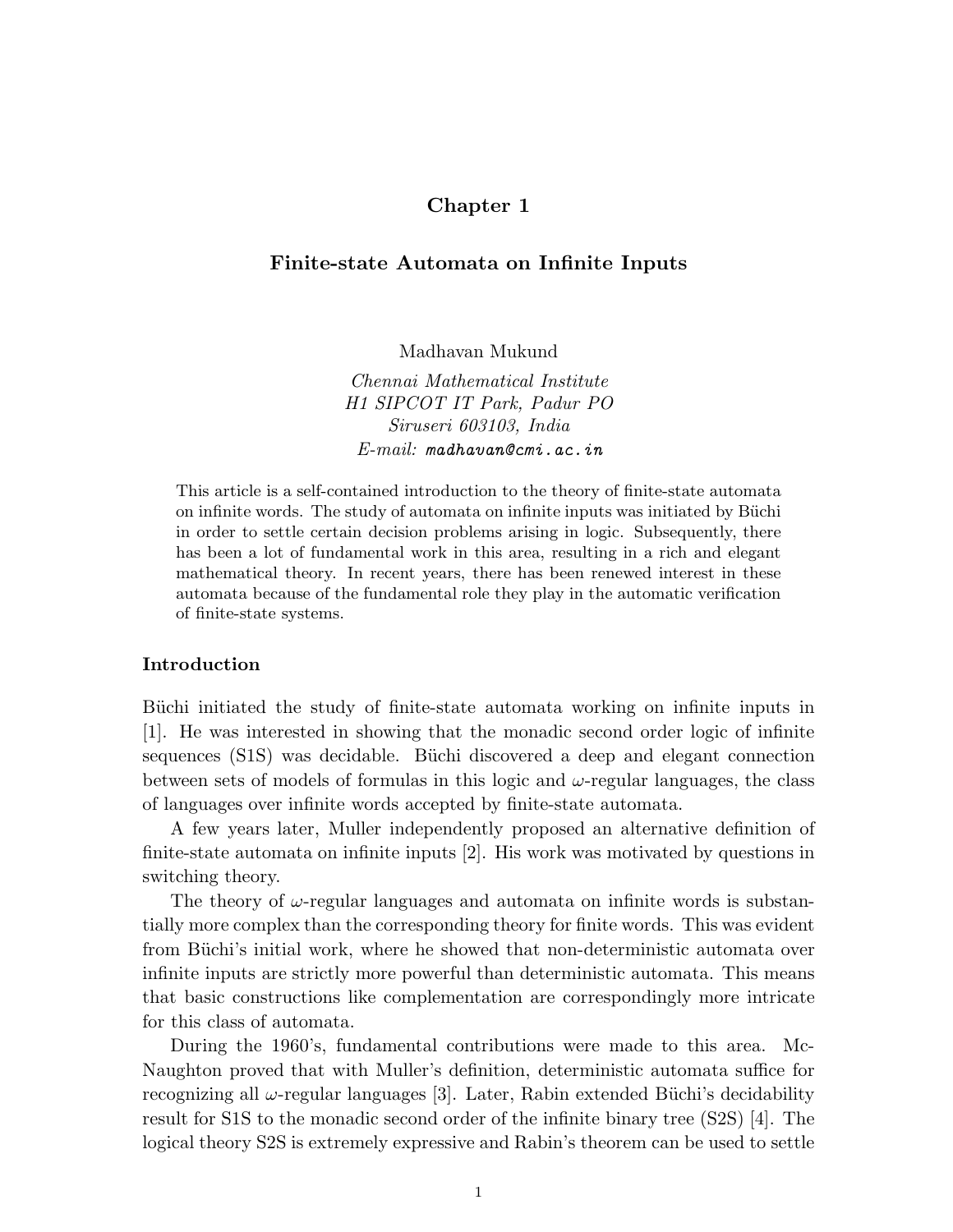# Chapter 1

## Finite-state Automata on Infinite Inputs

Madhavan Mukund

Chennai Mathematical Institute H1 SIPCOT IT Park, Padur PO Siruseri 603103, India E-mail: madhavan@cmi.ac.in

This article is a self-contained introduction to the theory of finite-state automata on infinite words. The study of automata on infinite inputs was initiated by Büchi in order to settle certain decision problems arising in logic. Subsequently, there has been a lot of fundamental work in this area, resulting in a rich and elegant mathematical theory. In recent years, there has been renewed interest in these automata because of the fundamental role they play in the automatic verification of finite-state systems.

## Introduction

Büchi initiated the study of finite-state automata working on infinite inputs in [1]. He was interested in showing that the monadic second order logic of infinite sequences (S1S) was decidable. Büchi discovered a deep and elegant connection between sets of models of formulas in this logic and  $\omega$ -regular languages, the class of languages over infinite words accepted by finite-state automata.

A few years later, Muller independently proposed an alternative definition of finite-state automata on infinite inputs [2]. His work was motivated by questions in switching theory.

The theory of  $\omega$ -regular languages and automata on infinite words is substantially more complex than the corresponding theory for finite words. This was evident from Büchi's initial work, where he showed that non-deterministic automata over infinite inputs are strictly more powerful than deterministic automata. This means that basic constructions like complementation are correspondingly more intricate for this class of automata.

During the 1960's, fundamental contributions were made to this area. Mc-Naughton proved that with Muller's definition, deterministic automata suffice for recognizing all  $\omega$ -regular languages [3]. Later, Rabin extended Büchi's decidability result for S1S to the monadic second order of the infinite binary tree (S2S) [4]. The logical theory S2S is extremely expressive and Rabin's theorem can be used to settle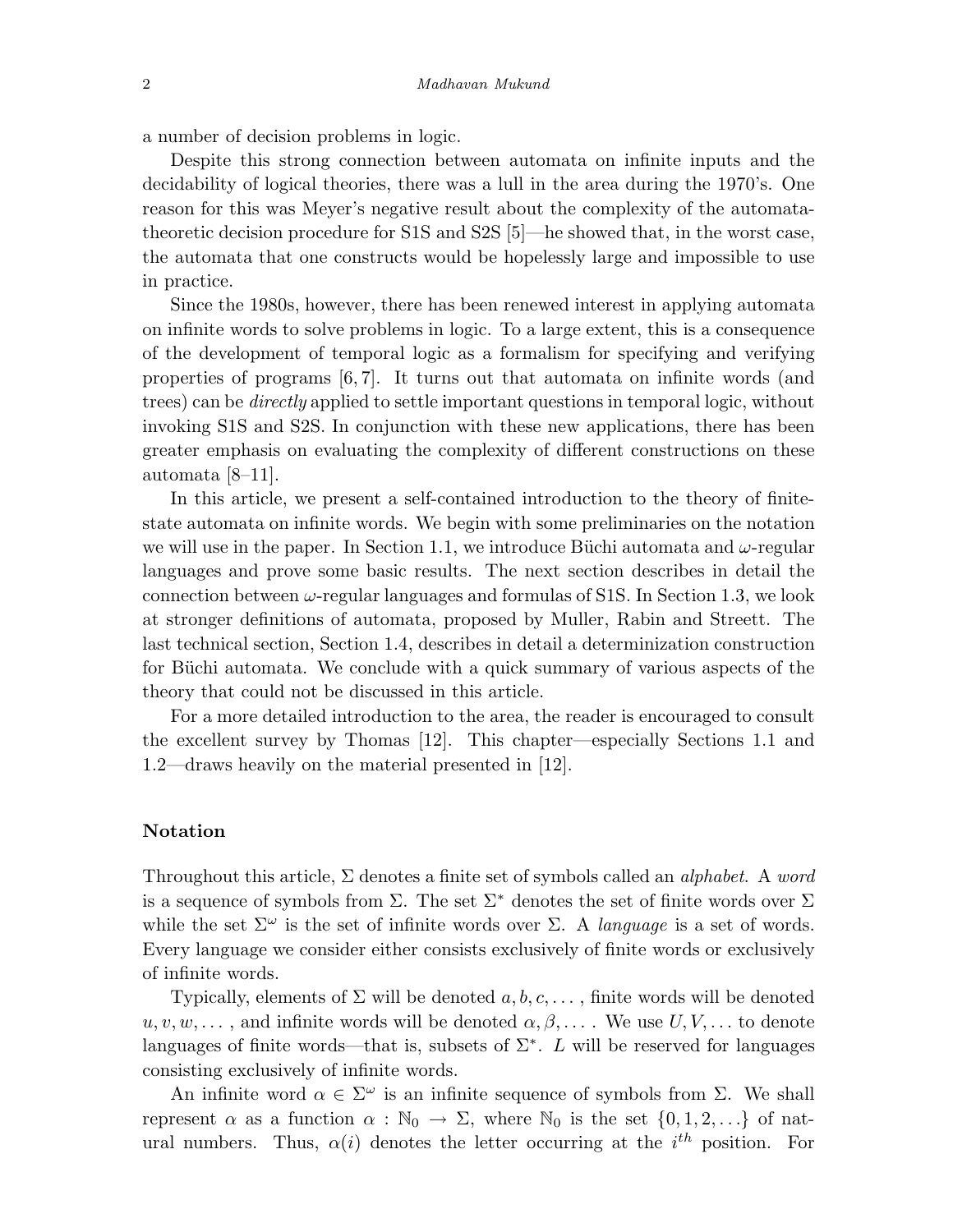a number of decision problems in logic.

Despite this strong connection between automata on infinite inputs and the decidability of logical theories, there was a lull in the area during the 1970's. One reason for this was Meyer's negative result about the complexity of the automatatheoretic decision procedure for S1S and S2S [5]—he showed that, in the worst case, the automata that one constructs would be hopelessly large and impossible to use in practice.

Since the 1980s, however, there has been renewed interest in applying automata on infinite words to solve problems in logic. To a large extent, this is a consequence of the development of temporal logic as a formalism for specifying and verifying properties of programs  $[6, 7]$ . It turns out that automata on infinite words (and trees) can be *directly* applied to settle important questions in temporal logic, without invoking S1S and S2S. In conjunction with these new applications, there has been greater emphasis on evaluating the complexity of different constructions on these automata [8–11].

In this article, we present a self-contained introduction to the theory of finitestate automata on infinite words. We begin with some preliminaries on the notation we will use in the paper. In Section 1.1, we introduce Büchi automata and  $\omega$ -regular languages and prove some basic results. The next section describes in detail the connection between  $\omega$ -regular languages and formulas of S1S. In Section 1.3, we look at stronger definitions of automata, proposed by Muller, Rabin and Streett. The last technical section, Section 1.4, describes in detail a determinization construction for Büchi automata. We conclude with a quick summary of various aspects of the theory that could not be discussed in this article.

For a more detailed introduction to the area, the reader is encouraged to consult the excellent survey by Thomas [12]. This chapter—especially Sections 1.1 and 1.2—draws heavily on the material presented in [12].

## Notation

Throughout this article,  $\Sigma$  denotes a finite set of symbols called an *alphabet*. A word is a sequence of symbols from  $\Sigma$ . The set  $\Sigma^*$  denotes the set of finite words over  $\Sigma$ while the set  $\Sigma^{\omega}$  is the set of infinite words over  $\Sigma$ . A *language* is a set of words. Every language we consider either consists exclusively of finite words or exclusively of infinite words.

Typically, elements of  $\Sigma$  will be denoted  $a, b, c, \ldots$ , finite words will be denoted  $u, v, w, \ldots$ , and infinite words will be denoted  $\alpha, \beta, \ldots$ . We use  $U, V, \ldots$  to denote languages of finite words—that is, subsets of  $\Sigma^*$ . L will be reserved for languages consisting exclusively of infinite words.

An infinite word  $\alpha \in \Sigma^{\omega}$  is an infinite sequence of symbols from  $\Sigma$ . We shall represent  $\alpha$  as a function  $\alpha : \mathbb{N}_0 \to \Sigma$ , where  $\mathbb{N}_0$  is the set  $\{0, 1, 2, \ldots\}$  of natural numbers. Thus,  $\alpha(i)$  denotes the letter occurring at the  $i^{th}$  position. For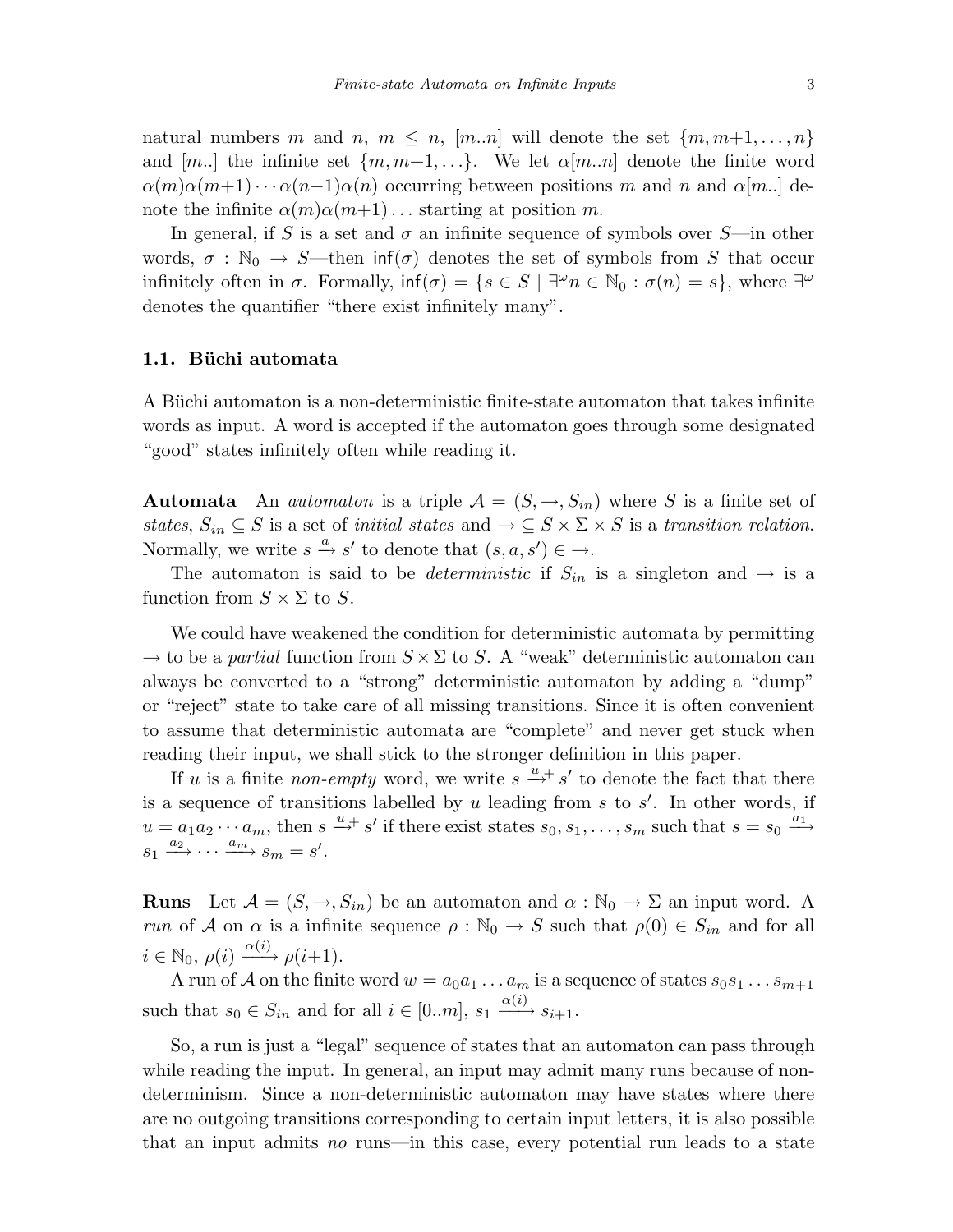natural numbers m and n,  $m \leq n$ ,  $[m..n]$  will denote the set  $\{m, m+1, \ldots, n\}$ and [m..] the infinite set  $\{m, m+1, ...\}$ . We let  $\alpha[m..n]$  denote the finite word  $\alpha(m)\alpha(m+1)\cdots\alpha(n-1)\alpha(n)$  occurring between positions m and n and  $\alpha[m..]$  denote the infinite  $\alpha(m)\alpha(m+1)$ ... starting at position m.

In general, if S is a set and  $\sigma$  an infinite sequence of symbols over S—in other words,  $\sigma : \mathbb{N}_0 \to S$ —then inf( $\sigma$ ) denotes the set of symbols from S that occur infinitely often in  $\sigma$ . Formally,  $\inf(\sigma) = \{s \in S \mid \exists^{\omega} n \in \mathbb{N}_0 : \sigma(n) = s\}$ , where  $\exists^{\omega}$ denotes the quantifier "there exist infinitely many".

#### 1.1. Büchi automata

A Büchi automaton is a non-deterministic finite-state automaton that takes infinite words as input. A word is accepted if the automaton goes through some designated "good" states infinitely often while reading it.

**Automata** An *automaton* is a triple  $A = (S, \rightarrow, S_{in})$  where S is a finite set of states,  $S_{in} \subseteq S$  is a set of *initial states* and  $\rightarrow \subseteq S \times \Sigma \times S$  is a transition relation. Normally, we write  $s \xrightarrow{a} s'$  to denote that  $(s, a, s') \in \rightarrow$ .

The automaton is said to be *deterministic* if  $S_{in}$  is a singleton and  $\rightarrow$  is a function from  $S \times \Sigma$  to S.

We could have weakened the condition for deterministic automata by permitting  $\rightarrow$  to be a partial function from  $S \times \Sigma$  to S. A "weak" deterministic automaton can always be converted to a "strong" deterministic automaton by adding a "dump" or "reject" state to take care of all missing transitions. Since it is often convenient to assume that deterministic automata are "complete" and never get stuck when reading their input, we shall stick to the stronger definition in this paper.

If u is a finite non-empty word, we write  $s \stackrel{u}{\rightarrow} s'$  to denote the fact that there is a sequence of transitions labelled by  $u$  leading from  $s$  to  $s'$ . In other words, if  $u = a_1 a_2 \cdots a_m$ , then  $s \stackrel{u}{\rightarrow} s'$  if there exist states  $s_0, s_1, \ldots, s_m$  such that  $s = s_0 \stackrel{a_1}{\rightarrow} s'$  $s_1 \xrightarrow{a_2} \cdots \xrightarrow{a_m} s_m = s'.$ 

**Runs** Let  $\mathcal{A} = (S, \rightarrow, S_{in})$  be an automaton and  $\alpha : \mathbb{N}_0 \rightarrow \Sigma$  an input word. A run of A on  $\alpha$  is a infinite sequence  $\rho : \mathbb{N}_0 \to S$  such that  $\rho(0) \in S_{in}$  and for all  $i \in \mathbb{N}_0, \, \rho(i) \xrightarrow{\alpha(i)} \rho(i+1).$ 

A run of  $\mathcal A$  on the finite word  $w = a_0a_1\ldots a_m$  is a sequence of states  $s_0s_1\ldots s_{m+1}$ such that  $s_0 \in S_{in}$  and for all  $i \in [0..m]$ ,  $s_1 \xrightarrow{\alpha(i)} s_{i+1}$ .

So, a run is just a "legal" sequence of states that an automaton can pass through while reading the input. In general, an input may admit many runs because of nondeterminism. Since a non-deterministic automaton may have states where there are no outgoing transitions corresponding to certain input letters, it is also possible that an input admits no runs—in this case, every potential run leads to a state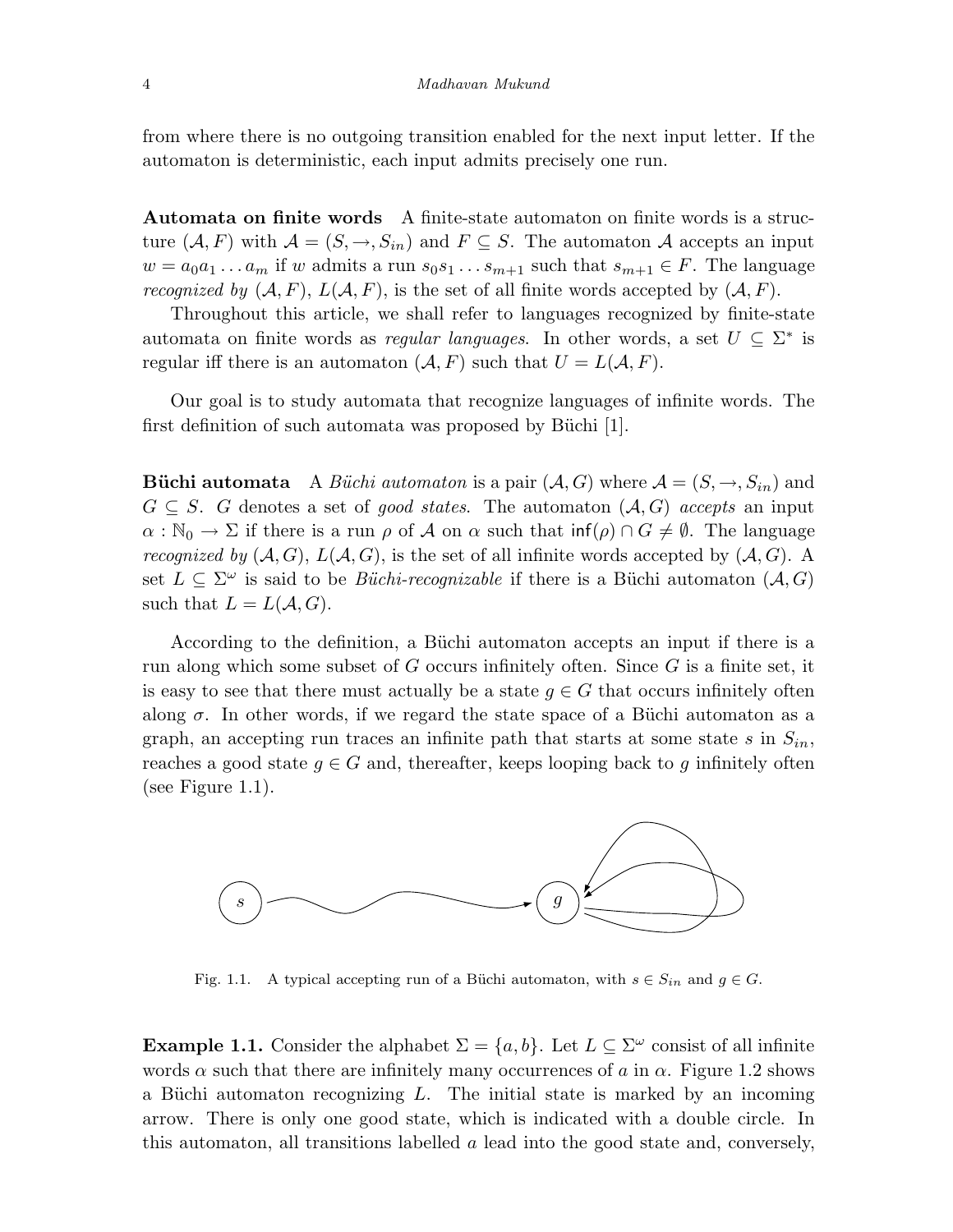from where there is no outgoing transition enabled for the next input letter. If the automaton is deterministic, each input admits precisely one run.

Automata on finite words A finite-state automaton on finite words is a structure  $(A, F)$  with  $A = (S, \rightarrow, S_{in})$  and  $F \subseteq S$ . The automaton A accepts an input  $w = a_0 a_1 \dots a_m$  if w admits a run  $s_0 s_1 \dots s_{m+1}$  such that  $s_{m+1} \in F$ . The language recognized by  $(A, F)$ ,  $L(A, F)$ , is the set of all finite words accepted by  $(A, F)$ .

Throughout this article, we shall refer to languages recognized by finite-state automata on finite words as *regular languages*. In other words, a set  $U \subseteq \Sigma^*$  is regular iff there is an automaton  $(A, F)$  such that  $U = L(A, F)$ .

Our goal is to study automata that recognize languages of infinite words. The first definition of such automata was proposed by Büchi [1].

**Büchi automata** A Büchi automaton is a pair  $(A, G)$  where  $A = (S, \rightarrow, S_{in})$  and  $G \subseteq S$ . G denotes a set of good states. The automaton  $(A, G)$  accepts an input  $\alpha : \mathbb{N}_0 \to \Sigma$  if there is a run  $\rho$  of A on  $\alpha$  such that  $\inf(\rho) \cap G \neq \emptyset$ . The language recognized by  $(A, G)$ ,  $L(A, G)$ , is the set of all infinite words accepted by  $(A, G)$ . A set  $L \subseteq \Sigma^{\omega}$  is said to be *Büchi-recognizable* if there is a Büchi automaton  $(A, G)$ such that  $L = L(A, G)$ .

According to the definition, a Büchi automaton accepts an input if there is a run along which some subset of  $G$  occurs infinitely often. Since  $G$  is a finite set, it is easy to see that there must actually be a state  $g \in G$  that occurs infinitely often along  $\sigma$ . In other words, if we regard the state space of a Büchi automaton as a graph, an accepting run traces an infinite path that starts at some state s in  $S_{in}$ , reaches a good state  $g \in G$  and, thereafter, keeps looping back to g infinitely often (see Figure 1.1).



Fig. 1.1. A typical accepting run of a Büchi automaton, with  $s \in S_{in}$  and  $g \in G$ .

**Example 1.1.** Consider the alphabet  $\Sigma = \{a, b\}$ . Let  $L \subseteq \Sigma^{\omega}$  consist of all infinite words  $\alpha$  such that there are infinitely many occurrences of a in  $\alpha$ . Figure 1.2 shows a Büchi automaton recognizing  $L$ . The initial state is marked by an incoming arrow. There is only one good state, which is indicated with a double circle. In this automaton, all transitions labelled a lead into the good state and, conversely,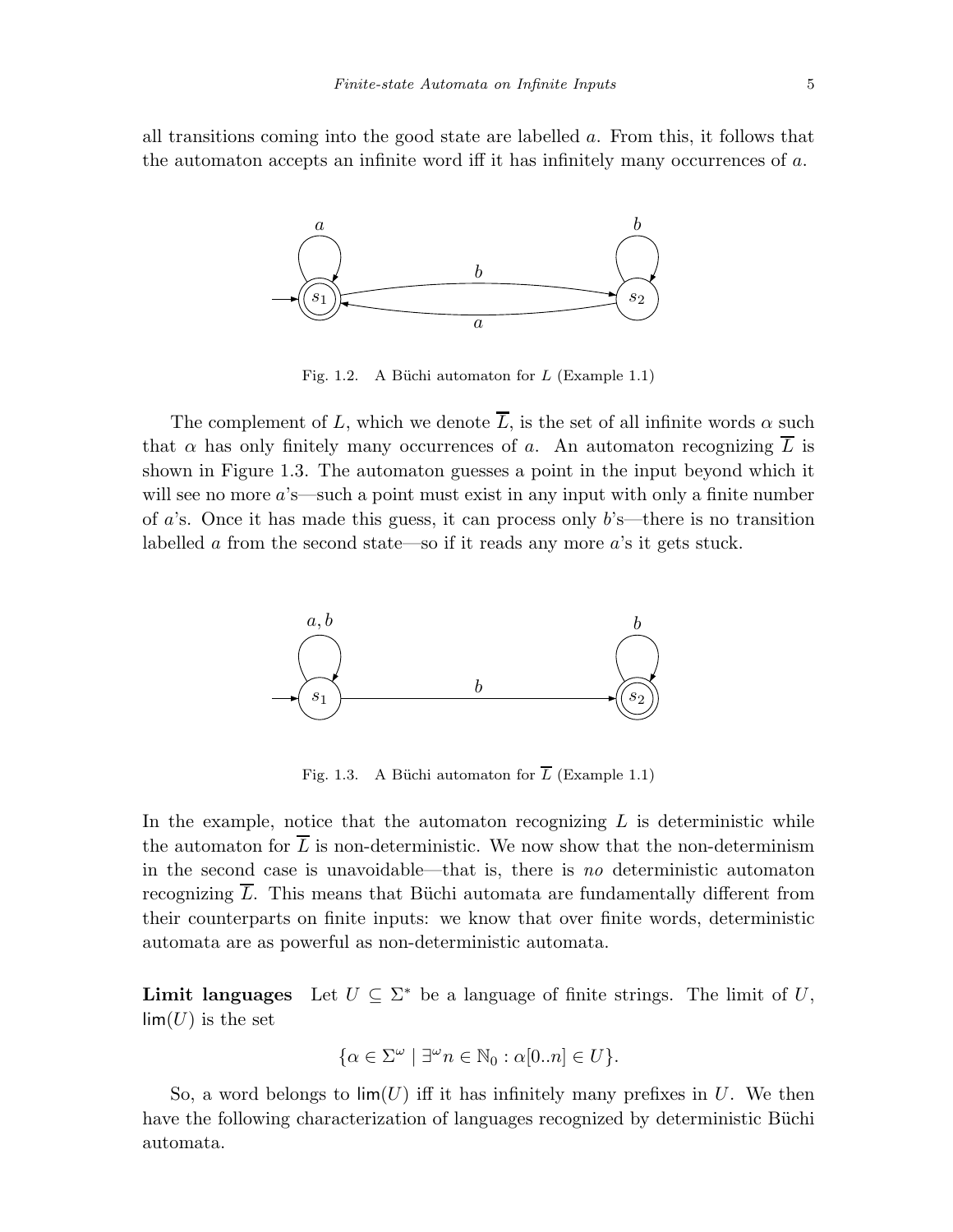all transitions coming into the good state are labelled a. From this, it follows that the automaton accepts an infinite word iff it has infinitely many occurrences of a.



Fig. 1.2. A Büchi automaton for  $L$  (Example 1.1)

The complement of L, which we denote  $\overline{L}$ , is the set of all infinite words  $\alpha$  such that  $\alpha$  has only finitely many occurrences of a. An automaton recognizing  $\overline{L}$  is shown in Figure 1.3. The automaton guesses a point in the input beyond which it will see no more  $a$ 's—such a point must exist in any input with only a finite number of a's. Once it has made this guess, it can process only  $b$ 's—there is no transition labelled a from the second state—so if it reads any more a's it gets stuck.



Fig. 1.3. A Büchi automaton for  $\overline{L}$  (Example 1.1)

In the example, notice that the automaton recognizing  $L$  is deterministic while the automaton for  $\overline{L}$  is non-deterministic. We now show that the non-determinism in the second case is unavoidable—that is, there is no deterministic automaton recognizing  $\overline{L}$ . This means that Büchi automata are fundamentally different from their counterparts on finite inputs: we know that over finite words, deterministic automata are as powerful as non-deterministic automata.

**Limit languages** Let  $U \subseteq \Sigma^*$  be a language of finite strings. The limit of U,  $\lim(U)$  is the set

$$
\{\alpha \in \Sigma^{\omega} \mid \exists^{\omega} n \in \mathbb{N}_0 : \alpha[0..n] \in U\}.
$$

So, a word belongs to  $\lim(U)$  iff it has infinitely many prefixes in U. We then have the following characterization of languages recognized by deterministic Büchi automata.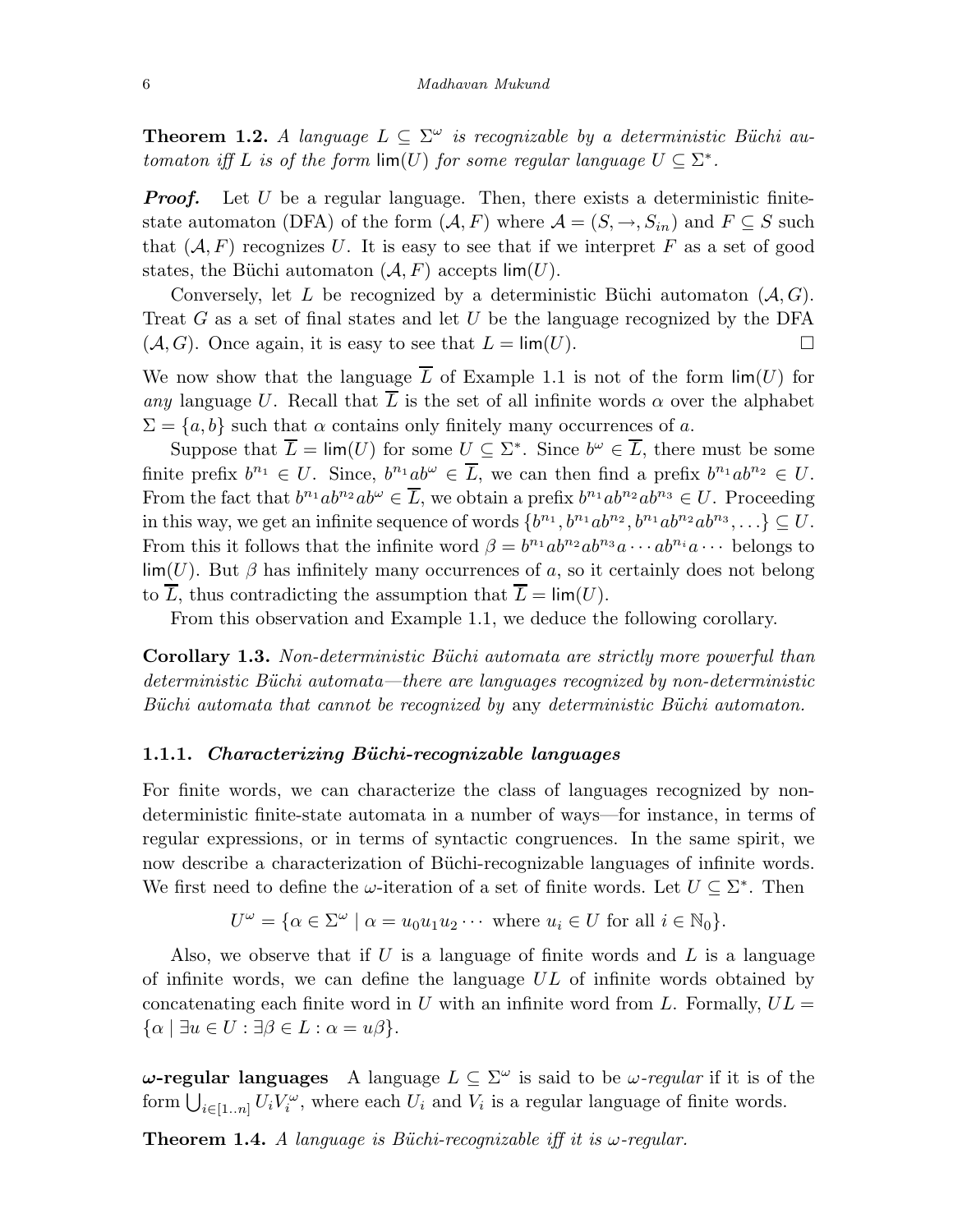**Theorem 1.2.** A language  $L \subseteq \Sigma^{\omega}$  is recognizable by a deterministic Büchi automaton iff L is of the form  $\lim(U)$  for some regular language  $U \subseteq \Sigma^*$ .

**Proof.** Let  $U$  be a regular language. Then, there exists a deterministic finitestate automaton (DFA) of the form  $(A, F)$  where  $A = (S, \rightarrow, S_{in})$  and  $F \subseteq S$  such that  $(A, F)$  recognizes U. It is easy to see that if we interpret F as a set of good states, the Büchi automaton  $(A, F)$  accepts lim $(U)$ .

Conversely, let L be recognized by a deterministic Büchi automaton  $(A, G)$ . Treat  $G$  as a set of final states and let  $U$  be the language recognized by the DFA  $(A, G)$ . Once again, it is easy to see that  $L = \lim(U)$ .

We now show that the language  $\overline{L}$  of Example 1.1 is not of the form  $\lim(U)$  for any language U. Recall that  $\overline{L}$  is the set of all infinite words  $\alpha$  over the alphabet  $\Sigma = \{a, b\}$  such that  $\alpha$  contains only finitely many occurrences of a.

Suppose that  $\overline{L} = \lim(U)$  for some  $U \subseteq \Sigma^*$ . Since  $b^{\omega} \in \overline{L}$ , there must be some finite prefix  $b^{n_1} \in U$ . Since,  $b^{n_1}ab^{\omega} \in \overline{L}$ , we can then find a prefix  $b^{n_1}ab^{n_2} \in U$ . From the fact that  $b^{n_1}ab^{n_2}ab^{\omega} \in \overline{L}$ , we obtain a prefix  $b^{n_1}ab^{n_2}ab^{n_3} \in U$ . Proceeding in this way, we get an infinite sequence of words  $\{b^{n_1}, b^{n_1}ab^{n_2}, b^{n_1}ab^{n_2}ab^{n_3}, \ldots\} \subseteq U$ . From this it follows that the infinite word  $\beta = b^{n_1}ab^{n_2}ab^{n_3}a\cdots ab^{n_i}a\cdots$  belongs to  $\lim(U)$ . But  $\beta$  has infinitely many occurrences of a, so it certainly does not belong to  $\overline{L}$ , thus contradicting the assumption that  $\overline{L} = \lim(U)$ .

From this observation and Example 1.1, we deduce the following corollary.

Corollary 1.3. Non-deterministic Büchi automata are strictly more powerful than  $deterministic B\ddot{u}chi automata—there are languages recognized by non-deterministic$ Büchi automata that cannot be recognized by any deterministic Büchi automaton.

## 1.1.1. Characterizing Büchi-recognizable languages

For finite words, we can characterize the class of languages recognized by nondeterministic finite-state automata in a number of ways—for instance, in terms of regular expressions, or in terms of syntactic congruences. In the same spirit, we now describe a characterization of Büchi-recognizable languages of infinite words. We first need to define the  $\omega$ -iteration of a set of finite words. Let  $U \subseteq \Sigma^*$ . Then

$$
U^{\omega} = \{ \alpha \in \Sigma^{\omega} \mid \alpha = u_0 u_1 u_2 \cdots \text{ where } u_i \in U \text{ for all } i \in \mathbb{N}_0 \}.
$$

Also, we observe that if U is a language of finite words and  $L$  is a language of infinite words, we can define the language  $UL$  of infinite words obtained by concatenating each finite word in U with an infinite word from L. Formally,  $UL =$  $\{\alpha \mid \exists u \in U : \exists \beta \in L : \alpha = u\beta\}.$ 

 $ω$ -regular languages A language  $L ⊆ Σ<sup>ω</sup>$  is said to be  $ω$ -regular if it is of the form  $\bigcup_{i\in [1..n]} U_i V_i^{\omega}$ , where each  $U_i$  and  $V_i$  is a regular language of finite words.

**Theorem 1.4.** A language is Büchi-recognizable iff it is  $\omega$ -regular.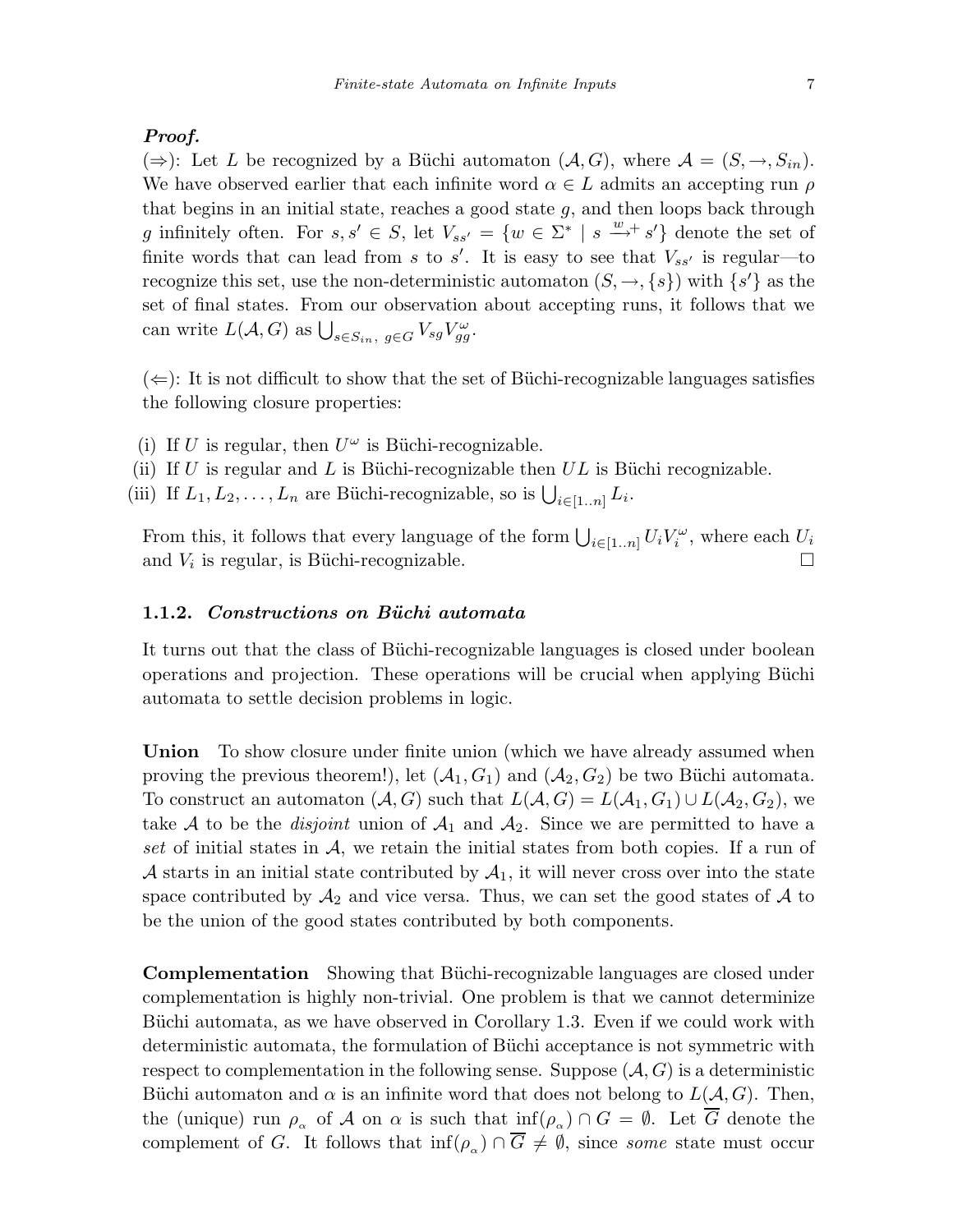## Proof.

(⇒): Let L be recognized by a Büchi automaton  $(A, G)$ , where  $A = (S, \rightarrow, S_{in}).$ We have observed earlier that each infinite word  $\alpha \in L$  admits an accepting run  $\rho$ that begins in an initial state, reaches a good state  $g$ , and then loops back through g infinitely often. For  $s, s' \in S$ , let  $V_{ss'} = \{w \in \Sigma^* \mid s \stackrel{w}{\longrightarrow} s'\}$  denote the set of finite words that can lead from s to s'. It is easy to see that  $V_{ss'}$  is regular—to recognize this set, use the non-deterministic automaton  $(S, \rightarrow, \{s\})$  with  $\{s'\}$  as the set of final states. From our observation about accepting runs, it follows that we can write  $L(A, G)$  as  $\bigcup_{s \in S_{in}, g \in G} V_{sg} V_{gg}^{\omega}$ .

 $(\Leftarrow)$ : It is not difficult to show that the set of Büchi-recognizable languages satisfies the following closure properties:

- (i) If U is regular, then  $U^{\omega}$  is Büchi-recognizable.
- (ii) If U is regular and L is Büchi-recognizable then  $UL$  is Büchi recognizable.
- (iii) If  $L_1, L_2, \ldots, L_n$  are Büchi-recognizable, so is  $\bigcup_{i \in [1..n]} L_i$ .

From this, it follows that every language of the form  $\bigcup_{i\in [1..n]} U_i V_i^{\omega}$ , where each  $U_i$ and  $V_i$  is regular, is Büchi-recognizable.  $\Box$ 

#### 1.1.2. Constructions on Büchi automata

It turns out that the class of Büchi-recognizable languages is closed under boolean operations and projection. These operations will be crucial when applying Büchi automata to settle decision problems in logic.

Union To show closure under finite union (which we have already assumed when proving the previous theorem!), let  $(A_1, G_1)$  and  $(A_2, G_2)$  be two Büchi automata. To construct an automaton  $(A, G)$  such that  $L(A, G) = L(A_1, G_1) \cup L(A_2, G_2)$ , we take A to be the *disjoint* union of  $A_1$  and  $A_2$ . Since we are permitted to have a set of initial states in  $A$ , we retain the initial states from both copies. If a run of A starts in an initial state contributed by  $A_1$ , it will never cross over into the state space contributed by  $\mathcal{A}_2$  and vice versa. Thus, we can set the good states of  $\mathcal A$  to be the union of the good states contributed by both components.

**Complementation** Showing that Büchi-recognizable languages are closed under complementation is highly non-trivial. One problem is that we cannot determinize Büchi automata, as we have observed in Corollary 1.3. Even if we could work with deterministic automata, the formulation of Büchi acceptance is not symmetric with respect to complementation in the following sense. Suppose  $(A, G)$  is a deterministic Büchi automaton and  $\alpha$  is an infinite word that does not belong to  $L(A, G)$ . Then, the (unique) run  $\rho_{\alpha}$  of A on  $\alpha$  is such that  $\inf(\rho_{\alpha}) \cap G = \emptyset$ . Let  $\overline{G}$  denote the complement of G. It follows that  $\inf(\rho_{\alpha}) \cap \overline{G} \neq \emptyset$ , since some state must occur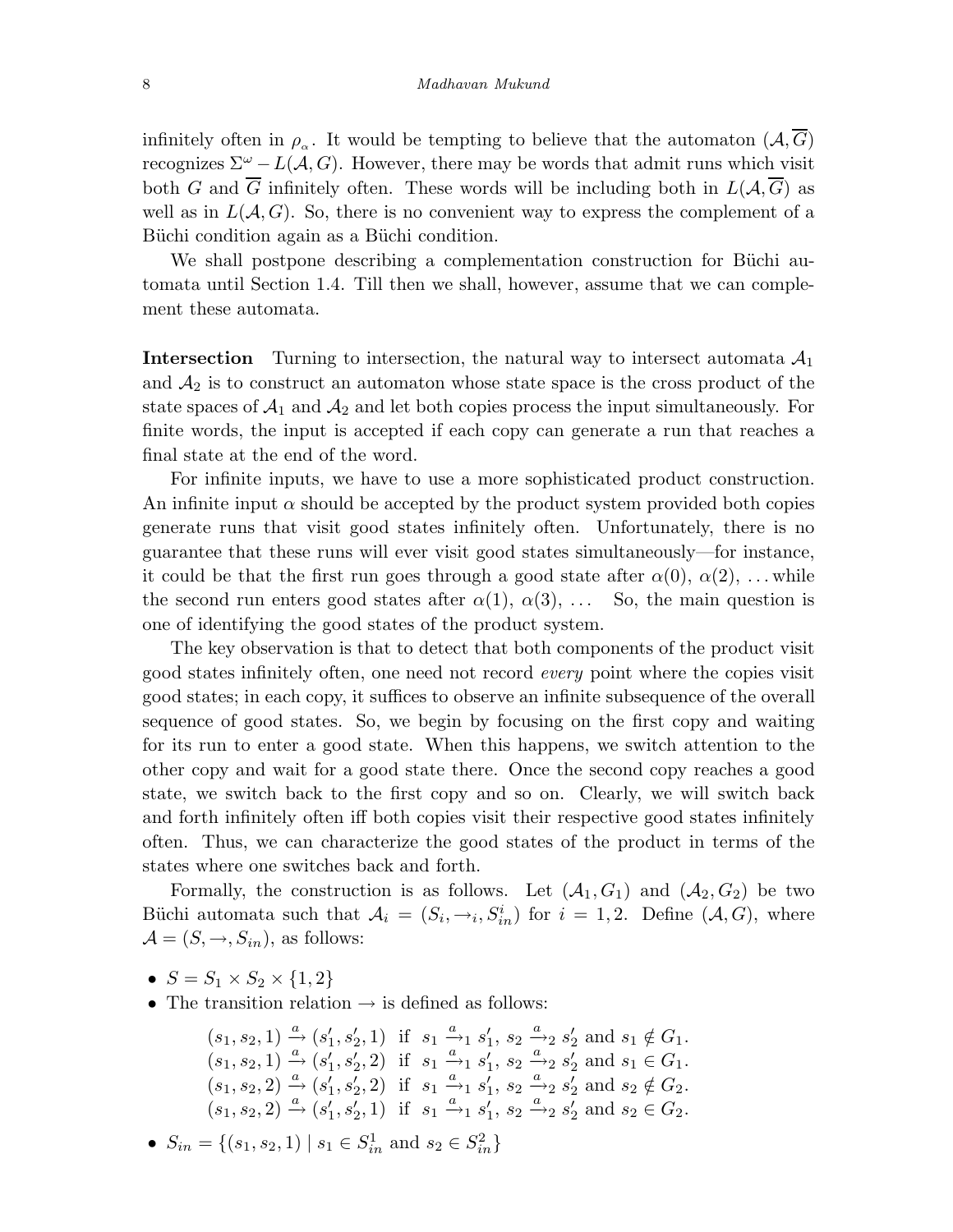infinitely often in  $\rho_{\alpha}$ . It would be tempting to believe that the automaton  $(\mathcal{A}, \overline{G})$ recognizes  $\Sigma^{\omega} - L(\mathcal{A}, G)$ . However, there may be words that admit runs which visit both G and  $\overline{G}$  infinitely often. These words will be including both in  $L(A, \overline{G})$  as well as in  $L(A, G)$ . So, there is no convenient way to express the complement of a Büchi condition again as a Büchi condition.

We shall postpone describing a complementation construction for Büchi automata until Section 1.4. Till then we shall, however, assume that we can complement these automata.

**Intersection** Turning to intersection, the natural way to intersect automata  $A_1$ and  $A_2$  is to construct an automaton whose state space is the cross product of the state spaces of  $A_1$  and  $A_2$  and let both copies process the input simultaneously. For finite words, the input is accepted if each copy can generate a run that reaches a final state at the end of the word.

For infinite inputs, we have to use a more sophisticated product construction. An infinite input  $\alpha$  should be accepted by the product system provided both copies generate runs that visit good states infinitely often. Unfortunately, there is no guarantee that these runs will ever visit good states simultaneously—for instance, it could be that the first run goes through a good state after  $\alpha(0), \alpha(2), \ldots$  while the second run enters good states after  $\alpha(1), \alpha(3), \ldots$  So, the main question is one of identifying the good states of the product system.

The key observation is that to detect that both components of the product visit good states infinitely often, one need not record every point where the copies visit good states; in each copy, it suffices to observe an infinite subsequence of the overall sequence of good states. So, we begin by focusing on the first copy and waiting for its run to enter a good state. When this happens, we switch attention to the other copy and wait for a good state there. Once the second copy reaches a good state, we switch back to the first copy and so on. Clearly, we will switch back and forth infinitely often iff both copies visit their respective good states infinitely often. Thus, we can characterize the good states of the product in terms of the states where one switches back and forth.

Formally, the construction is as follows. Let  $(A_1, G_1)$  and  $(A_2, G_2)$  be two Büchi automata such that  $A_i = (S_i, \rightarrow_i, S_{in}^i)$  for  $i = 1, 2$ . Define  $(A, G)$ , where  $\mathcal{A} = (S, \rightarrow, S_{in}),$  as follows:

- $S = S_1 \times S_2 \times \{1, 2\}$
- The transition relation  $\rightarrow$  is defined as follows:

$$
(s_1, s_2, 1) \xrightarrow{a} (s'_1, s'_2, 1) \text{ if } s_1 \xrightarrow{a} s'_1, s_2 \xrightarrow{a} s'_2 \text{ and } s_1 \notin G_1.
$$
  
\n
$$
(s_1, s_2, 1) \xrightarrow{a} (s'_1, s'_2, 2) \text{ if } s_1 \xrightarrow{a} s'_1, s_2 \xrightarrow{a} s'_2 \text{ and } s_1 \in G_1.
$$
  
\n
$$
(s_1, s_2, 2) \xrightarrow{a} (s'_1, s'_2, 2) \text{ if } s_1 \xrightarrow{a} s'_1, s_2 \xrightarrow{a} s'_2 \text{ and } s_2 \notin G_2.
$$
  
\n
$$
(s_1, s_2, 2) \xrightarrow{a} (s'_1, s'_2, 1) \text{ if } s_1 \xrightarrow{a} s'_1, s_2 \xrightarrow{a} s'_2 \text{ and } s_2 \in G_2.
$$

• 
$$
S_{in} = \{(s_1, s_2, 1) \mid s_1 \in S_{in}^1 \text{ and } s_2 \in S_{in}^2\}
$$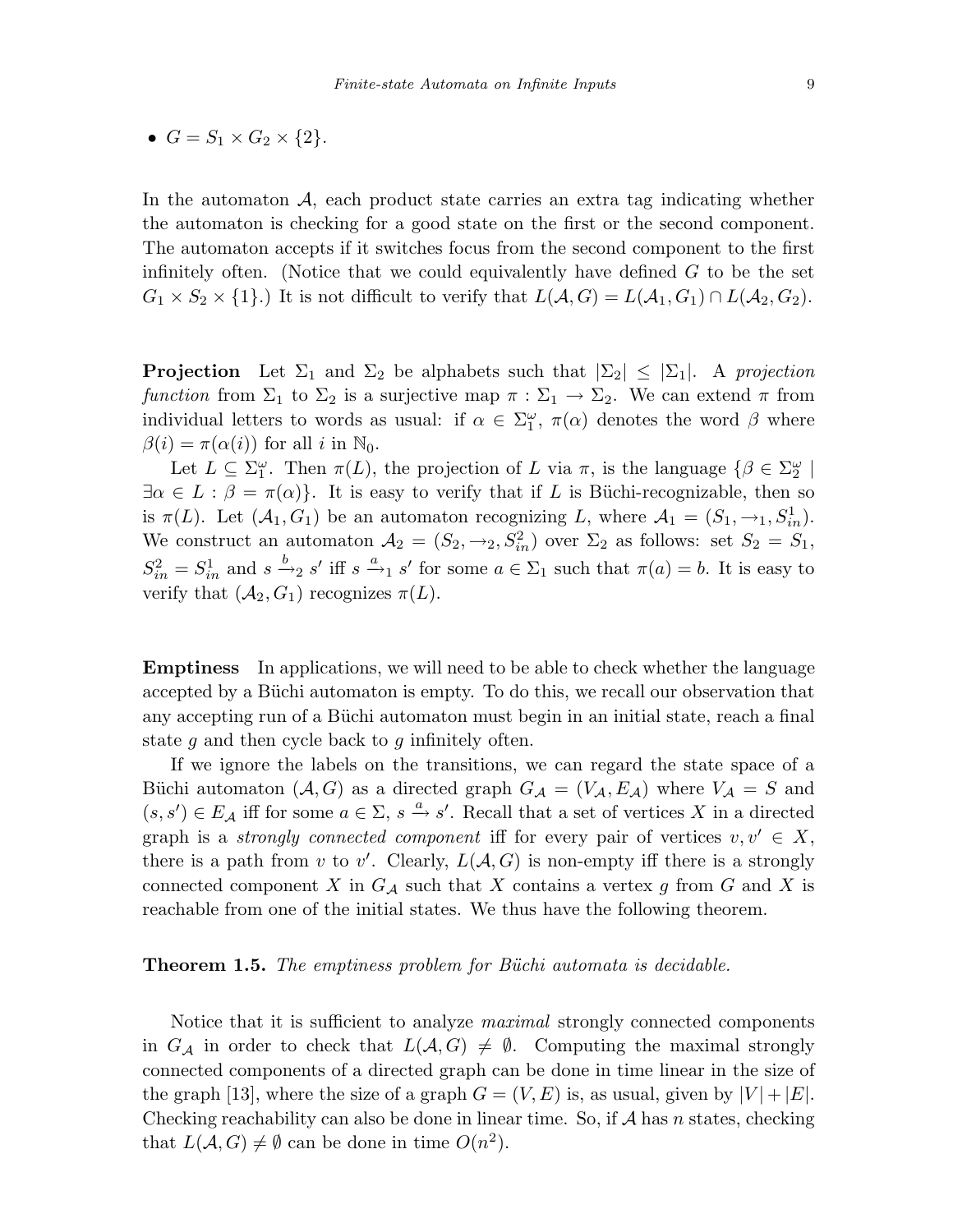$$
\bullet \ \ G = S_1 \times G_2 \times \{2\}.
$$

In the automaton  $A$ , each product state carries an extra tag indicating whether the automaton is checking for a good state on the first or the second component. The automaton accepts if it switches focus from the second component to the first infinitely often. (Notice that we could equivalently have defined  $G$  to be the set  $G_1 \times S_2 \times \{1\}$ .) It is not difficult to verify that  $L(A, G) = L(A_1, G_1) \cap L(A_2, G_2)$ .

**Projection** Let  $\Sigma_1$  and  $\Sigma_2$  be alphabets such that  $|\Sigma_2| \leq |\Sigma_1|$ . A projection function from  $\Sigma_1$  to  $\Sigma_2$  is a surjective map  $\pi : \Sigma_1 \to \Sigma_2$ . We can extend  $\pi$  from individual letters to words as usual: if  $\alpha \in \Sigma_1^{\omega}$ ,  $\pi(\alpha)$  denotes the word  $\beta$  where  $\beta(i) = \pi(\alpha(i))$  for all i in  $\mathbb{N}_0$ .

Let  $L \subseteq \Sigma_1^{\omega}$ . Then  $\pi(L)$ , the projection of L via  $\pi$ , is the language  $\{\beta \in \Sigma_2^{\omega} \mid$  $\exists \alpha \in L : \beta = \pi(\alpha)$ . It is easy to verify that if L is Büchi-recognizable, then so is  $\pi(L)$ . Let  $(\mathcal{A}_1, G_1)$  be an automaton recognizing L, where  $\mathcal{A}_1 = (S_1, \rightarrow_1, S_{in}^1)$ . We construct an automaton  $A_2 = (S_2, \rightarrow_2, S_{in}^2)$  over  $\Sigma_2$  as follows: set  $S_2 = S_1$ ,  $S_{in}^2 = S_{in}^1$  and  $s \xrightarrow{b}_{2} s'$  iff  $s \xrightarrow{a}_{1} s'$  for some  $a \in \Sigma_1$  such that  $\pi(a) = b$ . It is easy to verify that  $(\mathcal{A}_2, G_1)$  recognizes  $\pi(L)$ .

Emptiness In applications, we will need to be able to check whether the language accepted by a Büchi automaton is empty. To do this, we recall our observation that any accepting run of a Büchi automaton must begin in an initial state, reach a final state g and then cycle back to g infinitely often.

If we ignore the labels on the transitions, we can regard the state space of a Büchi automaton  $(A, G)$  as a directed graph  $G_A = (V_A, E_A)$  where  $V_A = S$  and  $(s, s') \in E_{\mathcal{A}}$  iff for some  $a \in \Sigma$ ,  $s \xrightarrow{a} s'$ . Recall that a set of vertices X in a directed graph is a *strongly connected component* iff for every pair of vertices  $v, v' \in X$ , there is a path from v to v'. Clearly,  $L(A, G)$  is non-empty iff there is a strongly connected component X in  $G_{\mathcal{A}}$  such that X contains a vertex g from G and X is reachable from one of the initial states. We thus have the following theorem.

#### **Theorem 1.5.** The emptiness problem for Büchi automata is decidable.

Notice that it is sufficient to analyze *maximal* strongly connected components in  $G_{\mathcal{A}}$  in order to check that  $L(\mathcal{A}, G) \neq \emptyset$ . Computing the maximal strongly connected components of a directed graph can be done in time linear in the size of the graph [13], where the size of a graph  $G = (V, E)$  is, as usual, given by  $|V| + |E|$ . Checking reachability can also be done in linear time. So, if  $A$  has n states, checking that  $L(A, G) \neq \emptyset$  can be done in time  $O(n^2)$ .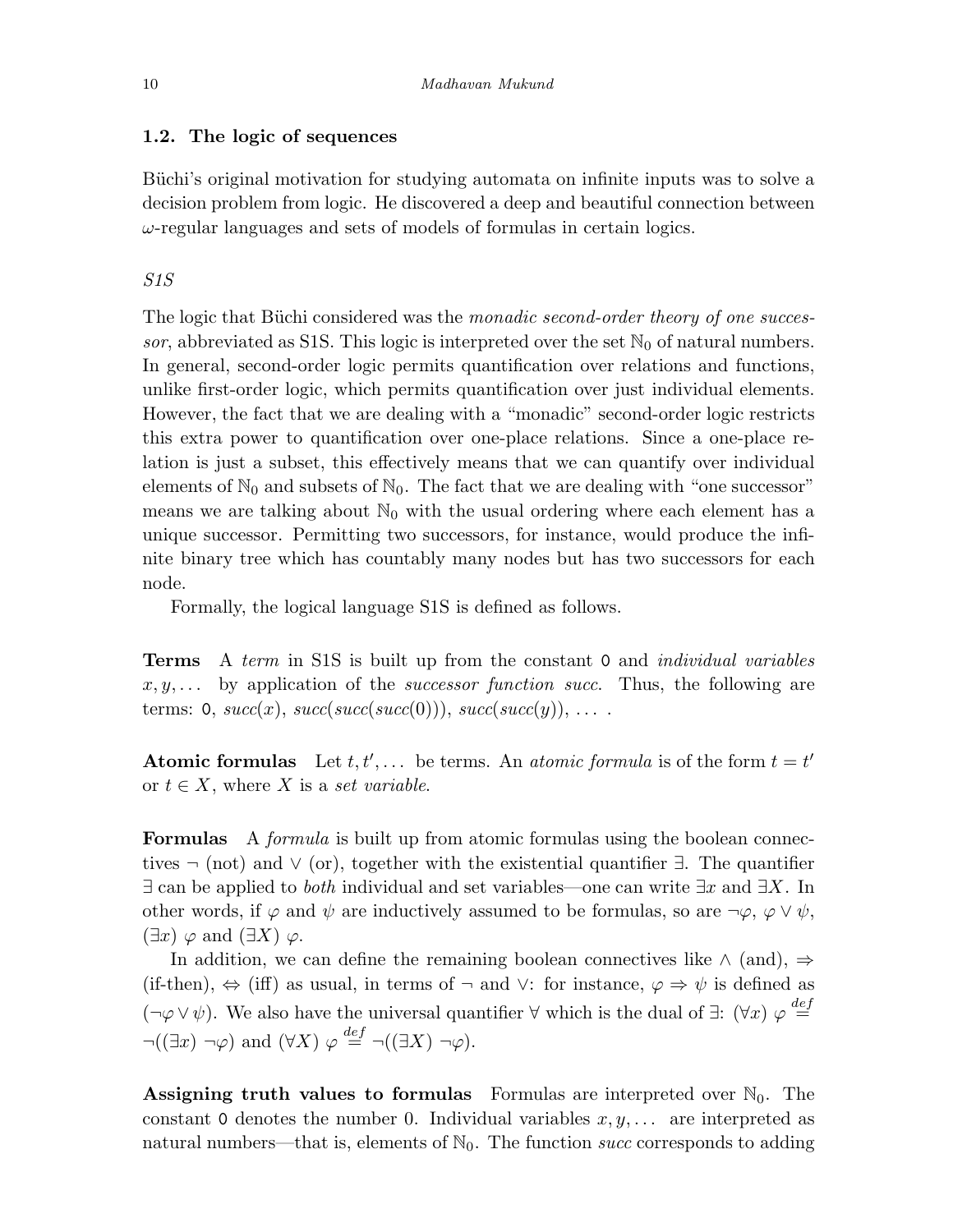## 1.2. The logic of sequences

Büchi's original motivation for studying automata on infinite inputs was to solve a decision problem from logic. He discovered a deep and beautiful connection between  $\omega$ -regular languages and sets of models of formulas in certain logics.

## S1S

The logic that Büchi considered was the monadic second-order theory of one successor, abbreviated as S1S. This logic is interpreted over the set  $\mathbb{N}_0$  of natural numbers. In general, second-order logic permits quantification over relations and functions, unlike first-order logic, which permits quantification over just individual elements. However, the fact that we are dealing with a "monadic" second-order logic restricts this extra power to quantification over one-place relations. Since a one-place relation is just a subset, this effectively means that we can quantify over individual elements of  $\mathbb{N}_0$  and subsets of  $\mathbb{N}_0$ . The fact that we are dealing with "one successor" means we are talking about  $\mathbb{N}_0$  with the usual ordering where each element has a unique successor. Permitting two successors, for instance, would produce the infinite binary tree which has countably many nodes but has two successors for each node.

Formally, the logical language S1S is defined as follows.

**Terms** A term in S1S is built up from the constant 0 and *individual variables*  $x, y, \ldots$  by application of the *successor function succ*. Thus, the following are terms: 0,  $succ(x)$ ,  $succ(succ(succ(0)))$ ,  $succ(succ(y))$ , ...

**Atomic formulas** Let  $t, t', ...$  be terms. An *atomic formula* is of the form  $t = t'$ or  $t \in X$ , where X is a set variable.

Formulas A *formula* is built up from atomic formulas using the boolean connectives  $\neg$  (not) and  $\vee$  (or), together with the existential quantifier  $\exists$ . The quantifier  $\exists$  can be applied to *both* individual and set variables—one can write  $\exists x$  and  $\exists X$ . In other words, if  $\varphi$  and  $\psi$  are inductively assumed to be formulas, so are  $\neg \varphi$ ,  $\varphi \vee \psi$ ,  $(\exists x) \varphi$  and  $(\exists X) \varphi$ .

In addition, we can define the remaining boolean connectives like  $\land$  (and),  $\Rightarrow$ (if-then),  $\Leftrightarrow$  (iff) as usual, in terms of  $\neg$  and  $\vee$ : for instance,  $\varphi \Rightarrow \psi$  is defined as  $(\neg \varphi \lor \psi)$ . We also have the universal quantifier  $\forall$  which is the dual of  $\exists$ :  $(\forall x) \varphi \stackrel{def}{=}$  $\neg((\exists x)\neg\varphi)$  and  $(\forall X)\varphi \stackrel{def}{=} \neg((\exists X)\neg\varphi)$ .

Assigning truth values to formulas Formulas are interpreted over  $\mathbb{N}_0$ . The constant 0 denotes the number 0. Individual variables  $x, y, \ldots$  are interpreted as natural numbers—that is, elements of  $\mathbb{N}_0$ . The function *succ* corresponds to adding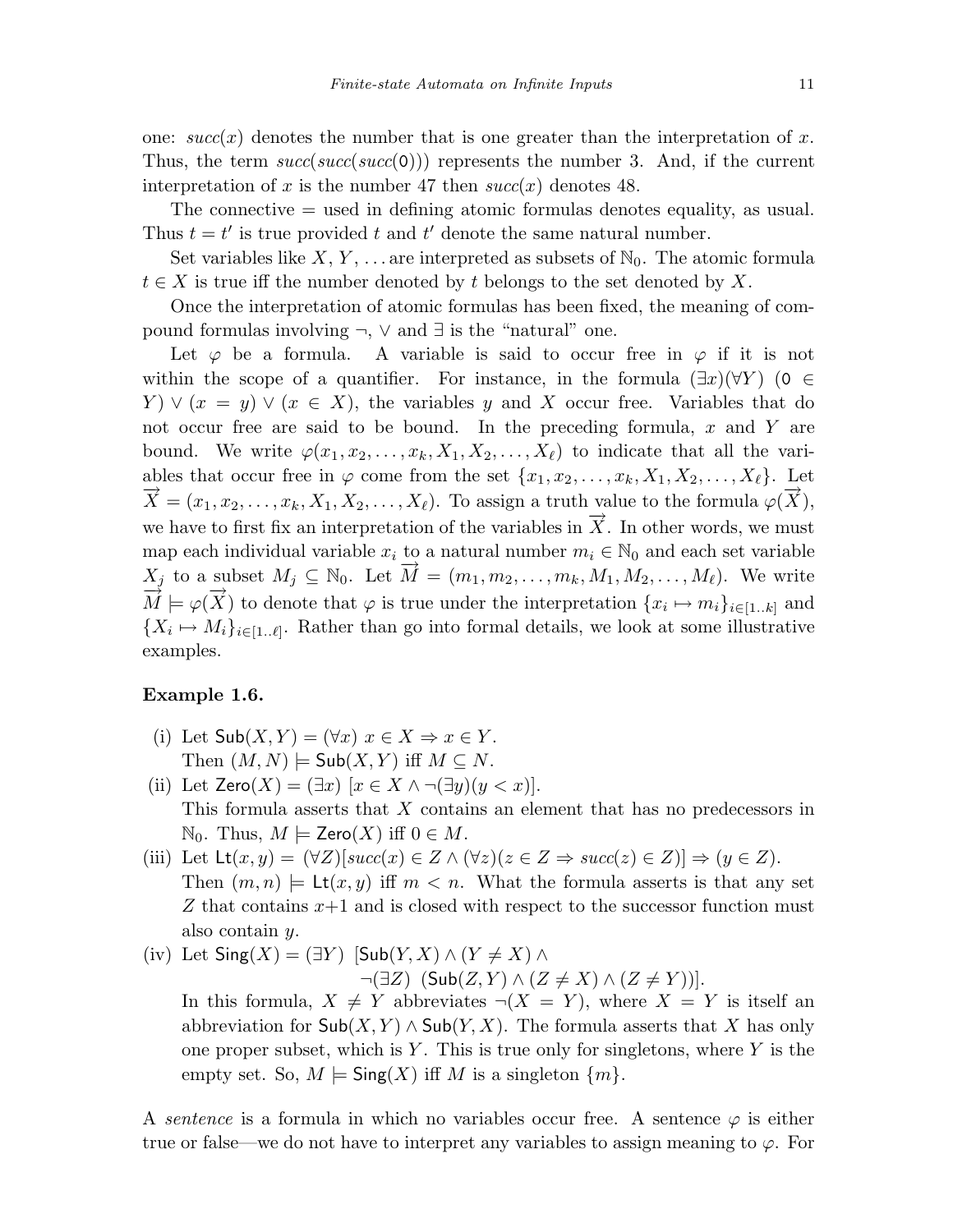one:  $succ(x)$  denotes the number that is one greater than the interpretation of x. Thus, the term  $succ(succ(succ(0)))$  represents the number 3. And, if the current interpretation of x is the number 47 then  $succ(x)$  denotes 48.

The connective = used in defining atomic formulas denotes equality, as usual. Thus  $t = t'$  is true provided t and t' denote the same natural number.

Set variables like X, Y, ... are interpreted as subsets of  $\mathbb{N}_0$ . The atomic formula  $t \in X$  is true iff the number denoted by t belongs to the set denoted by X.

Once the interpretation of atomic formulas has been fixed, the meaning of compound formulas involving ¬, ∨ and ∃ is the "natural" one.

Let  $\varphi$  be a formula. A variable is said to occur free in  $\varphi$  if it is not within the scope of a quantifier. For instance, in the formula  $(\exists x)(\forall Y)$  (0  $\in$  $Y \vee (x = y) \vee (x \in X)$ , the variables y and X occur free. Variables that do not occur free are said to be bound. In the preceding formula,  $x$  and  $Y$  are bound. We write  $\varphi(x_1, x_2, \ldots, x_k, X_1, X_2, \ldots, X_\ell)$  to indicate that all the variables that occur free in  $\varphi$  come from the set  $\{x_1, x_2, \ldots, x_k, X_1, X_2, \ldots, X_\ell\}$ . Let  $\overrightarrow{X} = (x_1, x_2, \ldots, x_k, X_1, X_2, \ldots, X_\ell)$ . To assign a truth value to the formula  $\varphi(\overrightarrow{X})$ , we have to first fix an interpretation of the variables in  $\overrightarrow{X}$ . In other words, we must map each individual variable  $x_i$  to a natural number  $m_i \in \mathbb{N}_0$  and each set variable  $X_j$  to a subset  $M_j \subseteq \mathbb{N}_0$ . Let  $\overrightarrow{M} = (m_1, m_2, \ldots, m_k, M_1, M_2, \ldots, M_\ell)$ . We write  $X_j$  to a subset  $M_j \subseteq \mathbb{N}_0$ . Let  $\overrightarrow{M} = (m_1, m_2, \ldots, m_k, M_1, M_2, \ldots, M_\ell)$ . We write  $\overrightarrow{M} \models \varphi(\overrightarrow{X})$  to denote that  $\varphi$  is true under the interpretation  $\{x_i \mapsto m_i\}_{i \in [1..k]}$  and  ${X_i \mapsto M_i}_{i \in [1..\ell]}$ . Rather than go into formal details, we look at some illustrative examples.

## Example 1.6.

- (i) Let  $\mathsf{Sub}(X, Y) = (\forall x) \ x \in X \Rightarrow x \in Y$ . Then  $(M, N) \models Sub(X, Y)$  iff  $M \subseteq N$ .
- (ii) Let  $\mathsf{Zero}(X)=(\exists x)\;[x\in X\wedge\neg(\exists y)(y\leq x)].$ This formula asserts that X contains an element that has no predecessors in  $\mathbb{N}_0$ . Thus,  $M \models \mathsf{Zero}(X)$  iff  $0 \in M$ .
- (iii) Let  $\mathsf{Lt}(x, y) = (\forall Z)[succ(x) \in Z \land (\forall z)(z \in Z \Rightarrow succ(z) \in Z)] \Rightarrow (y \in Z).$ Then  $(m, n) \models \mathsf{Lt}(x, y)$  iff  $m < n$ . What the formula asserts is that any set  $Z$  that contains  $x+1$  and is closed with respect to the successor function must also contain y.
- (iv) Let  $\textsf{Sing}(X)=(\exists Y)$   $[\textsf{Sub}(Y,X) \wedge (Y \neq X) \wedge$  $\neg(\exists Z)$   $(Sub(Z, Y) \wedge (Z \neq X) \wedge (Z \neq Y))$ ].

In this formula,  $X \neq Y$  abbreviates  $\neg(X = Y)$ , where  $X = Y$  is itself an abbreviation for  $\mathsf{Sub}(X, Y) \wedge \mathsf{Sub}(Y, X)$ . The formula asserts that X has only one proper subset, which is Y. This is true only for singletons, where Y is the empty set. So,  $M \models \mathsf{Sing}(X)$  iff M is a singleton  $\{m\}.$ 

A sentence is a formula in which no variables occur free. A sentence  $\varphi$  is either true or false—we do not have to interpret any variables to assign meaning to  $\varphi$ . For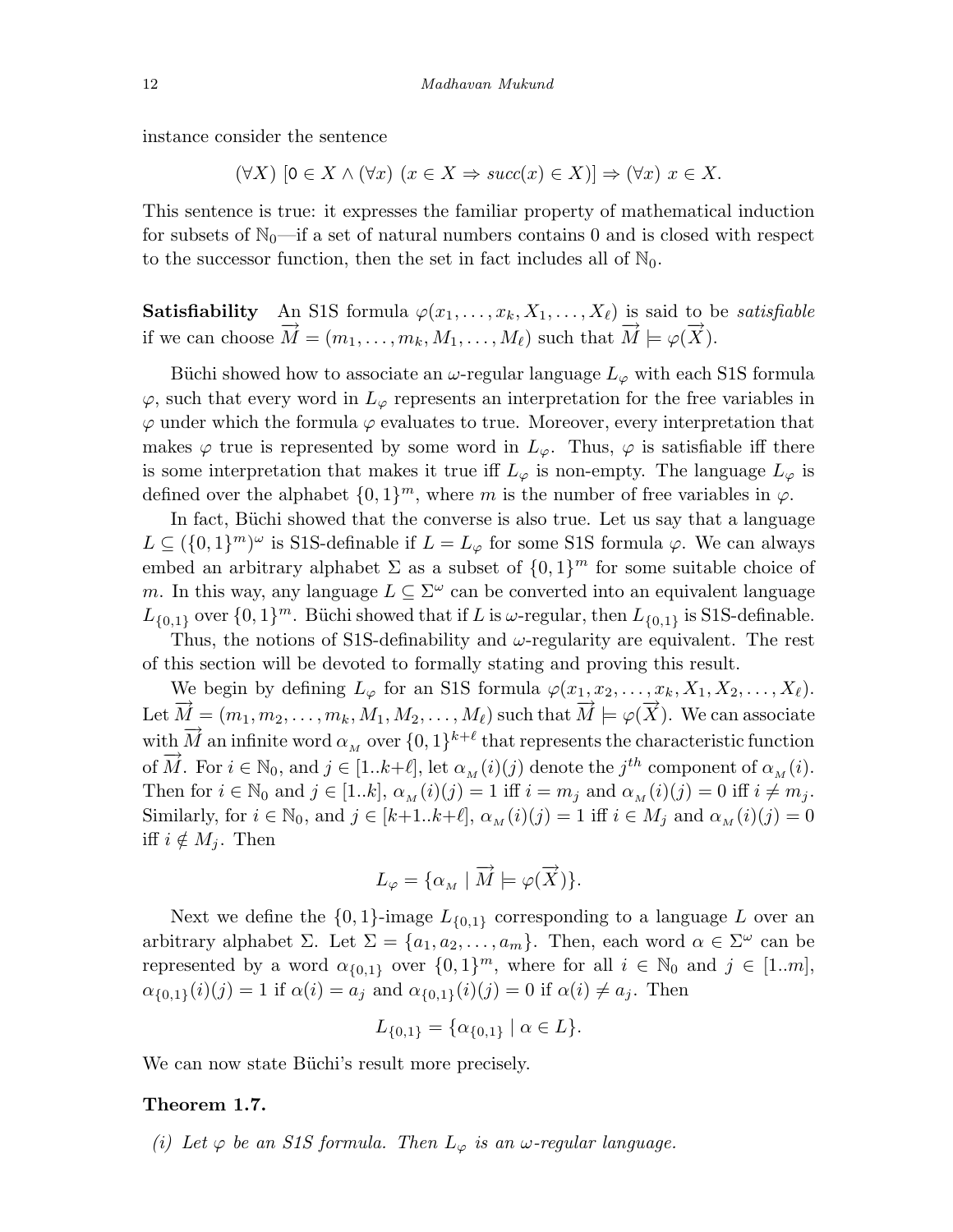instance consider the sentence

$$
(\forall X) \; [0 \in X \land (\forall x) \; (x \in X \Rightarrow succ(x) \in X)] \Rightarrow (\forall x) \; x \in X.
$$

This sentence is true: it expresses the familiar property of mathematical induction for subsets of  $\mathbb{N}_0$ —if a set of natural numbers contains 0 and is closed with respect to the successor function, then the set in fact includes all of  $\mathbb{N}_0$ .

**Satisfiability** An S1S formula  $\varphi(x_1,\ldots,x_k,X_1,\ldots,X_\ell)$  is said to be *satisfiable* if we can choose  $\vec{M} = (m_1, \ldots, m_k, M_1, \ldots, M_\ell)$  such that  $\vec{M} \models \varphi(\vec{X})$ .

Büchi showed how to associate an  $\omega$ -regular language  $L_{\varphi}$  with each S1S formula  $\varphi$ , such that every word in  $L_{\varphi}$  represents an interpretation for the free variables in  $\varphi$  under which the formula  $\varphi$  evaluates to true. Moreover, every interpretation that makes  $\varphi$  true is represented by some word in  $L_{\varphi}$ . Thus,  $\varphi$  is satisfiable iff there is some interpretation that makes it true iff  $L_{\varphi}$  is non-empty. The language  $L_{\varphi}$  is defined over the alphabet  $\{0, 1\}^m$ , where m is the number of free variables in  $\varphi$ .

In fact, Büchi showed that the converse is also true. Let us say that a language  $L \subseteq (\{0,1\}^m)^\omega$  is S1S-definable if  $L = L_\varphi$  for some S1S formula  $\varphi$ . We can always embed an arbitrary alphabet  $\Sigma$  as a subset of  $\{0,1\}^m$  for some suitable choice of m. In this way, any language  $L \subseteq \Sigma^{\omega}$  can be converted into an equivalent language  $L_{\{0,1\}}$  over  $\{0,1\}^m$ . Büchi showed that if L is  $\omega$ -regular, then  $L_{\{0,1\}}$  is S1S-definable.

Thus, the notions of S1S-definability and  $\omega$ -regularity are equivalent. The rest of this section will be devoted to formally stating and proving this result.

We begin by defining  $L_{\varphi}$  for an S1S formula  $\varphi(x_1, x_2, \ldots, x_k, X_1, X_2, \ldots, X_\ell)$ . Let  $\overrightarrow{M} = (m_1, m_2, \ldots, m_k, M_1, M_2, \ldots, M_\ell)$  such that  $\overrightarrow{M} \models \varphi(\overrightarrow{X})$ . We can associate with  $\vec{M}$  an infinite word  $\alpha_M$  over  $\{0,1\}^{k+\ell}$  that represents the characteristic function of  $\overline{M}$ . For  $i \in \mathbb{N}_0$ , and  $j \in [1..k+\ell]$ , let  $\alpha_M(i)(j)$  denote the  $j^{th}$  component of  $\alpha_M(i)$ . Then for  $i \in \mathbb{N}_0$  and  $j \in [1..k], \alpha_M(i)(j)=1$  iff  $i = m_j$  and  $\alpha_M(i)(j)=0$  iff  $i \neq m_j$ . Similarly, for  $i \in \mathbb{N}_0$ , and  $j \in [k+1..k+\ell]$ ,  $\alpha_M(i)(j)=1$  iff  $i \in M_j$  and  $\alpha_M(i)(j)=0$ iff  $i \notin M_j$ . Then

$$
L_{\varphi} = \{ \alpha_M \mid \overrightarrow{M} \models \varphi(\overrightarrow{X}) \}.
$$

Next we define the  $\{0,1\}$ -image  $L_{\{0,1\}}$  corresponding to a language L over an arbitrary alphabet Σ. Let  $\Sigma = \{a_1, a_2, \ldots, a_m\}$ . Then, each word  $\alpha \in \Sigma^{\omega}$  can be represented by a word  $\alpha_{\{0,1\}}$  over  $\{0,1\}^m$ , where for all  $i \in \mathbb{N}_0$  and  $j \in [1..m]$ ,  $\alpha_{\{0,1\}}(i)(j) = 1$  if  $\alpha(i) = a_j$  and  $\alpha_{\{0,1\}}(i)(j) = 0$  if  $\alpha(i) \neq a_j$ . Then

$$
L_{\{0,1\}} = \{ \alpha_{\{0,1\}} \mid \alpha \in L \}.
$$

We can now state Büchi's result more precisely.

#### Theorem 1.7.

(i) Let  $\varphi$  be an S1S formula. Then  $L_{\varphi}$  is an  $\omega$ -regular language.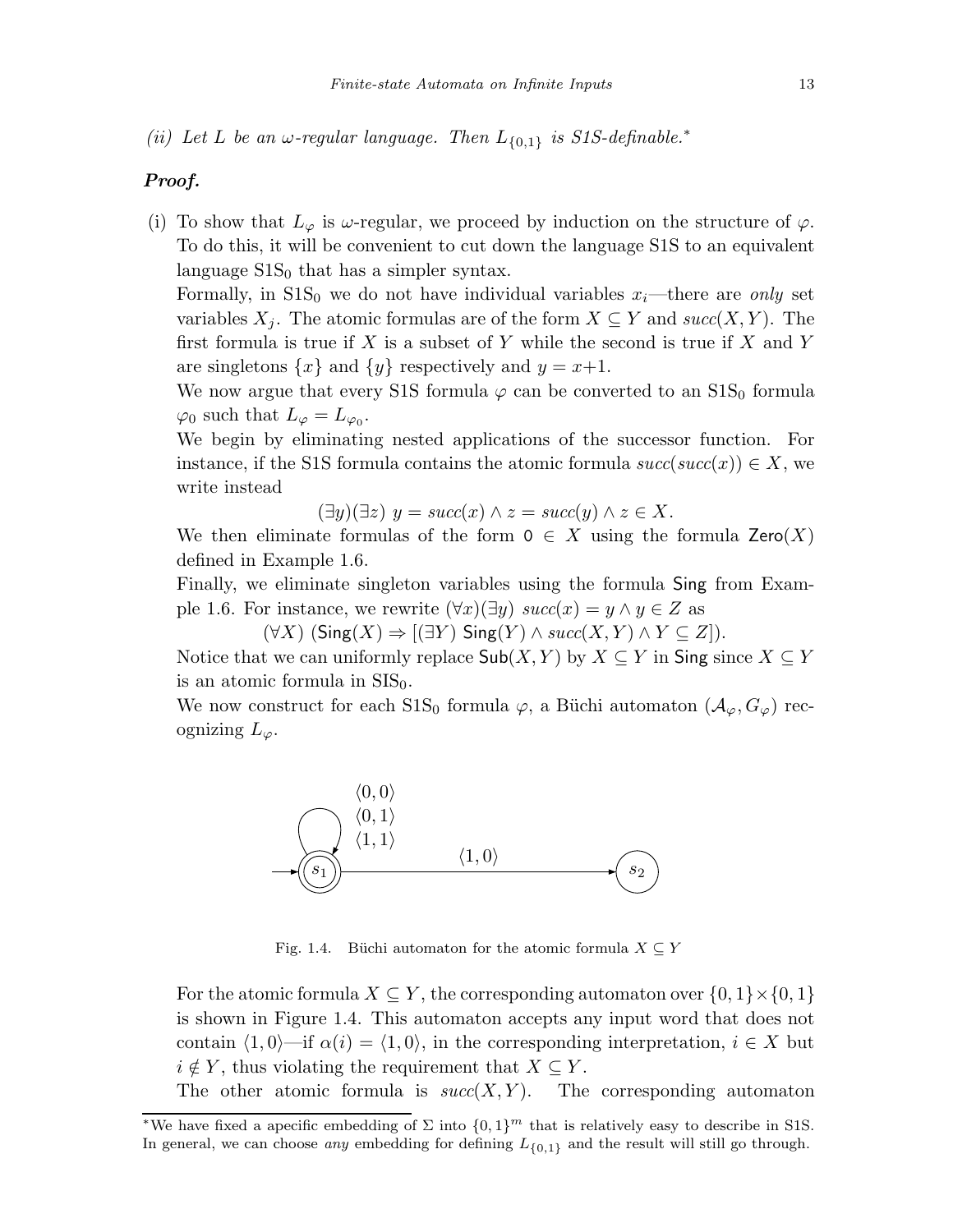(ii) Let L be an  $\omega$ -regular language. Then  $L_{\{0,1\}}$  is S1S-definable.<sup>\*</sup>

## Proof.

(i) To show that  $L_{\varphi}$  is  $\omega$ -regular, we proceed by induction on the structure of  $\varphi$ . To do this, it will be convenient to cut down the language S1S to an equivalent language  $S1S<sub>0</sub>$  that has a simpler syntax.

Formally, in  $S_0$  we do not have individual variables  $x_i$ —there are only set variables  $X_i$ . The atomic formulas are of the form  $X \subseteq Y$  and  $succ(X, Y)$ . The first formula is true if  $X$  is a subset of  $Y$  while the second is true if  $X$  and  $Y$ are singletons  $\{x\}$  and  $\{y\}$  respectively and  $y = x+1$ .

We now argue that every S1S formula  $\varphi$  can be converted to an S1S<sub>0</sub> formula  $\varphi_0$  such that  $L_\varphi = L_{\varphi_0}$ .

We begin by eliminating nested applications of the successor function. For instance, if the S1S formula contains the atomic formula  $succ(succ(x)) \in X$ , we write instead

 $(\exists y)(\exists z) \ y = succ(x) \land z = succ(y) \land z \in X.$ 

We then eliminate formulas of the form  $0 \in X$  using the formula  $\textsf{Zero}(X)$ defined in Example 1.6.

Finally, we eliminate singleton variables using the formula Sing from Example 1.6. For instance, we rewrite  $(\forall x)(\exists y) \; succ(x) = y \land y \in Z$  as

 $(\forall X)$  (Sing(X)  $\Rightarrow$  [(∃Y) Sing(Y)  $\land succ(X, Y) \land Y \subseteq Z$ ]).

Notice that we can uniformly replace  $\mathsf{Sub}(X, Y)$  by  $X \subseteq Y$  in Sing since  $X \subseteq Y$ is an atomic formula in  $SIS_0$ .

We now construct for each  $S1S_0$  formula  $\varphi$ , a Büchi automaton  $(\mathcal{A}_{\varphi}, G_{\varphi})$  recognizing  $L_{\varphi}$ .



Fig. 1.4. Büchi automaton for the atomic formula  $X \subseteq Y$ 

For the atomic formula  $X \subseteq Y$ , the corresponding automaton over  $\{0, 1\} \times \{0, 1\}$ is shown in Figure 1.4. This automaton accepts any input word that does not contain  $\langle 1, 0 \rangle$ —if  $\alpha(i) = \langle 1, 0 \rangle$ , in the corresponding interpretation,  $i \in X$  but  $i \notin Y$ , thus violating the requirement that  $X \subseteq Y$ .

The other atomic formula is  $succ(X, Y)$ . The corresponding automaton

<sup>&</sup>lt;sup>\*</sup>We have fixed a apecific embedding of  $\Sigma$  into  $\{0,1\}^m$  that is relatively easy to describe in S1S. In general, we can choose *any* embedding for defining  $L_{\{0,1\}}$  and the result will still go through.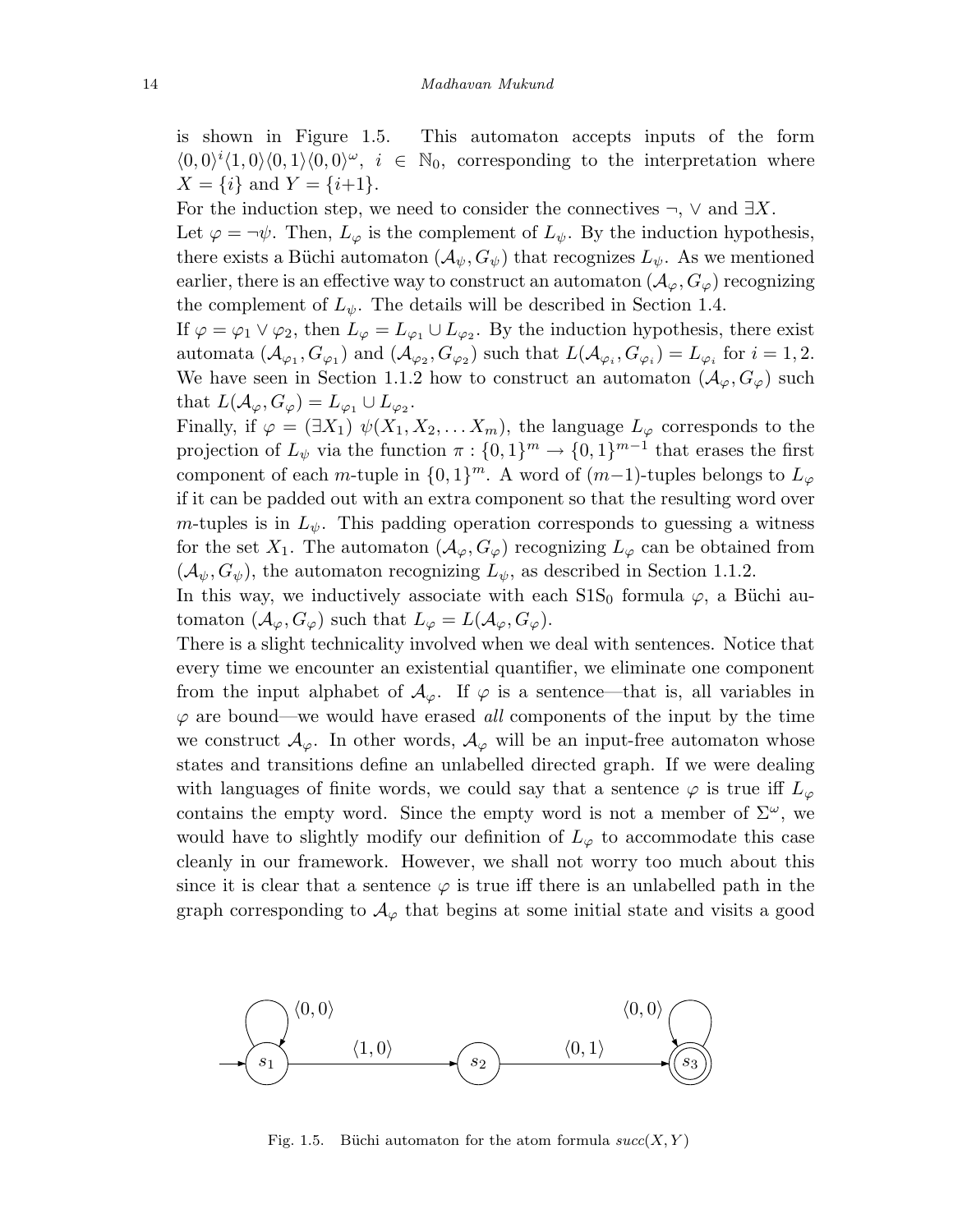is shown in Figure 1.5. This automaton accepts inputs of the form  $\langle 0,0\rangle^i\langle 1,0\rangle\langle 0,1\rangle\langle 0,0\rangle^\omega$ ,  $i \in \mathbb{N}_0$ , corresponding to the interpretation where  $X = \{i\}$  and  $Y = \{i+1\}.$ 

For the induction step, we need to consider the connectives  $\neg$ ,  $\vee$  and  $\exists X$ .

Let  $\varphi = \neg \psi$ . Then,  $L_{\varphi}$  is the complement of  $L_{\psi}$ . By the induction hypothesis, there exists a Büchi automaton  $(\mathcal{A}_{\psi}, G_{\psi})$  that recognizes  $L_{\psi}$ . As we mentioned earlier, there is an effective way to construct an automaton  $(\mathcal{A}_{\varphi}, G_{\varphi})$  recognizing the complement of  $L_{\psi}$ . The details will be described in Section 1.4.

If  $\varphi = \varphi_1 \vee \varphi_2$ , then  $L_{\varphi} = L_{\varphi_1} \cup L_{\varphi_2}$ . By the induction hypothesis, there exist automata  $(\mathcal{A}_{\varphi_1}, G_{\varphi_1})$  and  $(\mathcal{A}_{\varphi_2}, G_{\varphi_2})$  such that  $L(\mathcal{A}_{\varphi_i}, G_{\varphi_i}) = L_{\varphi_i}$  for  $i = 1, 2$ . We have seen in Section 1.1.2 how to construct an automaton  $(\mathcal{A}_{\varphi}, G_{\varphi})$  such that  $L(\mathcal{A}_{\varphi}, G_{\varphi}) = L_{\varphi_1} \cup L_{\varphi_2}$ .

Finally, if  $\varphi = (\exists X_1) \psi(X_1, X_2, \dots X_m)$ , the language  $L_{\varphi}$  corresponds to the projection of  $L_{\psi}$  via the function  $\pi : \{0,1\}^m \to \{0,1\}^{m-1}$  that erases the first component of each m-tuple in  $\{0,1\}^m$ . A word of  $(m-1)$ -tuples belongs to  $L_{\varphi}$ if it can be padded out with an extra component so that the resulting word over m-tuples is in  $L_{\psi}$ . This padding operation corresponds to guessing a witness for the set  $X_1$ . The automaton  $(\mathcal{A}_{\varphi}, G_{\varphi})$  recognizing  $L_{\varphi}$  can be obtained from  $(\mathcal{A}_{\psi}, G_{\psi})$ , the automaton recognizing  $L_{\psi}$ , as described in Section 1.1.2.

In this way, we inductively associate with each  $S1S_0$  formula  $\varphi$ , a Büchi automaton  $(\mathcal{A}_{\varphi}, G_{\varphi})$  such that  $L_{\varphi} = L(\mathcal{A}_{\varphi}, G_{\varphi})$ .

There is a slight technicality involved when we deal with sentences. Notice that every time we encounter an existential quantifier, we eliminate one component from the input alphabet of  $\mathcal{A}_{\varphi}$ . If  $\varphi$  is a sentence—that is, all variables in  $\varphi$  are bound—we would have erased all components of the input by the time we construct  $\mathcal{A}_{\varphi}$ . In other words,  $\mathcal{A}_{\varphi}$  will be an input-free automaton whose states and transitions define an unlabelled directed graph. If we were dealing with languages of finite words, we could say that a sentence  $\varphi$  is true iff  $L_{\varphi}$ contains the empty word. Since the empty word is not a member of  $\Sigma^{\omega}$ , we would have to slightly modify our definition of  $L_{\varphi}$  to accommodate this case cleanly in our framework. However, we shall not worry too much about this since it is clear that a sentence  $\varphi$  is true iff there is an unlabelled path in the graph corresponding to  $\mathcal{A}_{\varphi}$  that begins at some initial state and visits a good



Fig. 1.5. Büchi automaton for the atom formula  $succ(X, Y)$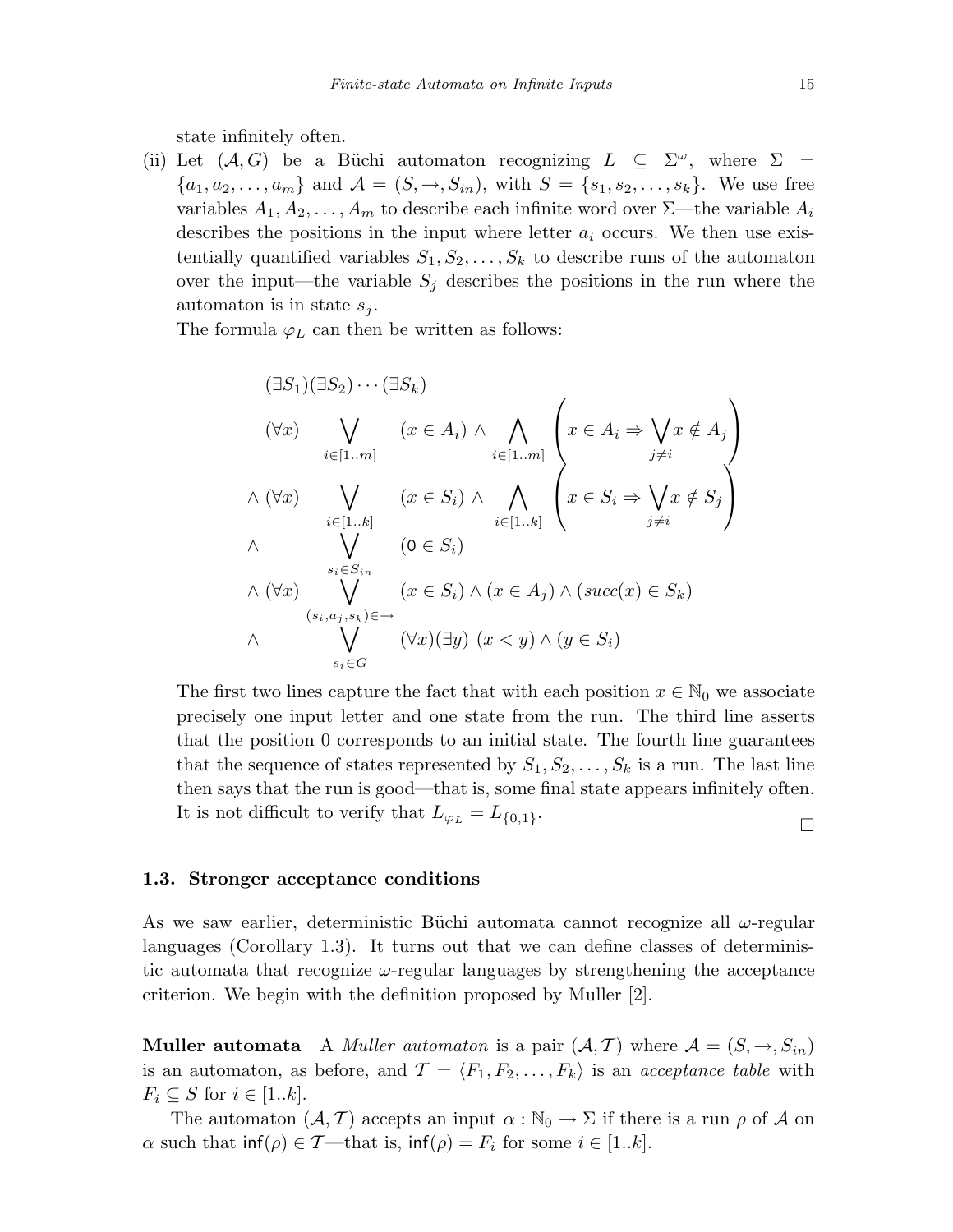state infinitely often.

(ii) Let  $(A, G)$  be a Büchi automaton recognizing  $L \subseteq \Sigma^{\omega}$ , where  $\Sigma$  ${a_1, a_2,..., a_m}$  and  $\mathcal{A} = (S, \rightarrow, S_{in})$ , with  $S = {s_1, s_2,..., s_k}$ . We use free variables  $A_1, A_2, \ldots, A_m$  to describe each infinite word over  $\Sigma$ —the variable  $A_i$ describes the positions in the input where letter  $a_i$  occurs. We then use existentially quantified variables  $S_1, S_2, \ldots, S_k$  to describe runs of the automaton over the input—the variable  $S_i$  describes the positions in the run where the automaton is in state  $s_j$ .

The formula  $\varphi_L$  can then be written as follows:

$$
(\exists S_1)(\exists S_2)\cdots(\exists S_k)
$$
  
\n
$$
(\forall x) \bigvee_{i\in[1..m]} (x \in A_i) \land \bigwedge_{i\in[1..m]} \left\{ x \in A_i \Rightarrow \bigvee_{j\neq i} x \notin A_j \right\}
$$
  
\n
$$
\land (\forall x) \bigvee_{i\in[1..k]} (x \in S_i) \land \bigwedge_{i\in[1..k]} \left\{ x \in S_i \Rightarrow \bigvee_{j\neq i} x \notin S_j \right\}
$$
  
\n
$$
\land \bigvee_{\substack{s_i \in S_{in} \ S_i \land (x \in S_i) \land (x \in A_j) \land (succ(x) \in S_k)}} (x \in S_i) \land (\forall x) \bigvee_{(s_i, a_j, s_k) \in \rightarrow} (x \in S_i) \land (y \in S_i)
$$

The first two lines capture the fact that with each position  $x \in \mathbb{N}_0$  we associate precisely one input letter and one state from the run. The third line asserts that the position 0 corresponds to an initial state. The fourth line guarantees that the sequence of states represented by  $S_1, S_2, \ldots, S_k$  is a run. The last line then says that the run is good—that is, some final state appears infinitely often. It is not difficult to verify that  $L_{\varphi_L} = L_{\{0,1\}}$ .

#### 1.3. Stronger acceptance conditions

As we saw earlier, deterministic Büchi automata cannot recognize all  $\omega$ -regular languages (Corollary 1.3). It turns out that we can define classes of deterministic automata that recognize  $\omega$ -regular languages by strengthening the acceptance criterion. We begin with the definition proposed by Muller [2].

**Muller automata** A *Muller automaton* is a pair  $(A, \mathcal{T})$  where  $\mathcal{A} = (S, \rightarrow, S_{in})$ is an automaton, as before, and  $\mathcal{T} = \langle F_1, F_2, \ldots, F_k \rangle$  is an acceptance table with  $F_i \subseteq S$  for  $i \in [1..k]$ .

The automaton  $(A, \mathcal{T})$  accepts an input  $\alpha : \mathbb{N}_0 \to \Sigma$  if there is a run  $\rho$  of A on  $\alpha$  such that  $\inf(\rho) \in \mathcal{T}$ —that is,  $\inf(\rho) = F_i$  for some  $i \in [1..k]$ .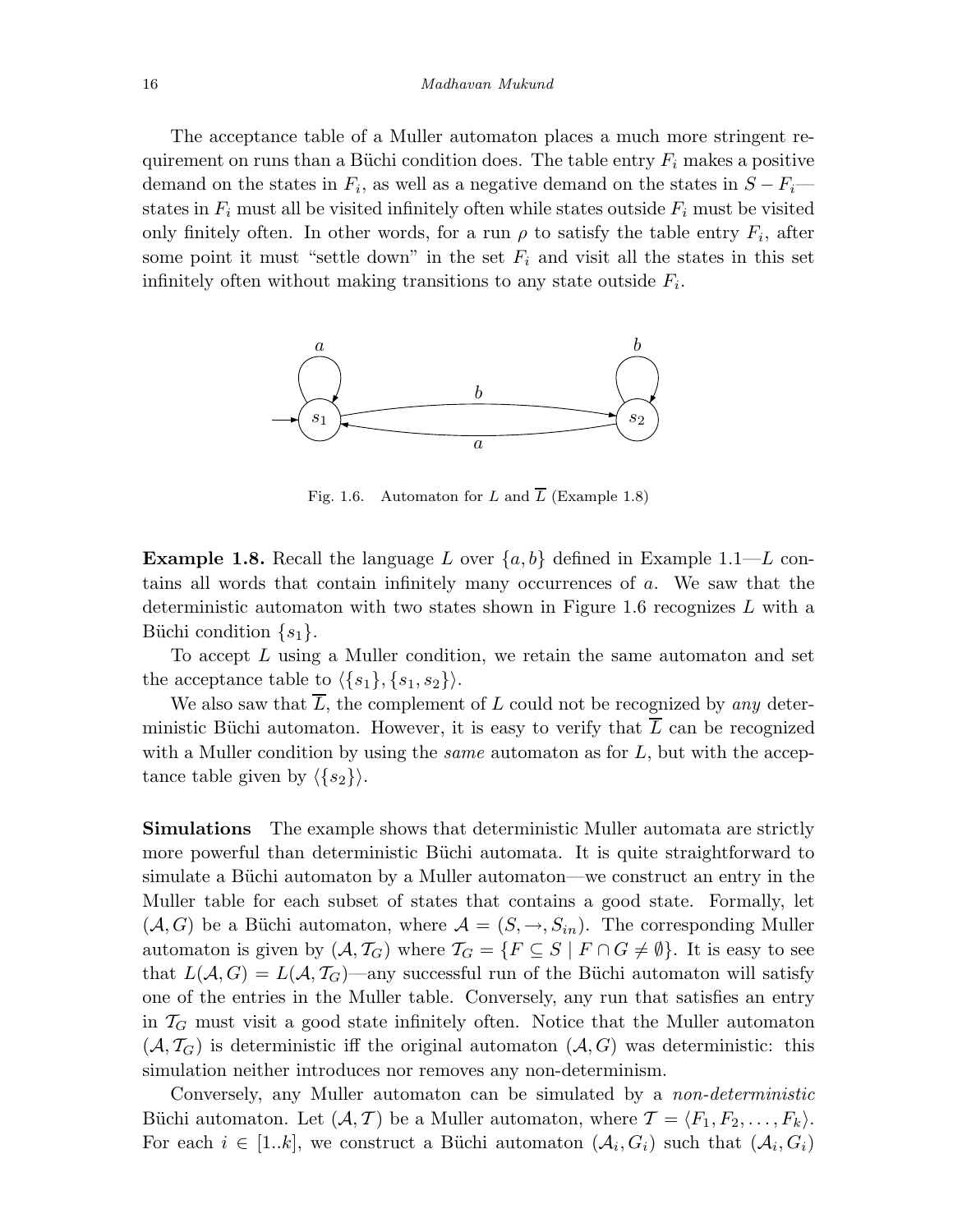#### 16 Madhavan Mukund

The acceptance table of a Muller automaton places a much more stringent requirement on runs than a Büchi condition does. The table entry  $F_i$  makes a positive demand on the states in  $F_i$ , as well as a negative demand on the states in  $S - F_i$ states in  $F_i$  must all be visited infinitely often while states outside  $F_i$  must be visited only finitely often. In other words, for a run  $\rho$  to satisfy the table entry  $F_i$ , after some point it must "settle down" in the set  $F_i$  and visit all the states in this set infinitely often without making transitions to any state outside  $F_i$ .



Fig. 1.6. Automaton for L and  $\overline{L}$  (Example 1.8)

**Example 1.8.** Recall the language L over  $\{a, b\}$  defined in Example 1.1—L contains all words that contain infinitely many occurrences of a. We saw that the deterministic automaton with two states shown in Figure 1.6 recognizes  $L$  with a Büchi condition  $\{s_1\}.$ 

To accept L using a Muller condition, we retain the same automaton and set the acceptance table to  $\langle \{s_1\}, \{s_1, s_2\}\rangle$ .

We also saw that  $\overline{L}$ , the complement of L could not be recognized by any deterministic Büchi automaton. However, it is easy to verify that  $\overline{L}$  can be recognized with a Muller condition by using the *same* automaton as for  $L$ , but with the acceptance table given by  $\langle \{s_2\}\rangle$ .

**Simulations** The example shows that deterministic Muller automata are strictly more powerful than deterministic Büchi automata. It is quite straightforward to simulate a Büchi automaton by a Muller automaton—we construct an entry in the Muller table for each subset of states that contains a good state. Formally, let  $(A, G)$  be a Büchi automaton, where  $\mathcal{A} = (S, \rightarrow, S_{in})$ . The corresponding Muller automaton is given by  $(A, \mathcal{T}_G)$  where  $\mathcal{T}_G = \{F \subseteq S \mid F \cap G \neq \emptyset\}$ . It is easy to see that  $L(A, G) = L(A, T_G)$ —any successful run of the Büchi automaton will satisfy one of the entries in the Muller table. Conversely, any run that satisfies an entry in  $\mathcal{T}_G$  must visit a good state infinitely often. Notice that the Muller automaton  $(\mathcal{A}, \mathcal{T}_G)$  is deterministic iff the original automaton  $(\mathcal{A}, G)$  was deterministic: this simulation neither introduces nor removes any non-determinism.

Conversely, any Muller automaton can be simulated by a *non-deterministic* Büchi automaton. Let  $(\mathcal{A}, \mathcal{T})$  be a Muller automaton, where  $\mathcal{T} = \langle F_1, F_2, \ldots, F_k \rangle$ . For each  $i \in [1..k]$ , we construct a Büchi automaton  $(\mathcal{A}_i, G_i)$  such that  $(\mathcal{A}_i, G_i)$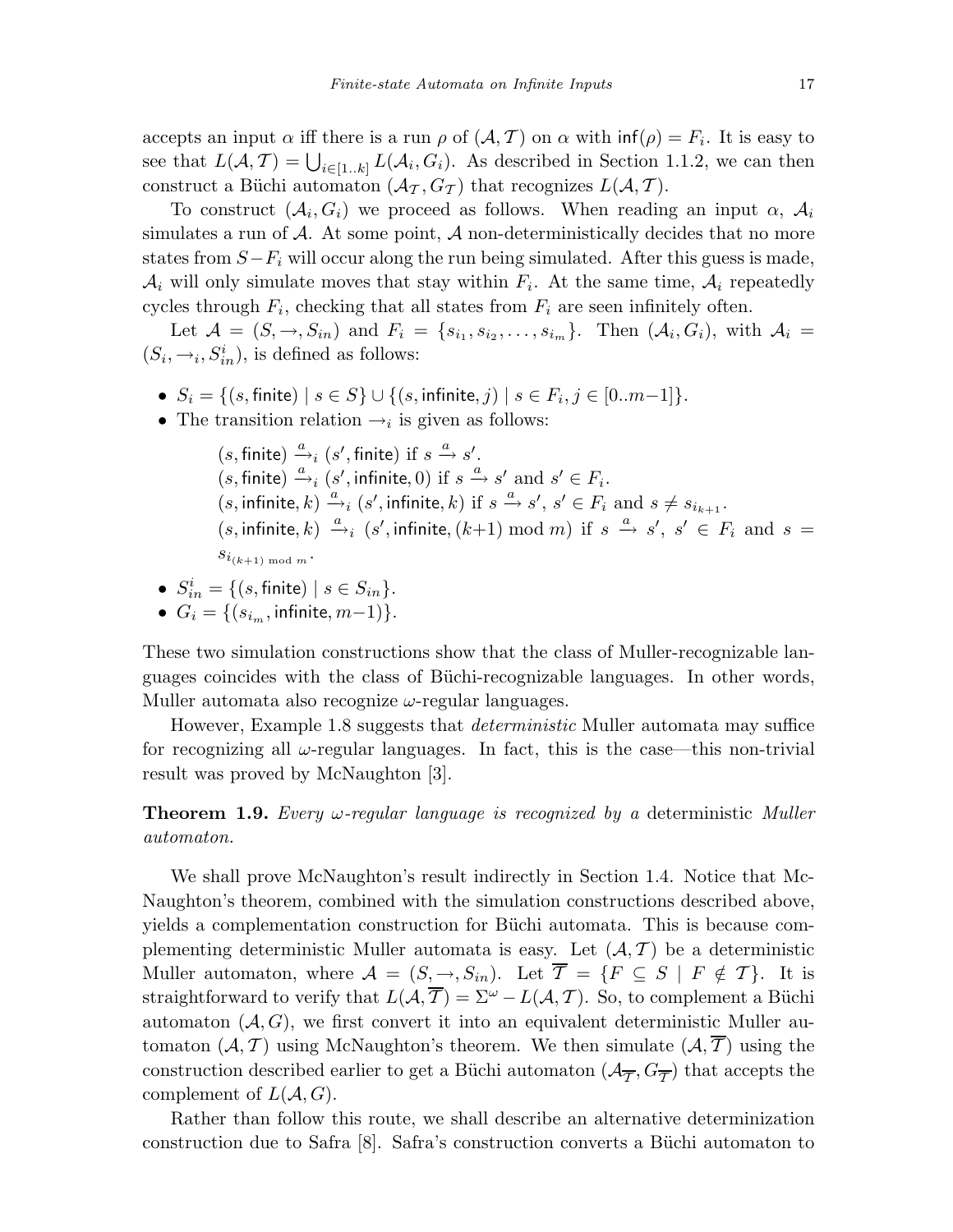accepts an input  $\alpha$  iff there is a run  $\rho$  of  $(\mathcal{A}, \mathcal{T})$  on  $\alpha$  with  $\inf(\rho) = F_i$ . It is easy to see that  $L(A, \mathcal{T}) = \bigcup_{i \in [1..k]} L(A_i, G_i)$ . As described in Section 1.1.2, we can then construct a Büchi automaton  $(\mathcal{A}_{\mathcal{I}}, G_{\mathcal{I}})$  that recognizes  $L(\mathcal{A}, \mathcal{T})$ .

To construct  $(\mathcal{A}_i, G_i)$  we proceed as follows. When reading an input  $\alpha$ ,  $\mathcal{A}_i$ simulates a run of  $A$ . At some point,  $A$  non-deterministically decides that no more states from  $S-F_i$  will occur along the run being simulated. After this guess is made,  $\mathcal{A}_i$  will only simulate moves that stay within  $F_i$ . At the same time,  $\mathcal{A}_i$  repeatedly cycles through  $F_i$ , checking that all states from  $F_i$  are seen infinitely often.

Let  $\mathcal{A} = (S, \rightarrow, S_{in})$  and  $F_i = \{s_{i_1}, s_{i_2}, \ldots, s_{i_m}\}\$ . Then  $(\mathcal{A}_i, G_i)$ , with  $\mathcal{A}_i =$  $(S_i, \rightarrow_i, S_{in}^i)$ , is defined as follows:

- $S_i = \{(s, \text{finite}) \mid s \in S\} \cup \{(s, \text{infinite}, j) \mid s \in F_i, j \in [0..m-1]\}.$
- The transition relation  $\rightarrow_i$  is given as follows:

 $(s, \text{finite}) \xrightarrow{a} (s', \text{finite}) \text{ if } s \xrightarrow{a} s'.$  $(s, \text{finite}) \xrightarrow{a} (s', \text{infinite}, 0) \text{ if } s \xrightarrow{a} s' \text{ and } s' \in F_i.$  $(s, \text{infinite}, k) \xrightarrow{a} (s', \text{infinite}, k) \text{ if } s \xrightarrow{a} s', s' \in F_i \text{ and } s \neq s_{i_{k+1}}.$  $(s, \text{infinite}, k) \xrightarrow{a} (s', \text{infinite}, (k+1) \text{ mod } m)$  if  $s \xrightarrow{a} s', s' \in F_i$  and  $s =$  $s_{i_{(k+1) \bmod m}}$ .

- $S_{in}^i = \{ (s, \text{finite}) \mid s \in S_{in} \}.$
- $G_i = \{(s_{i_m}, \text{infinite}, m-1)\}.$

These two simulation constructions show that the class of Muller-recognizable languages coincides with the class of Büchi-recognizable languages. In other words, Muller automata also recognize  $\omega$ -regular languages.

However, Example 1.8 suggests that *deterministic* Muller automata may suffice for recognizing all  $\omega$ -regular languages. In fact, this is the case—this non-trivial result was proved by McNaughton [3].

**Theorem 1.9.** Every  $\omega$ -regular language is recognized by a deterministic Muller automaton.

We shall prove McNaughton's result indirectly in Section 1.4. Notice that Mc-Naughton's theorem, combined with the simulation constructions described above, yields a complementation construction for Büchi automata. This is because complementing deterministic Muller automata is easy. Let  $(\mathcal{A}, \mathcal{T})$  be a deterministic Muller automaton, where  $\mathcal{A} = (S, \rightarrow, S_{in})$ . Let  $\overline{\mathcal{T}} = \{F \subseteq S \mid F \notin \mathcal{T}\}\$ . It is straightforward to verify that  $L(\mathcal{A}, \overline{T}) = \Sigma^{\omega} - L(\mathcal{A}, \mathcal{T})$ . So, to complement a Büchi automaton  $(A, G)$ , we first convert it into an equivalent deterministic Muller automaton  $(A, \mathcal{T})$  using McNaughton's theorem. We then simulate  $(A, \overline{\mathcal{T}})$  using the construction described earlier to get a Büchi automaton  $(\mathcal{A}_{\overline{\mathcal{T}}}, G_{\overline{\mathcal{T}}})$  that accepts the complement of  $L(A, G)$ .

Rather than follow this route, we shall describe an alternative determinization construction due to Safra  $[8]$ . Safra's construction converts a Büchi automaton to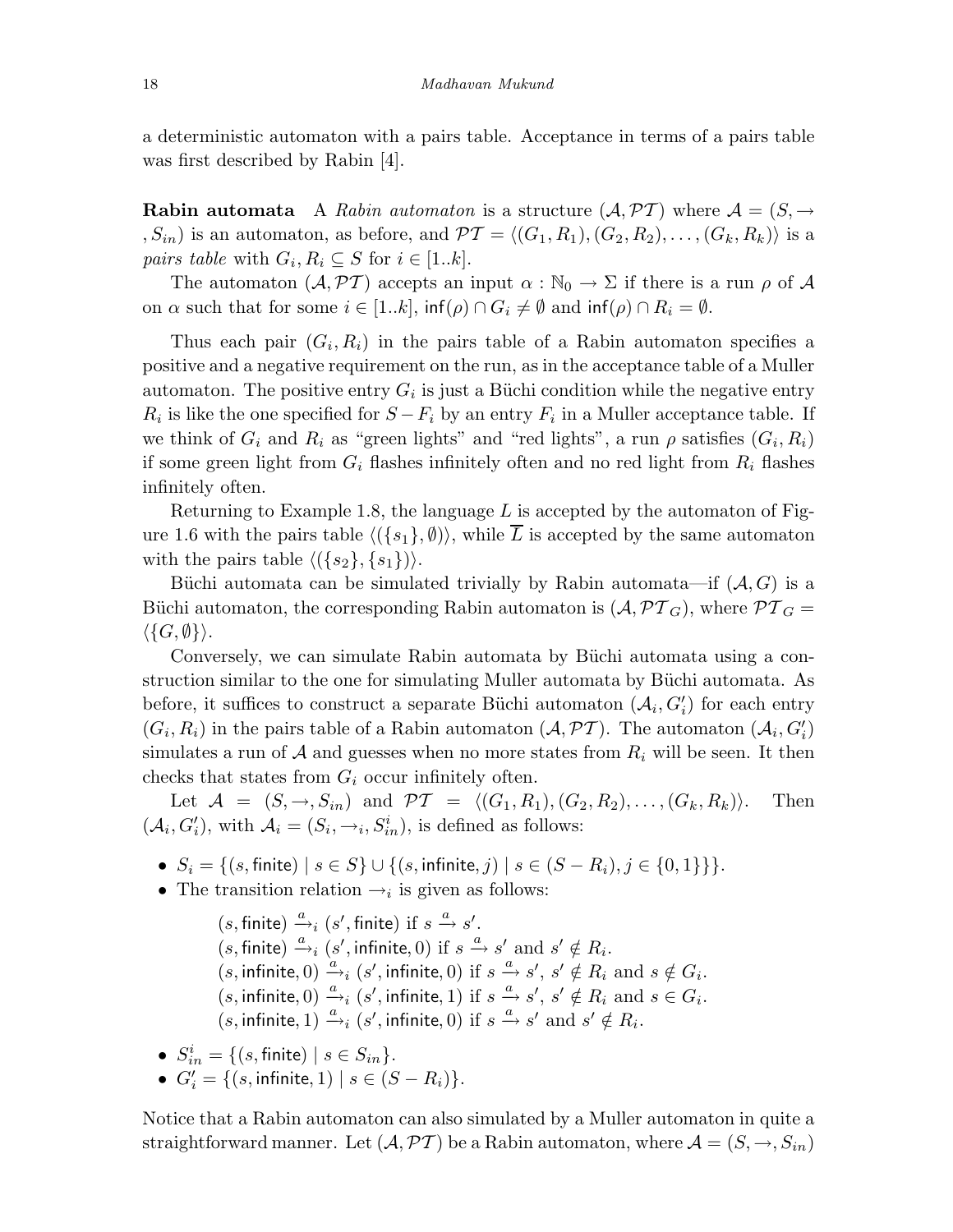a deterministic automaton with a pairs table. Acceptance in terms of a pairs table was first described by Rabin [4].

**Rabin automata** A Rabin automaton is a structure  $(A, PT)$  where  $A = (S, \rightarrow$ ,  $S_{in}$ ) is an automaton, as before, and  $\mathcal{PT} = \langle (G_1, R_1), (G_2, R_2), \ldots, (G_k, R_k) \rangle$  is a *pairs table* with  $G_i, R_i \subseteq S$  for  $i \in [1..k]$ .

The automaton  $(\mathcal{A}, \mathcal{PT})$  accepts an input  $\alpha : \mathbb{N}_0 \to \Sigma$  if there is a run  $\rho$  of  $\mathcal{A}$ on  $\alpha$  such that for some  $i \in [1..k]$ ,  $\inf(\rho) \cap G_i \neq \emptyset$  and  $\inf(\rho) \cap R_i = \emptyset$ .

Thus each pair  $(G_i, R_i)$  in the pairs table of a Rabin automaton specifies a positive and a negative requirement on the run, as in the acceptance table of a Muller automaton. The positive entry  $G_i$  is just a Büchi condition while the negative entry  $R_i$  is like the one specified for  $S - F_i$  by an entry  $F_i$  in a Muller acceptance table. If we think of  $G_i$  and  $R_i$  as "green lights" and "red lights", a run  $\rho$  satisfies  $(G_i, R_i)$ if some green light from  $G_i$  flashes infinitely often and no red light from  $R_i$  flashes infinitely often.

Returning to Example 1.8, the language  $L$  is accepted by the automaton of Figure 1.6 with the pairs table  $\langle (\{s_1\}, \emptyset) \rangle$ , while  $\overline{L}$  is accepted by the same automaton with the pairs table  $\langle (\{s_2\}, \{s_1\}) \rangle$ .

Büchi automata can be simulated trivially by Rabin automata—if  $(A, G)$  is a Büchi automaton, the corresponding Rabin automaton is  $(\mathcal{A}, \mathcal{PT}_G)$ , where  $\mathcal{PT}_G =$  $\langle \{G,\emptyset\} \rangle.$ 

Conversely, we can simulate Rabin automata by Büchi automata using a construction similar to the one for simulating Muller automata by Büchi automata. As before, it suffices to construct a separate Büchi automaton  $(\mathcal{A}_i, G'_i)$  for each entry  $(G_i, R_i)$  in the pairs table of a Rabin automaton  $(A, \mathcal{PT})$ . The automaton  $(A_i, G'_i)$ simulates a run of  $A$  and guesses when no more states from  $R_i$  will be seen. It then checks that states from  $G_i$  occur infinitely often.

Let  $\mathcal{A} = (S, \rightarrow, S_{in})$  and  $\mathcal{PT} = \langle (G_1, R_1), (G_2, R_2), \dots, (G_k, R_k) \rangle$ . Then  $(\mathcal{A}_i, G'_i)$ , with  $\mathcal{A}_i = (S_i, \rightarrow_i, S_{in}^i)$ , is defined as follows:

- $S_i = \{(s, \text{finite}) \mid s \in S\} \cup \{(s, \text{infinite}, j) \mid s \in (S R_i), j \in \{0, 1\}\}\}.$
- The transition relation  $\rightarrow_i$  is given as follows:

 $(s, \text{finite}) \xrightarrow{a} (s', \text{finite}) \text{ if } s \xrightarrow{a} s'.$  $(s, \text{finite}) \xrightarrow{a} (s', \text{infinite}, 0) \text{ if } s \xrightarrow{a} s' \text{ and } s' \notin R_i.$  $(s, \text{infinite}, 0) \xrightarrow{a} (s', \text{infinite}, 0) \text{ if } s \xrightarrow{a} s', s' \notin R_i \text{ and } s \notin G_i.$  $(s, \text{infinite}, 0) \xrightarrow{a} (s', \text{infinite}, 1) \text{ if } s \xrightarrow{a} s', s' \notin R_i \text{ and } s \in G_i.$  $(s, \text{infinite}, 1) \xrightarrow{a} (s', \text{infinite}, 0) \text{ if } s \xrightarrow{a} s' \text{ and } s' \notin R_i.$ 

- $S_{in}^i = \{ (s, \text{finite}) \mid s \in S_{in} \}.$
- $G'_{i} = \{(s, \text{infinite}, 1) \mid s \in (S R_{i})\}.$

Notice that a Rabin automaton can also simulated by a Muller automaton in quite a straightforward manner. Let  $(\mathcal{A}, \mathcal{PT})$  be a Rabin automaton, where  $\mathcal{A} = (S, \rightarrow, S_{in})$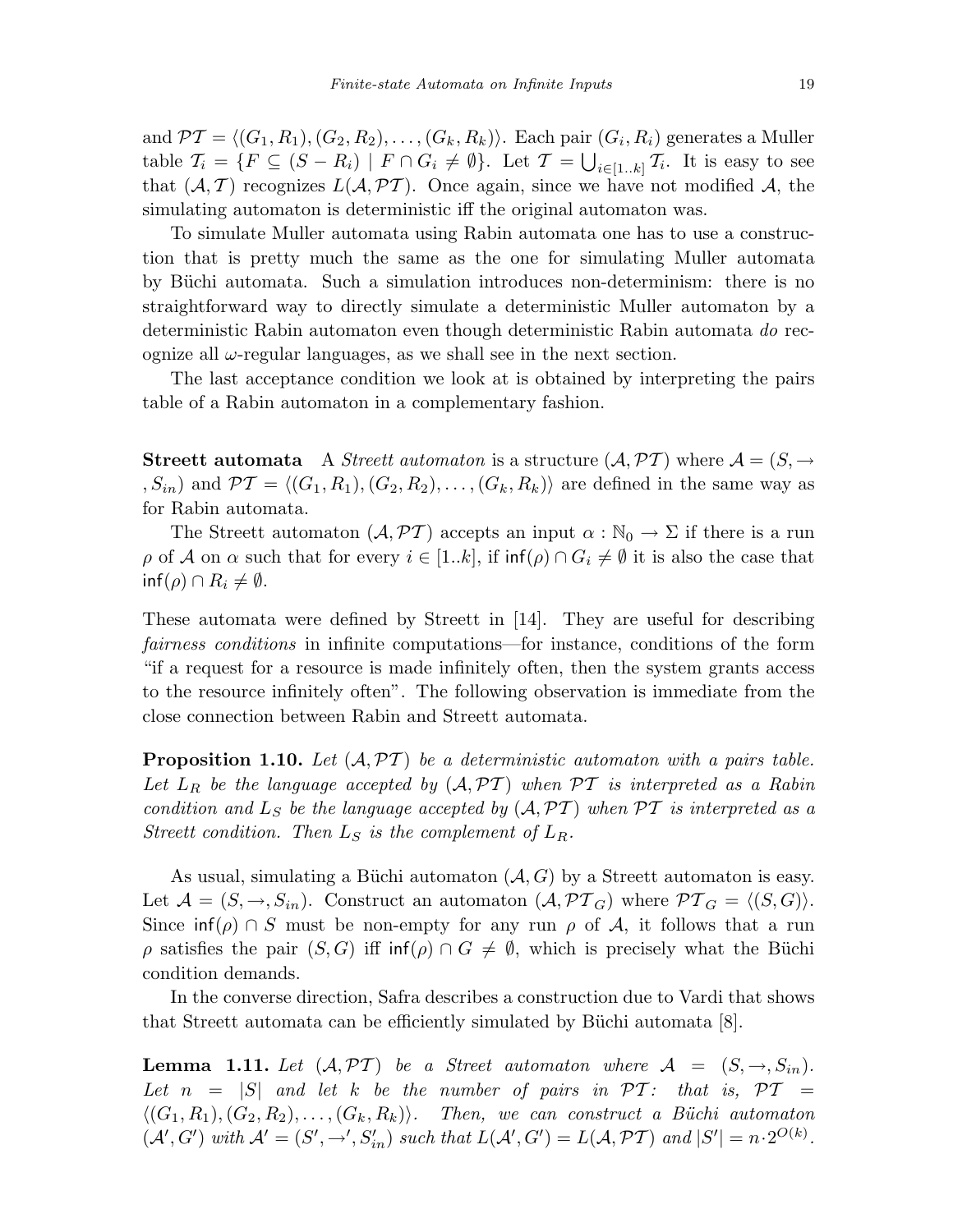and  $\mathcal{PT} = \langle (G_1, R_1), (G_2, R_2), \ldots, (G_k, R_k) \rangle$ . Each pair  $(G_i, R_i)$  generates a Muller table  $\mathcal{T}_i = \{F \subseteq (S - R_i) \mid F \cap G_i \neq \emptyset\}$ . Let  $\mathcal{T} = \bigcup_{i \in [1..k]} \mathcal{T}_i$ . It is easy to see that  $(A, \mathcal{T})$  recognizes  $L(A, \mathcal{PT})$ . Once again, since we have not modified A, the simulating automaton is deterministic iff the original automaton was.

To simulate Muller automata using Rabin automata one has to use a construction that is pretty much the same as the one for simulating Muller automata by Büchi automata. Such a simulation introduces non-determinism: there is no straightforward way to directly simulate a deterministic Muller automaton by a deterministic Rabin automaton even though deterministic Rabin automata do recognize all  $\omega$ -regular languages, as we shall see in the next section.

The last acceptance condition we look at is obtained by interpreting the pairs table of a Rabin automaton in a complementary fashion.

**Streett automata** A Streett automaton is a structure  $(A, \mathcal{PT})$  where  $\mathcal{A} = (S, \rightarrow$ ,  $S_{in}$  and  $\mathcal{PT} = \langle (G_1, R_1), (G_2, R_2), \ldots, (G_k, R_k) \rangle$  are defined in the same way as for Rabin automata.

The Streett automaton  $(\mathcal{A}, \mathcal{PT})$  accepts an input  $\alpha : \mathbb{N}_0 \to \Sigma$  if there is a run  $\rho$  of A on  $\alpha$  such that for every  $i \in [1..k]$ , if  $\inf(\rho) \cap G_i \neq \emptyset$  it is also the case that  $\inf(\rho) \cap R_i \neq \emptyset.$ 

These automata were defined by Streett in [14]. They are useful for describing fairness conditions in infinite computations—for instance, conditions of the form "if a request for a resource is made infinitely often, then the system grants access to the resource infinitely often". The following observation is immediate from the close connection between Rabin and Streett automata.

**Proposition 1.10.** Let  $(A, PT)$  be a deterministic automaton with a pairs table. Let  $L_R$  be the language accepted by  $(A, PT)$  when  $PT$  is interpreted as a Rabin condition and  $L_S$  be the language accepted by  $(A, PT)$  when  $PT$  is interpreted as a Streett condition. Then  $L_S$  is the complement of  $L_R$ .

As usual, simulating a Büchi automaton  $(A, G)$  by a Streett automaton is easy. Let  $\mathcal{A} = (S, \rightarrow, S_{in}).$  Construct an automaton  $(\mathcal{A}, \mathcal{PT}_G)$  where  $\mathcal{PT}_G = \langle (S, G) \rangle$ . Since  $\inf(\rho) \cap S$  must be non-empty for any run  $\rho$  of A, it follows that a run ρ satisfies the pair  $(S, G)$  iff inf(ρ)  $\cap G \neq \emptyset$ , which is precisely what the Büchi condition demands.

In the converse direction, Safra describes a construction due to Vardi that shows that Streett automata can be efficiently simulated by Büchi automata  $[8]$ .

**Lemma 1.11.** Let  $(A, \mathcal{PT})$  be a Street automaton where  $A = (S, \rightarrow, S_{in}).$ Let  $n = |S|$  and let k be the number of pairs in  $\mathcal{PT}$ : that is,  $\mathcal{PT}$  =  $\langle (G_1, R_1), (G_2, R_2), \ldots, (G_k, R_k) \rangle$ . Then, we can construct a Büchi automaton  $(\mathcal{A}', G')$  with  $\mathcal{A}' = (S', \rightarrow', S'_{in})$  such that  $L(\mathcal{A}', G') = L(\mathcal{A}, \mathcal{PT})$  and  $|S'| = n \cdot 2^{O(k)}$ .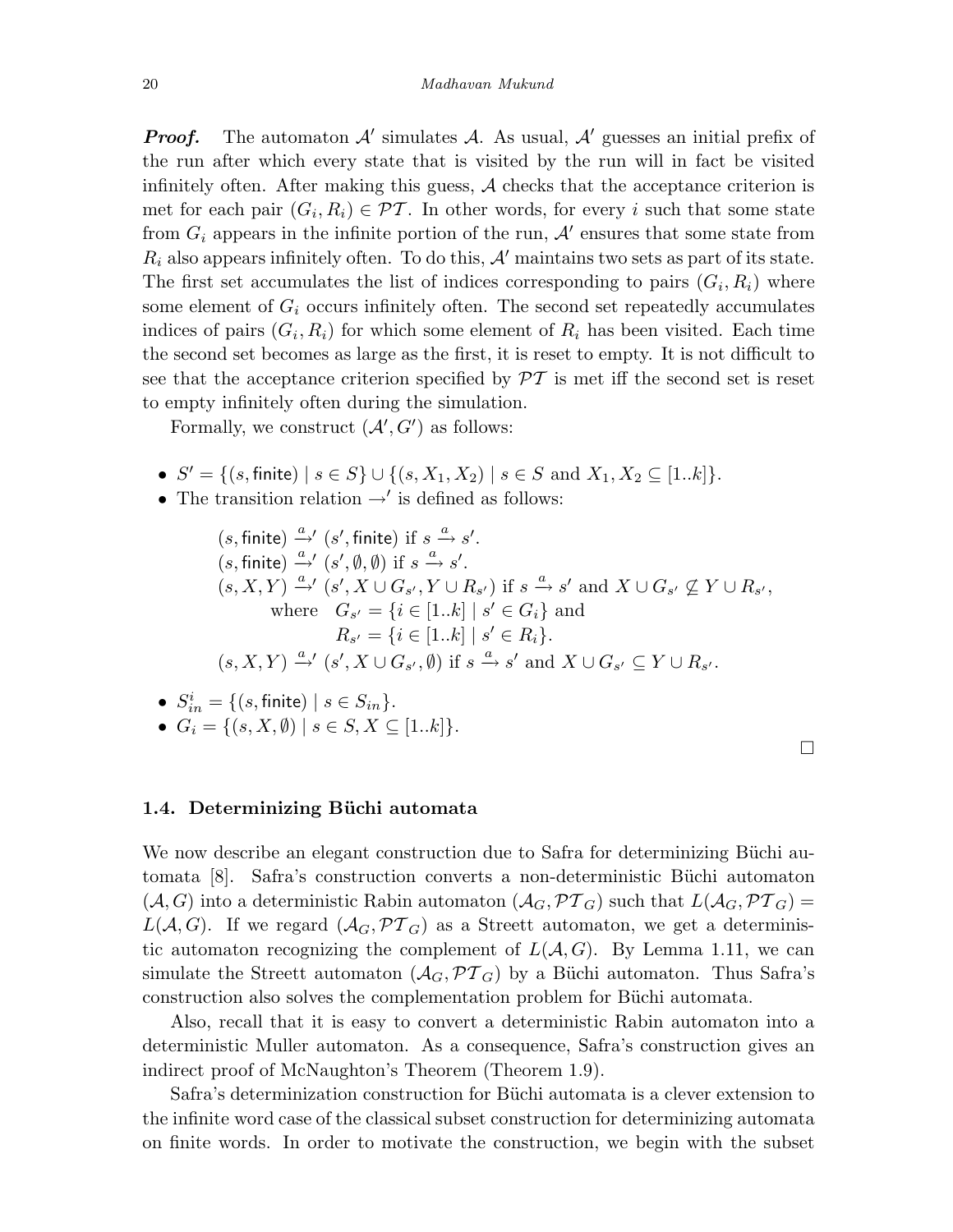**Proof.** The automaton  $\mathcal{A}'$  simulates  $\mathcal{A}$ . As usual,  $\mathcal{A}'$  guesses an initial prefix of the run after which every state that is visited by the run will in fact be visited infinitely often. After making this guess,  $A$  checks that the acceptance criterion is met for each pair  $(G_i, R_i) \in \mathcal{PT}$ . In other words, for every i such that some state from  $G_i$  appears in the infinite portion of the run,  $\mathcal{A}'$  ensures that some state from  $R_i$  also appears infinitely often. To do this,  $A'$  maintains two sets as part of its state. The first set accumulates the list of indices corresponding to pairs  $(G_i, R_i)$  where some element of  $G_i$  occurs infinitely often. The second set repeatedly accumulates indices of pairs  $(G_i, R_i)$  for which some element of  $R_i$  has been visited. Each time the second set becomes as large as the first, it is reset to empty. It is not difficult to see that the acceptance criterion specified by  $\mathcal{PT}$  is met iff the second set is reset to empty infinitely often during the simulation.

Formally, we construct  $(\mathcal{A}', G')$  as follows:

- $S' = \{(s, \text{finite}) \mid s \in S\} \cup \{(s, X_1, X_2) \mid s \in S \text{ and } X_1, X_2 \subseteq [1..k]\}.$
- The transition relation  $\rightarrow'$  is defined as follows:

 $(s, \text{finite}) \xrightarrow{a} ' (s', \text{finite}) \text{ if } s \xrightarrow{a} s'.$  $(s, \text{finite}) \xrightarrow{a} (s', \emptyset, \emptyset) \text{ if } s \xrightarrow{a} s'.$  $(s, X, Y) \stackrel{a}{\rightarrow} ' (s', X \cup G_{s'}, Y \cup R_{s'})$  if  $s \stackrel{a}{\rightarrow} s'$  and  $X \cup G_{s'} \nsubseteq Y \cup R_{s'}$ , where  $G_{s'} = \{i \in [1..k] \mid s' \in G_i\}$  and  $R_{s'} = \{i \in [1..k] \mid s' \in R_i\}.$  $(s, X, Y) \stackrel{a}{\rightarrow} (s', X \cup G_{s'}, \emptyset)$  if  $s \stackrel{a}{\rightarrow} s'$  and  $X \cup G_{s'} \subseteq Y \cup R_{s'}$ .

\n- \n
$$
S_{in}^i = \{(s, \text{finite}) \mid s \in S_{in}\}.
$$
\n
\n- \n $G_i = \{(s, X, \emptyset) \mid s \in S, X \subseteq [1..k]\}.$ \n
\n

## 1.4. Determinizing Büchi automata

We now describe an elegant construction due to Safra for determinizing Büchi automata [8]. Safra's construction converts a non-deterministic Büchi automaton  $(\mathcal{A}, G)$  into a deterministic Rabin automaton  $(\mathcal{A}_G, \mathcal{PT}_G)$  such that  $L(\mathcal{A}_G, \mathcal{PT}_G)$  =  $L(A, G)$ . If we regard  $(A_G, \mathcal{PT}_G)$  as a Streett automaton, we get a deterministic automaton recognizing the complement of  $L(A, G)$ . By Lemma 1.11, we can simulate the Streett automaton  $(\mathcal{A}_G, \mathcal{PT}_G)$  by a Büchi automaton. Thus Safra's construction also solves the complementation problem for Büchi automata.

Also, recall that it is easy to convert a deterministic Rabin automaton into a deterministic Muller automaton. As a consequence, Safra's construction gives an indirect proof of McNaughton's Theorem (Theorem 1.9).

Safra's determinization construction for Büchi automata is a clever extension to the infinite word case of the classical subset construction for determinizing automata on finite words. In order to motivate the construction, we begin with the subset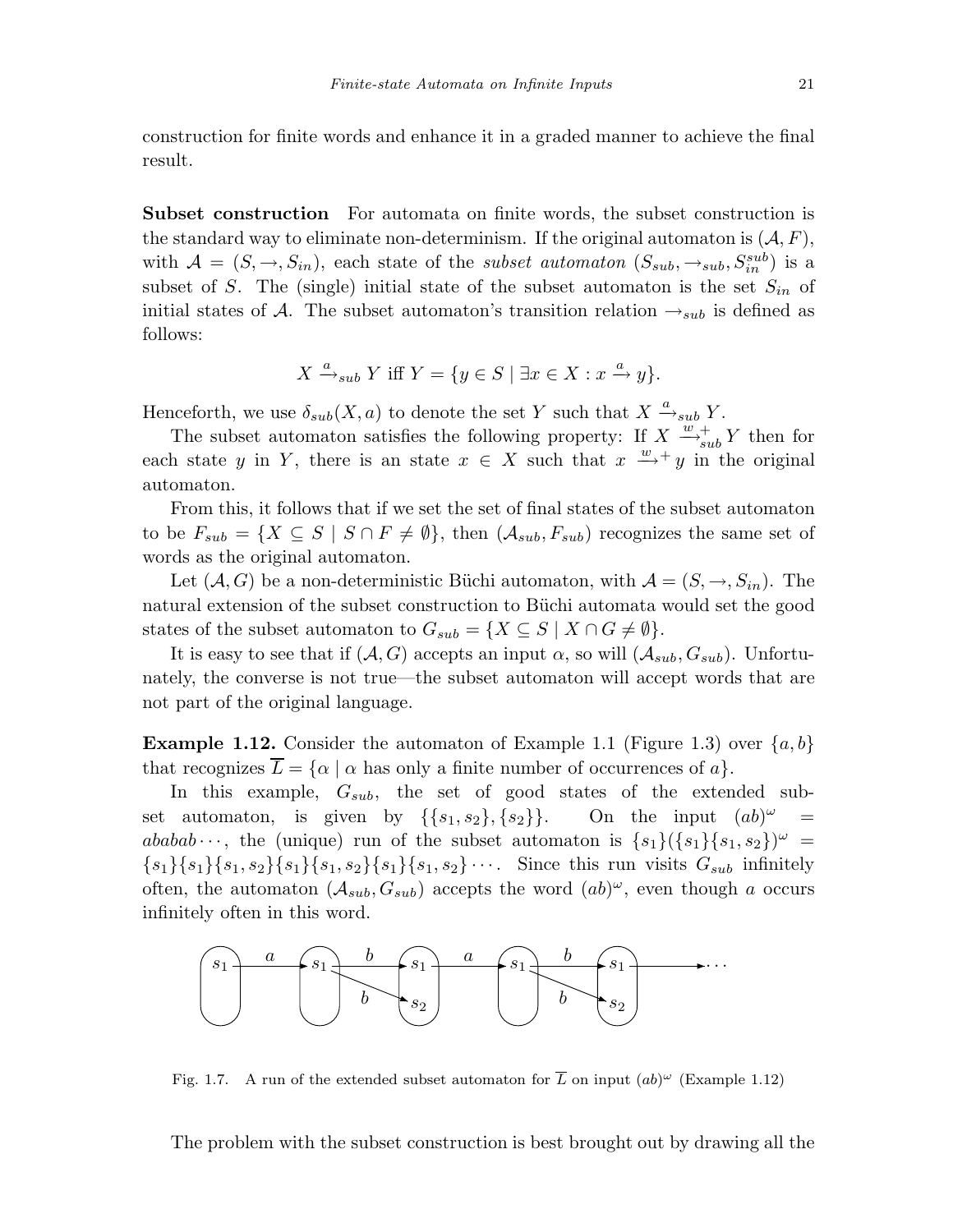construction for finite words and enhance it in a graded manner to achieve the final

Subset construction For automata on finite words, the subset construction is the standard way to eliminate non-determinism. If the original automaton is  $(A, F)$ , with  $\mathcal{A} = (S, \rightarrow, S_{in})$ , each state of the *subset automaton*  $(S_{sub}, \rightarrow_{sub}, S_{in}^{sub})$  is a subset of S. The (single) initial state of the subset automaton is the set  $S_{in}$  of initial states of A. The subset automaton's transition relation  $\rightarrow_{sub}$  is defined as follows:

$$
X \xrightarrow{a} \mathcal{S}_{sub} Y \text{ iff } Y = \{ y \in S \mid \exists x \in X : x \xrightarrow{a} y \}.
$$

Henceforth, we use  $\delta_{sub}(X, a)$  to denote the set Y such that  $X \xrightarrow{a}_{sub} Y$ .

result.

The subset automaton satisfies the following property: If  $X \xrightarrow{w+}_{sub} Y$  then for each state y in Y, there is an state  $x \in X$  such that  $x \stackrel{w}{\longrightarrow} y$  in the original automaton.

From this, it follows that if we set the set of final states of the subset automaton to be  $F_{sub} = \{X \subseteq S \mid S \cap F \neq \emptyset\}$ , then  $(A_{sub}, F_{sub})$  recognizes the same set of words as the original automaton.

Let  $(A, G)$  be a non-deterministic Büchi automaton, with  $A = (S, \rightarrow, S_{in})$ . The natural extension of the subset construction to Büchi automata would set the good states of the subset automaton to  $G_{sub} = \{ X \subseteq S \mid X \cap G \neq \emptyset \}.$ 

It is easy to see that if  $(A, G)$  accepts an input  $\alpha$ , so will  $(A_{sub}, G_{sub})$ . Unfortunately, the converse is not true—the subset automaton will accept words that are not part of the original language.

**Example 1.12.** Consider the automaton of Example 1.1 (Figure 1.3) over  $\{a, b\}$ that recognizes  $\overline{L} = \{ \alpha \mid \alpha \text{ has only a finite number of occurrences of } a \}.$ 

In this example,  $G_{sub}$ , the set of good states of the extended subset automaton, is given by  $\{\{s_1, s_2\}, \{s_2\}\}\$ . On the input  $(ab)^{\omega}$  = ababab  $\cdots$ , the (unique) run of the subset automaton is  $\{s_1\}(\{s_1\}\{s_1,s_2\})^\omega$  = {s1}{s1}{s1, s2}{s1}{s1, s2}{s1}{s1, s2}··· . Since this run visits Gsub infinitely often, the automaton  $(A_{sub}, G_{sub})$  accepts the word  $(ab)^{\omega}$ , even though a occurs infinitely often in this word.



Fig. 1.7. A run of the extended subset automaton for  $\overline{L}$  on input  $(ab)^{\omega}$  (Example 1.12)

The problem with the subset construction is best brought out by drawing all the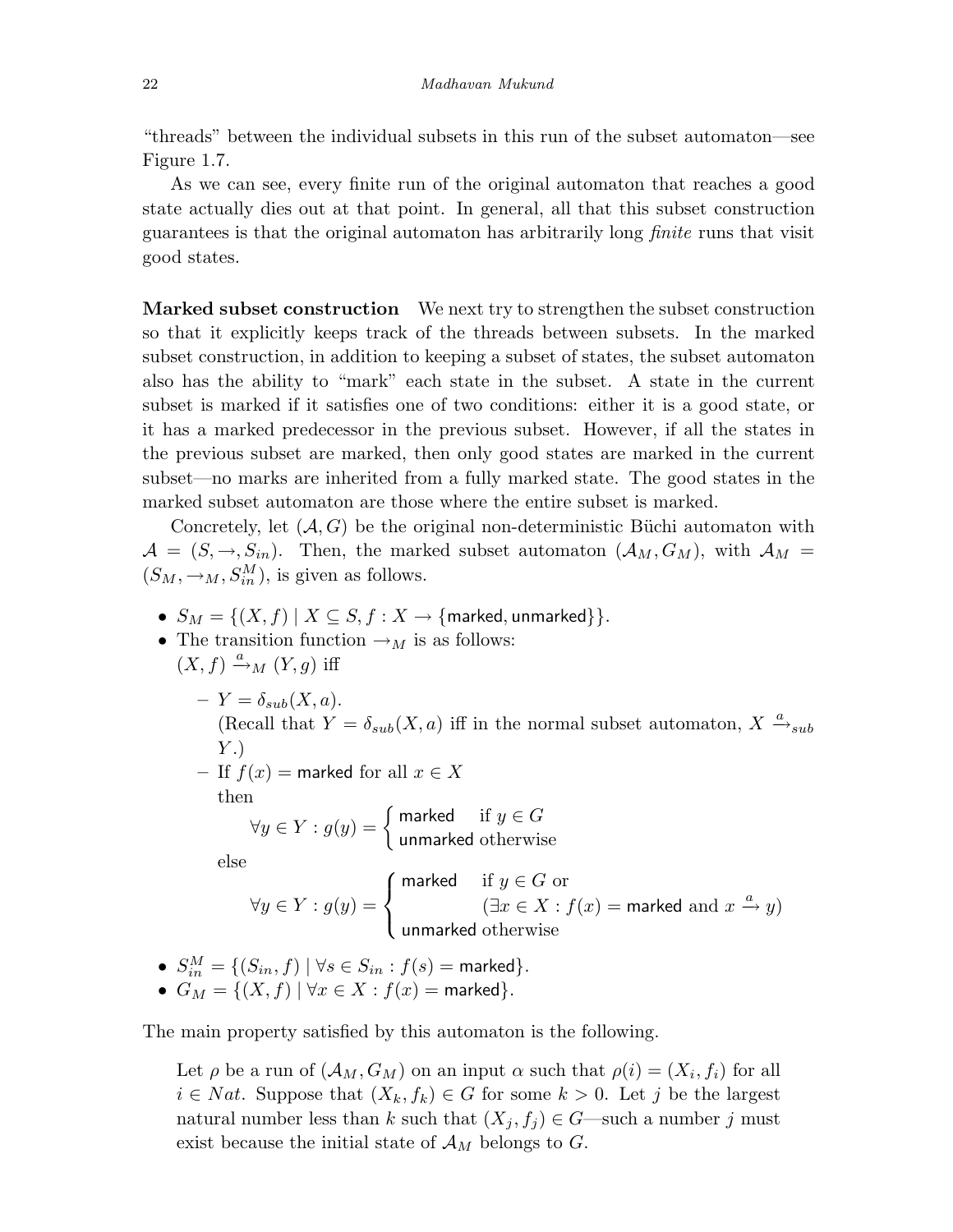"threads" between the individual subsets in this run of the subset automaton—see Figure 1.7.

As we can see, every finite run of the original automaton that reaches a good state actually dies out at that point. In general, all that this subset construction guarantees is that the original automaton has arbitrarily long finite runs that visit good states.

Marked subset construction We next try to strengthen the subset construction so that it explicitly keeps track of the threads between subsets. In the marked subset construction, in addition to keeping a subset of states, the subset automaton also has the ability to "mark" each state in the subset. A state in the current subset is marked if it satisfies one of two conditions: either it is a good state, or it has a marked predecessor in the previous subset. However, if all the states in the previous subset are marked, then only good states are marked in the current subset—no marks are inherited from a fully marked state. The good states in the marked subset automaton are those where the entire subset is marked.

Concretely, let  $(A, G)$  be the original non-deterministic Büchi automaton with  $A = (S, \rightarrow, S_{in}).$  Then, the marked subset automaton  $(A_M, G_M)$ , with  $A_M =$  $(S_M, \to_M, S_M^M)$ , is given as follows.

- $S_M = \{(X, f) | X \subseteq S, f : X \rightarrow \{\text{marked}, \text{unmarked}\}\}.$
- The transition function  $\rightarrow_M$  is as follows:  $(X, f) \xrightarrow{a} M (Y, g)$  iff

 $-Y = \delta_{sub}(X, a).$ (Recall that  $Y = \delta_{sub}(X, a)$  iff in the normal subset automaton,  $X \stackrel{a}{\rightarrow}_{sub}$ Y .) – If  $f(x)$  = marked for all  $x \in X$ 

then

$$
\forall y \in Y : g(y) = \begin{cases} \text{marked} & \text{if } y \in G \\ \text{unmarked otherwise} \end{cases}
$$

else

$$
\forall y \in Y : g(y) = \begin{cases} \text{marked} & \text{if } y \in G \text{ or} \\ & (\exists x \in X : f(x) = \text{marked and } x \xrightarrow{a} y) \\ \text{unmarked otherwise} \end{cases}
$$

\n- \n
$$
S_{in}^M = \{(S_{in}, f) \mid \forall s \in S_{in} : f(s) = \text{marked}\}
$$
\n
\n- \n $G_M = \{(X, f) \mid \forall x \in X : f(x) = \text{marked}\}$ \n
\n

The main property satisfied by this automaton is the following.

Let  $\rho$  be a run of  $(\mathcal{A}_M, G_M)$  on an input  $\alpha$  such that  $\rho(i)=(X_i, f_i)$  for all  $i \in Nat$ . Suppose that  $(X_k, f_k) \in G$  for some  $k > 0$ . Let j be the largest natural number less than k such that  $(X_j, f_j) \in G$ —such a number j must exist because the initial state of  $\mathcal{A}_M$  belongs to G.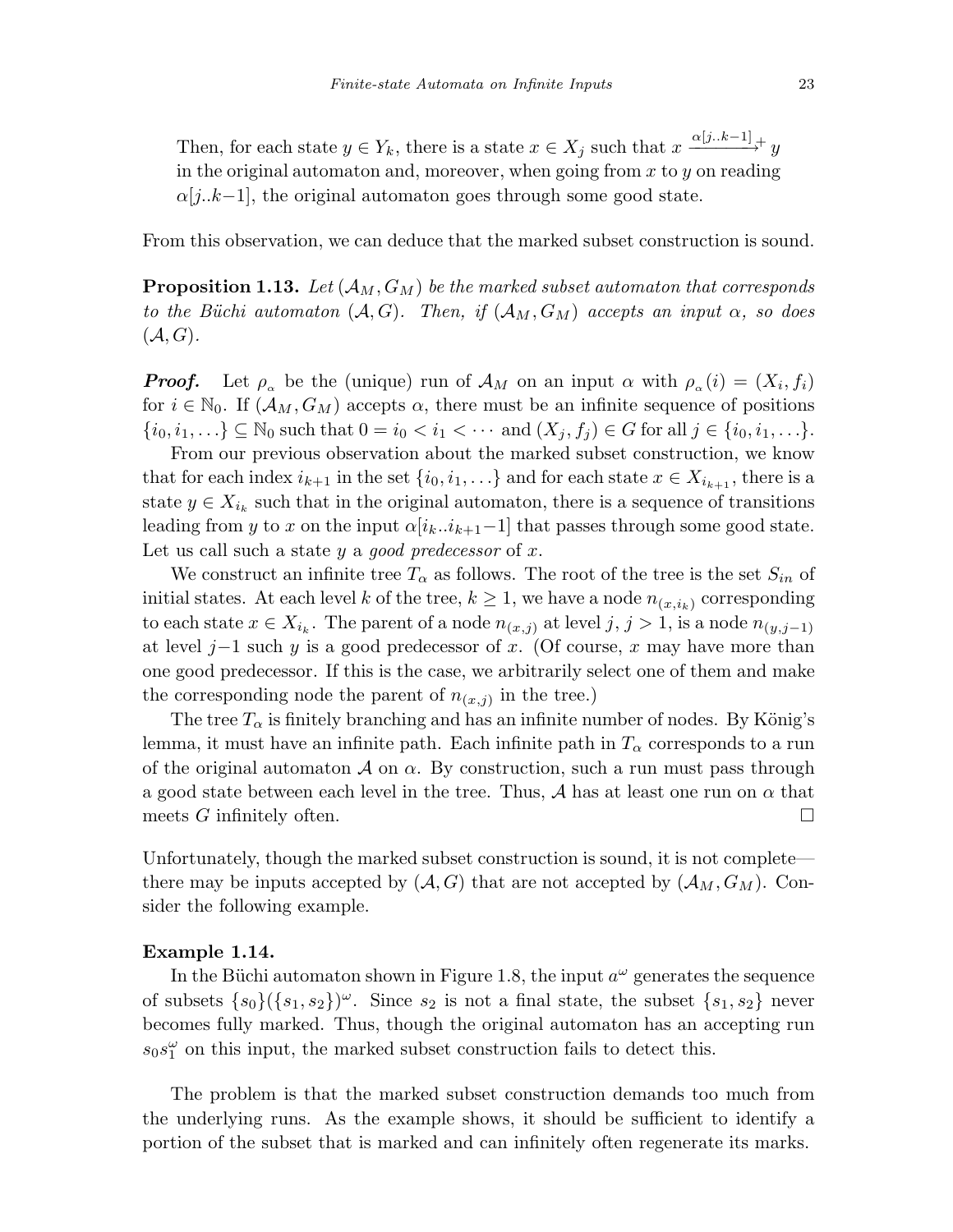Then, for each state  $y \in Y_k$ , there is a state  $x \in X_j$  such that  $x \xrightarrow{\alpha[j..k-1]} y$ in the original automaton and, moreover, when going from  $x$  to  $y$  on reading  $\alpha[j..k-1]$ , the original automaton goes through some good state.

From this observation, we can deduce that the marked subset construction is sound.

**Proposition 1.13.** Let  $(A_M, G_M)$  be the marked subset automaton that corresponds to the Büchi automaton  $(A, G)$ . Then, if  $(A_M, G_M)$  accepts an input  $\alpha$ , so does  $(\mathcal{A}, G)$ .

**Proof.** Let  $\rho_{\alpha}$  be the (unique) run of  $\mathcal{A}_M$  on an input  $\alpha$  with  $\rho_{\alpha}(i)=(X_i, f_i)$ for  $i \in \mathbb{N}_0$ . If  $(\mathcal{A}_M, G_M)$  accepts  $\alpha$ , there must be an infinite sequence of positions  $\{i_0, i_1,...\} \subseteq \mathbb{N}_0$  such that  $0 = i_0 < i_1 < \cdots$  and  $(X_j, f_j) \in G$  for all  $j \in \{i_0, i_1,...\}$ .

From our previous observation about the marked subset construction, we know that for each index  $i_{k+1}$  in the set  $\{i_0, i_1, \ldots\}$  and for each state  $x \in X_{i_{k+1}}$ , there is a state  $y \in X_{i_k}$  such that in the original automaton, there is a sequence of transitions leading from y to x on the input  $\alpha[i_k..i_{k+1}-1]$  that passes through some good state. Let us call such a state y a good predecessor of x.

We construct an infinite tree  $T_{\alpha}$  as follows. The root of the tree is the set  $S_{in}$  of initial states. At each level k of the tree,  $k \geq 1$ , we have a node  $n_{(x,i_k)}$  corresponding to each state  $x \in X_{i_k}$ . The parent of a node  $n(x,j)$  at level  $j, j > 1$ , is a node  $n(y,j-1)$ at level j–1 such y is a good predecessor of x. (Of course, x may have more than one good predecessor. If this is the case, we arbitrarily select one of them and make the corresponding node the parent of  $n_{(x,j)}$  in the tree.)

The tree  $T_{\alpha}$  is finitely branching and has an infinite number of nodes. By König's lemma, it must have an infinite path. Each infinite path in  $T_{\alpha}$  corresponds to a run of the original automaton  $A$  on  $\alpha$ . By construction, such a run must pass through a good state between each level in the tree. Thus, A has at least one run on  $\alpha$  that meets G infinitely often.  $\Box$ 

Unfortunately, though the marked subset construction is sound, it is not complete there may be inputs accepted by  $(A, G)$  that are not accepted by  $(A_M, G_M)$ . Consider the following example.

#### Example 1.14.

In the Büchi automaton shown in Figure 1.8, the input  $a^{\omega}$  generates the sequence of subsets  $\{s_0\}(\{s_1, s_2\})^{\omega}$ . Since  $s_2$  is not a final state, the subset  $\{s_1, s_2\}$  never becomes fully marked. Thus, though the original automaton has an accepting run  $s_0s_1^{\omega}$  on this input, the marked subset construction fails to detect this.

The problem is that the marked subset construction demands too much from the underlying runs. As the example shows, it should be sufficient to identify a portion of the subset that is marked and can infinitely often regenerate its marks.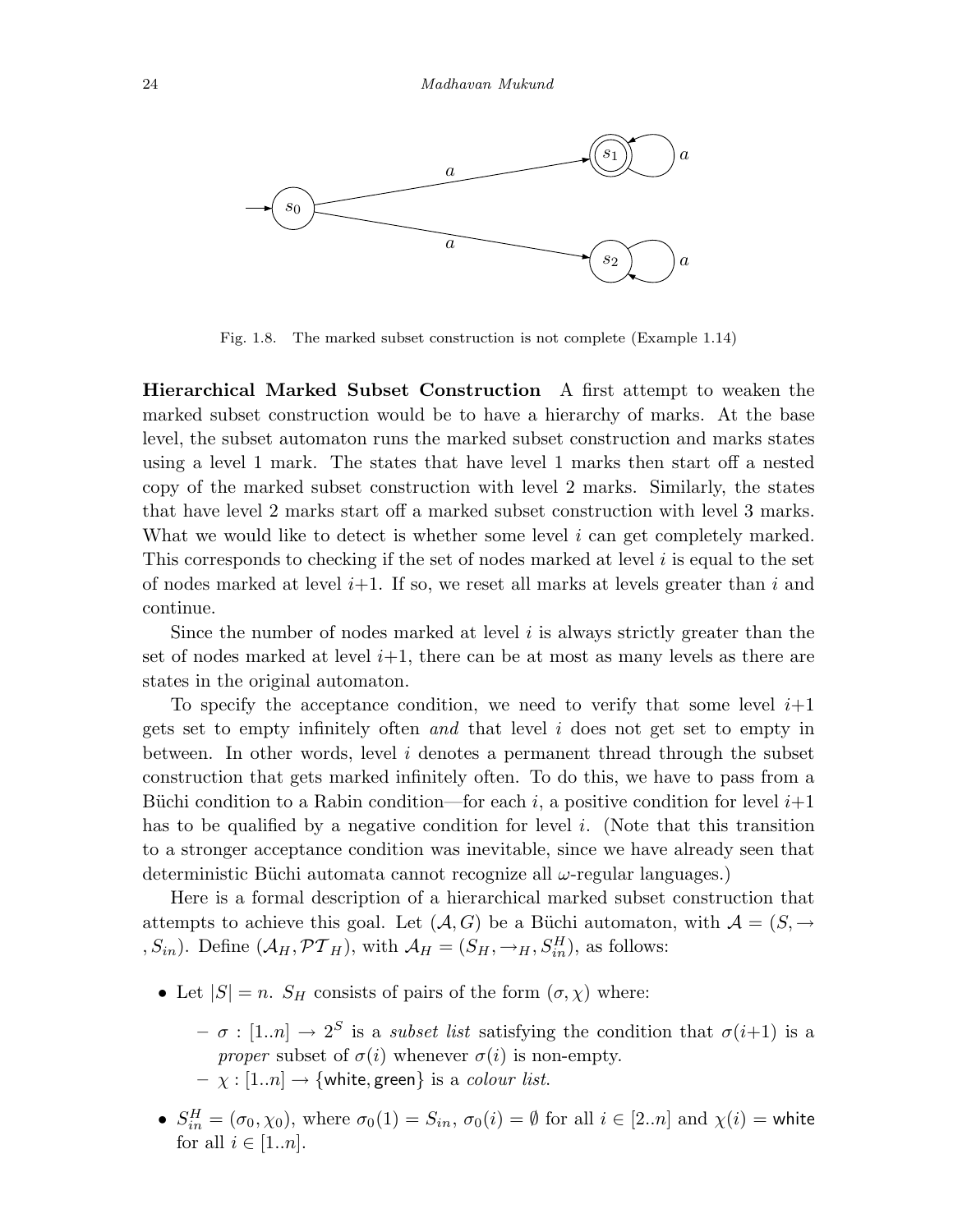

Fig. 1.8. The marked subset construction is not complete (Example 1.14)

Hierarchical Marked Subset Construction A first attempt to weaken the marked subset construction would be to have a hierarchy of marks. At the base level, the subset automaton runs the marked subset construction and marks states using a level 1 mark. The states that have level 1 marks then start off a nested copy of the marked subset construction with level 2 marks. Similarly, the states that have level 2 marks start off a marked subset construction with level 3 marks. What we would like to detect is whether some level  $i$  can get completely marked. This corresponds to checking if the set of nodes marked at level  $i$  is equal to the set of nodes marked at level  $i+1$ . If so, we reset all marks at levels greater than i and continue.

Since the number of nodes marked at level  $i$  is always strictly greater than the set of nodes marked at level  $i+1$ , there can be at most as many levels as there are states in the original automaton.

To specify the acceptance condition, we need to verify that some level  $i+1$ gets set to empty infinitely often and that level i does not get set to empty in between. In other words, level i denotes a permanent thread through the subset construction that gets marked infinitely often. To do this, we have to pass from a Büchi condition to a Rabin condition—for each i, a positive condition for level  $i+1$ has to be qualified by a negative condition for level  $i$ . (Note that this transition to a stronger acceptance condition was inevitable, since we have already seen that deterministic Büchi automata cannot recognize all  $\omega$ -regular languages.)

Here is a formal description of a hierarchical marked subset construction that attempts to achieve this goal. Let  $(A, G)$  be a Büchi automaton, with  $A = (S, \rightarrow$ ,  $S_{in}$ ). Define  $(A_H, \mathcal{PT}_H)$ , with  $\mathcal{A}_H = (S_H, \rightarrow_H, S_{in}^H)$ , as follows:

- Let  $|S| = n$ .  $S_H$  consists of pairs of the form  $(\sigma, \chi)$  where:
	- $\sigma : [1..n] \rightarrow 2^S$  is a *subset list* satisfying the condition that  $\sigma(i+1)$  is a *proper* subset of  $\sigma(i)$  whenever  $\sigma(i)$  is non-empty.  $-\chi : [1..n] \rightarrow \{\text{white}, \text{green}\}$  is a *colour list*.
- $S_{in}^H = (\sigma_0, \chi_0)$ , where  $\sigma_0(1) = S_{in}$ ,  $\sigma_0(i) = \emptyset$  for all  $i \in [2..n]$  and  $\chi(i) =$  white for all  $i \in [1..n]$ .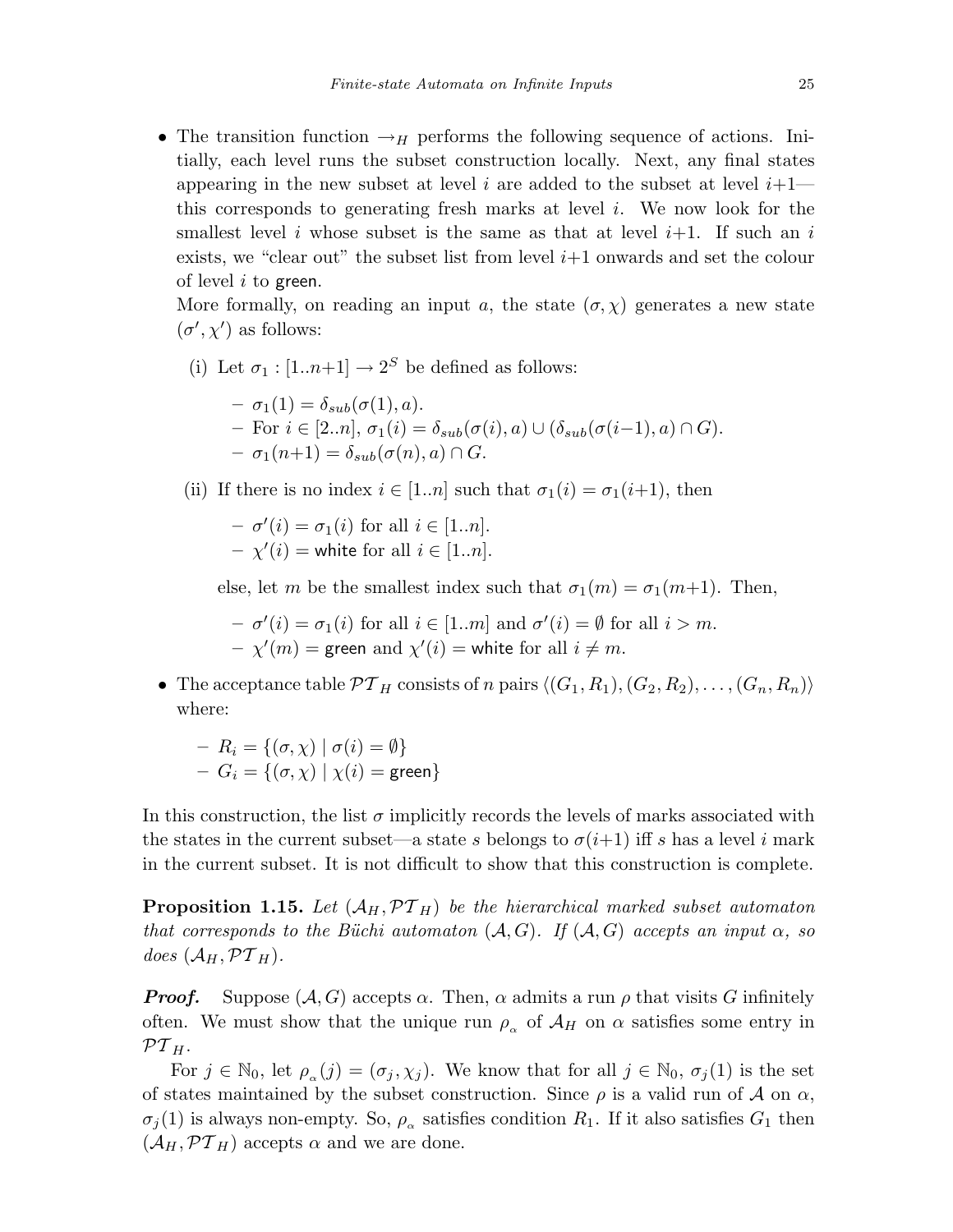• The transition function  $\rightarrow$ H performs the following sequence of actions. Initially, each level runs the subset construction locally. Next, any final states appearing in the new subset at level i are added to the subset at level  $i+1$  this corresponds to generating fresh marks at level  $i$ . We now look for the smallest level i whose subset is the same as that at level  $i+1$ . If such an i exists, we "clear out" the subset list from level  $i+1$  onwards and set the colour of level  $i$  to green.

More formally, on reading an input a, the state  $(\sigma, \chi)$  generates a new state  $(\sigma', \chi')$  as follows:

(i) Let  $\sigma_1 : [1..n+1] \rightarrow 2^S$  be defined as follows:

$$
- \sigma_1(1) = \delta_{sub}(\sigma(1), a).
$$
  
- For  $i \in [2..n], \sigma_1(i) = \delta_{sub}(\sigma(i), a) \cup (\delta_{sub}(\sigma(i-1), a) \cap G).$   
-  $\sigma_1(n+1) = \delta_{sub}(\sigma(n), a) \cap G.$ 

(ii) If there is no index  $i \in [1..n]$  such that  $\sigma_1(i) = \sigma_1(i+1)$ , then

 $- \sigma'(i) = \sigma_1(i)$  for all  $i \in [1..n]$ .  $-\chi'(i)$  = white for all  $i \in [1..n]$ .

else, let m be the smallest index such that  $\sigma_1(m) = \sigma_1(m+1)$ . Then,

 $- \sigma'(i) = \sigma_1(i)$  for all  $i \in [1..m]$  and  $\sigma'(i) = \emptyset$  for all  $i > m$ .  $-\chi'(m) = \text{green} \text{ and } \chi'(i) = \text{white} \text{ for all } i \neq m.$ 

• The acceptance table  $\mathcal{PT}_H$  consists of n pairs  $\langle (G_1, R_1), (G_2, R_2), \ldots, (G_n, R_n) \rangle$ where:

$$
- R_i = \{ (\sigma, \chi) \mid \sigma(i) = \emptyset \}
$$
  
- G<sub>i</sub> =  $\{ (\sigma, \chi) \mid \chi(i) = \text{green} \}$ 

In this construction, the list  $\sigma$  implicitly records the levels of marks associated with the states in the current subset—a state s belongs to  $\sigma(i+1)$  iff s has a level i mark in the current subset. It is not difficult to show that this construction is complete.

**Proposition 1.15.** Let  $(A_H, \mathcal{PT}_H)$  be the hierarchical marked subset automaton that corresponds to the Büchi automaton  $(A, G)$ . If  $(A, G)$  accepts an input  $\alpha$ , so does  $(\mathcal{A}_H, \mathcal{PT}_H)$ .

**Proof.** Suppose  $(A, G)$  accepts  $\alpha$ . Then,  $\alpha$  admits a run  $\rho$  that visits G infinitely often. We must show that the unique run  $\rho_{\alpha}$  of  $\mathcal{A}_H$  on  $\alpha$  satisfies some entry in  $\mathcal{PT}_H.$ 

For  $j \in \mathbb{N}_0$ , let  $\rho_{\alpha}(j)=(\sigma_j , \chi_j)$ . We know that for all  $j \in \mathbb{N}_0$ ,  $\sigma_j(1)$  is the set of states maintained by the subset construction. Since  $\rho$  is a valid run of  $\mathcal A$  on  $\alpha$ ,  $\sigma_j(1)$  is always non-empty. So,  $\rho_\alpha$  satisfies condition  $R_1$ . If it also satisfies  $G_1$  then  $(\mathcal{A}_H, \mathcal{PT}_H)$  accepts  $\alpha$  and we are done.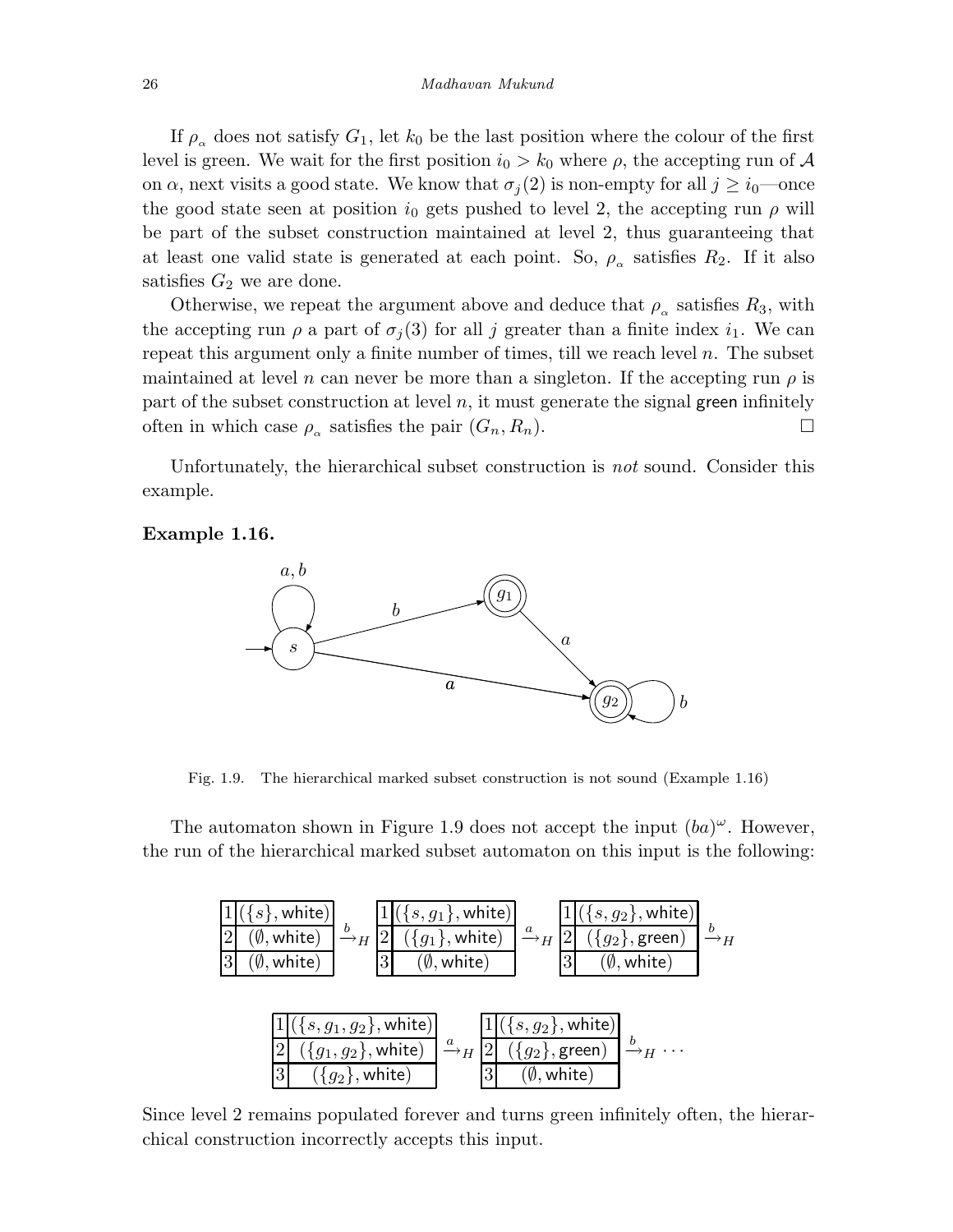If  $\rho_{\alpha}$  does not satisfy  $G_1$ , let  $k_0$  be the last position where the colour of the first level is green. We wait for the first position  $i_0 > k_0$  where  $\rho$ , the accepting run of A on  $\alpha$ , next visits a good state. We know that  $\sigma_j(2)$  is non-empty for all  $j \geq i_0$ —once the good state seen at position  $i_0$  gets pushed to level 2, the accepting run  $\rho$  will be part of the subset construction maintained at level 2, thus guaranteeing that at least one valid state is generated at each point. So,  $\rho_{\alpha}$  satisfies  $R_2$ . If it also satisfies  $G_2$  we are done.

Otherwise, we repeat the argument above and deduce that  $\rho_{\alpha}$  satisfies  $R_3$ , with the accepting run  $\rho$  a part of  $\sigma_i(3)$  for all j greater than a finite index  $i_1$ . We can repeat this argument only a finite number of times, till we reach level  $n$ . The subset maintained at level n can never be more than a singleton. If the accepting run  $\rho$  is part of the subset construction at level  $n$ , it must generate the signal green infinitely often in which case  $\rho_{\alpha}$  satisfies the pair  $(G_n, R_n)$ .

Unfortunately, the hierarchical subset construction is not sound. Consider this example.

#### Example 1.16.



Fig. 1.9. The hierarchical marked subset construction is not sound (Example 1.16)

The automaton shown in Figure 1.9 does not accept the input  $(ba)^{\omega}$ . However, the run of the hierarchical marked subset automaton on this input is the following:

$$
\frac{1\left(\{s\}, \text{white}\right)}{3\left(\emptyset, \text{white}\right)} \xrightarrow{b} H \frac{1\left(\{s, g_1\}, \text{white}\right)}{2\left(\{g_1\}, \text{white}\right)} \xrightarrow{a} H \frac{1\left(\{s, g_2\}, \text{white}\right)}{2\left(\{g_2\}, \text{green}\right)} \xrightarrow{b} H
$$
\n
$$
\frac{3\left(\emptyset, \text{white}\right)}{3\left(\emptyset, \text{white}\right)} \xrightarrow{a} H \frac{1\left(\{s, g_2\}, \text{white}\right)}{3\left(\emptyset, \text{white}\right)} \xrightarrow{b} H
$$
\n
$$
\frac{1\left(\{s, g_1, g_2\}, \text{white}\right)}{2\left(\{g_1, g_2\}, \text{white}\right)} \xrightarrow{a} H \frac{1\left(\{s, g_2\}, \text{white}\right)}{2\left(\{g_2\}, \text{green}\right)} \xrightarrow{b} H \cdots
$$
\n
$$
\frac{3\left(\{g_2\}, \text{white}\right)}{3\left(\emptyset, \text{white}\right)} \xrightarrow{a} H \frac{1\left(\{s, g_1, g_2\}, \text{white}\right)}{3\left(\emptyset, \text{white}\right)} \xrightarrow{b} H \cdots
$$

Since level 2 remains populated forever and turns green infinitely often, the hierarchical construction incorrectly accepts this input.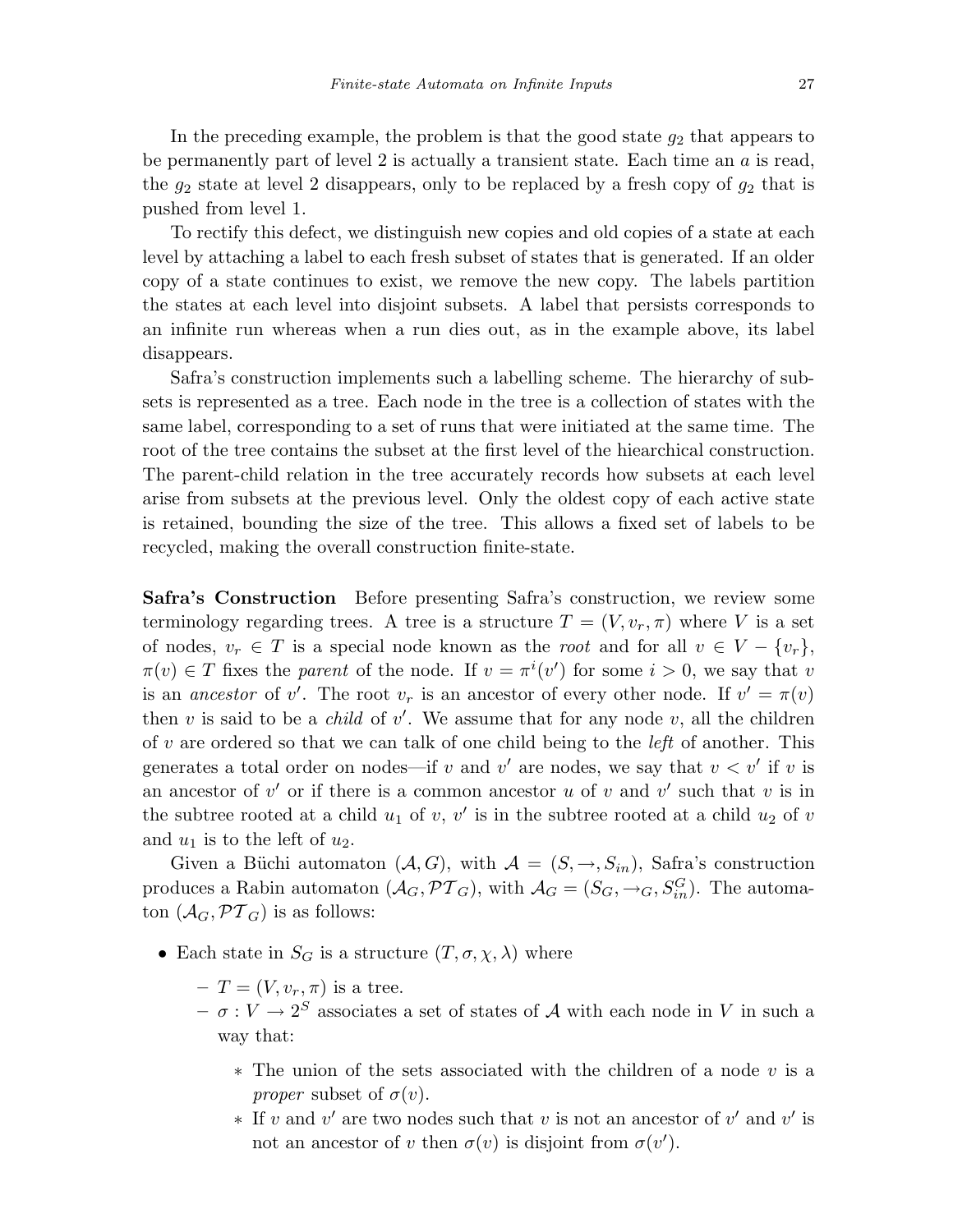In the preceding example, the problem is that the good state  $g_2$  that appears to be permanently part of level  $2$  is actually a transient state. Each time an  $a$  is read, the  $g_2$  state at level 2 disappears, only to be replaced by a fresh copy of  $g_2$  that is pushed from level 1.

To rectify this defect, we distinguish new copies and old copies of a state at each level by attaching a label to each fresh subset of states that is generated. If an older copy of a state continues to exist, we remove the new copy. The labels partition the states at each level into disjoint subsets. A label that persists corresponds to an infinite run whereas when a run dies out, as in the example above, its label disappears.

Safra's construction implements such a labelling scheme. The hierarchy of subsets is represented as a tree. Each node in the tree is a collection of states with the same label, corresponding to a set of runs that were initiated at the same time. The root of the tree contains the subset at the first level of the hiearchical construction. The parent-child relation in the tree accurately records how subsets at each level arise from subsets at the previous level. Only the oldest copy of each active state is retained, bounding the size of the tree. This allows a fixed set of labels to be recycled, making the overall construction finite-state.

Safra's Construction Before presenting Safra's construction, we review some terminology regarding trees. A tree is a structure  $T = (V, v_r, \pi)$  where V is a set of nodes,  $v_r \in T$  is a special node known as the *root* and for all  $v \in V - \{v_r\}$ ,  $\pi(v) \in T$  fixes the parent of the node. If  $v = \pi^{i}(v')$  for some  $i > 0$ , we say that v is an ancestor of v'. The root  $v_r$  is an ancestor of every other node. If  $v' = \pi(v)$ then  $v$  is said to be a *child* of  $v'$ . We assume that for any node  $v$ , all the children of  $v$  are ordered so that we can talk of one child being to the *left* of another. This generates a total order on nodes—if v and v' are nodes, we say that  $v < v'$  if v is an ancestor of  $v'$  or if there is a common ancestor u of v and  $v'$  such that v is in the subtree rooted at a child  $u_1$  of v, v' is in the subtree rooted at a child  $u_2$  of v and  $u_1$  is to the left of  $u_2$ .

Given a Büchi automaton  $(A, G)$ , with  $A = (S, \rightarrow, S_{in})$ , Safra's construction produces a Rabin automaton  $(\mathcal{A}_G, \mathcal{PT}_G)$ , with  $\mathcal{A}_G = (S_G, \rightarrow_G, S_{in}^G)$ . The automaton  $(\mathcal{A}_G, \mathcal{PT}_G)$  is as follows:

- Each state in  $S_G$  is a structure  $(T, \sigma, \chi, \lambda)$  where
	- $-T=(V,v_r,\pi)$  is a tree.
	- $-\sigma: V \to 2^S$  associates a set of states of A with each node in V in such a way that:
		- ∗ The union of the sets associated with the children of a node v is a *proper* subset of  $\sigma(v)$ .
		- $*$  If v and v' are two nodes such that v is not an ancestor of v' and v' is not an ancestor of v then  $\sigma(v)$  is disjoint from  $\sigma(v')$ .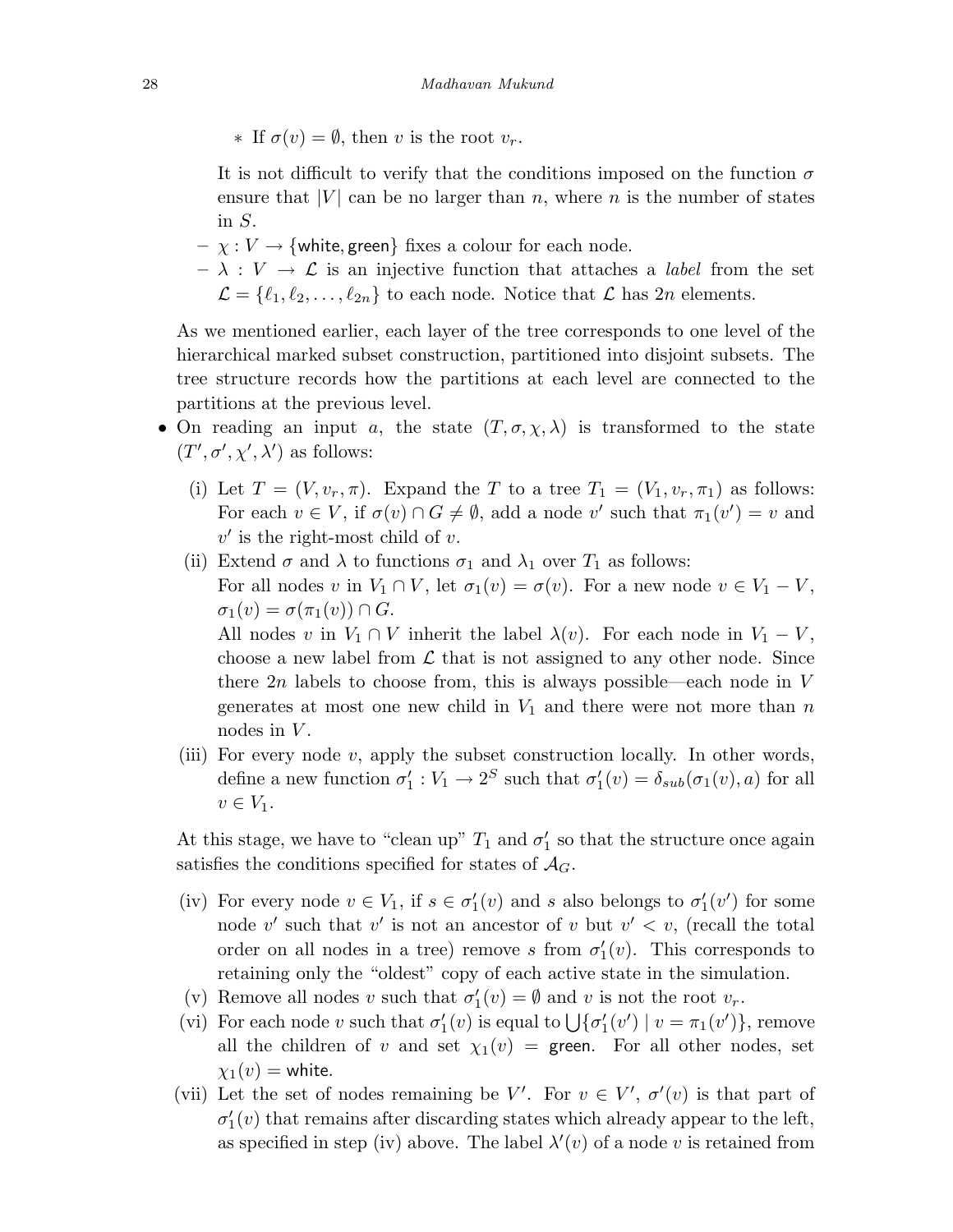∗ If σ(v) = ∅, then v is the root vr.

It is not difficult to verify that the conditions imposed on the function  $\sigma$ ensure that  $|V|$  can be no larger than n, where n is the number of states in S.

- $-\chi: V \to \{\text{white}, \text{green}\}\text{ fixes a colour for each node.}$
- $\lambda : V \to \mathcal{L}$  is an injective function that attaches a *label* from the set  $\mathcal{L} = \{\ell_1, \ell_2, \ldots, \ell_{2n}\}\$  to each node. Notice that  $\mathcal{L}$  has  $2n$  elements.

As we mentioned earlier, each layer of the tree corresponds to one level of the hierarchical marked subset construction, partitioned into disjoint subsets. The tree structure records how the partitions at each level are connected to the partitions at the previous level.

- On reading an input a, the state  $(T, \sigma, \chi, \lambda)$  is transformed to the state  $(T', \sigma', \chi', \lambda')$  as follows:
	- (i) Let  $T = (V, v_r, \pi)$ . Expand the T to a tree  $T_1 = (V_1, v_r, \pi_1)$  as follows: For each  $v \in V$ , if  $\sigma(v) \cap G \neq \emptyset$ , add a node v' such that  $\pi_1(v') = v$  and  $v'$  is the right-most child of v.
	- (ii) Extend  $\sigma$  and  $\lambda$  to functions  $\sigma_1$  and  $\lambda_1$  over  $T_1$  as follows: For all nodes v in  $V_1 \cap V$ , let  $\sigma_1(v) = \sigma(v)$ . For a new node  $v \in V_1 - V$ ,  $\sigma_1(v) = \sigma(\pi_1(v)) \cap G.$

All nodes v in  $V_1 \cap V$  inherit the label  $\lambda(v)$ . For each node in  $V_1 - V$ , choose a new label from  $\mathcal L$  that is not assigned to any other node. Since there  $2n$  labels to choose from, this is always possible—each node in V generates at most one new child in  $V_1$  and there were not more than n nodes in  $V$ .

(iii) For every node  $v$ , apply the subset construction locally. In other words, define a new function  $\sigma'_1 : V_1 \to 2^S$  such that  $\sigma'_1(v) = \delta_{sub}(\sigma_1(v), a)$  for all  $v \in V_1$ .

At this stage, we have to "clean up"  $T_1$  and  $\sigma'_1$  so that the structure once again satisfies the conditions specified for states of  $\mathcal{A}_G$ .

- (iv) For every node  $v \in V_1$ , if  $s \in \sigma'_1(v)$  and s also belongs to  $\sigma'_1(v')$  for some node v' such that v' is not an ancestor of v but  $v' < v$ , (recall the total order on all nodes in a tree) remove s from  $\sigma'_1(v)$ . This corresponds to retaining only the "oldest" copy of each active state in the simulation.
- (v) Remove all nodes v such that  $\sigma'_1(v) = \emptyset$  and v is not the root  $v_r$ .
- (vi) For each node v such that  $\sigma'_1(v)$  is equal to  $\bigcup \{\sigma'_1(v') \mid v = \pi_1(v')\}$ , remove all the children of v and set  $\chi_1(v) =$  green. For all other nodes, set  $\chi_1(v) =$  white.
- (vii) Let the set of nodes remaining be V'. For  $v \in V'$ ,  $\sigma'(v)$  is that part of  $\sigma'_{1}(v)$  that remains after discarding states which already appear to the left, as specified in step (iv) above. The label  $\lambda'(v)$  of a node v is retained from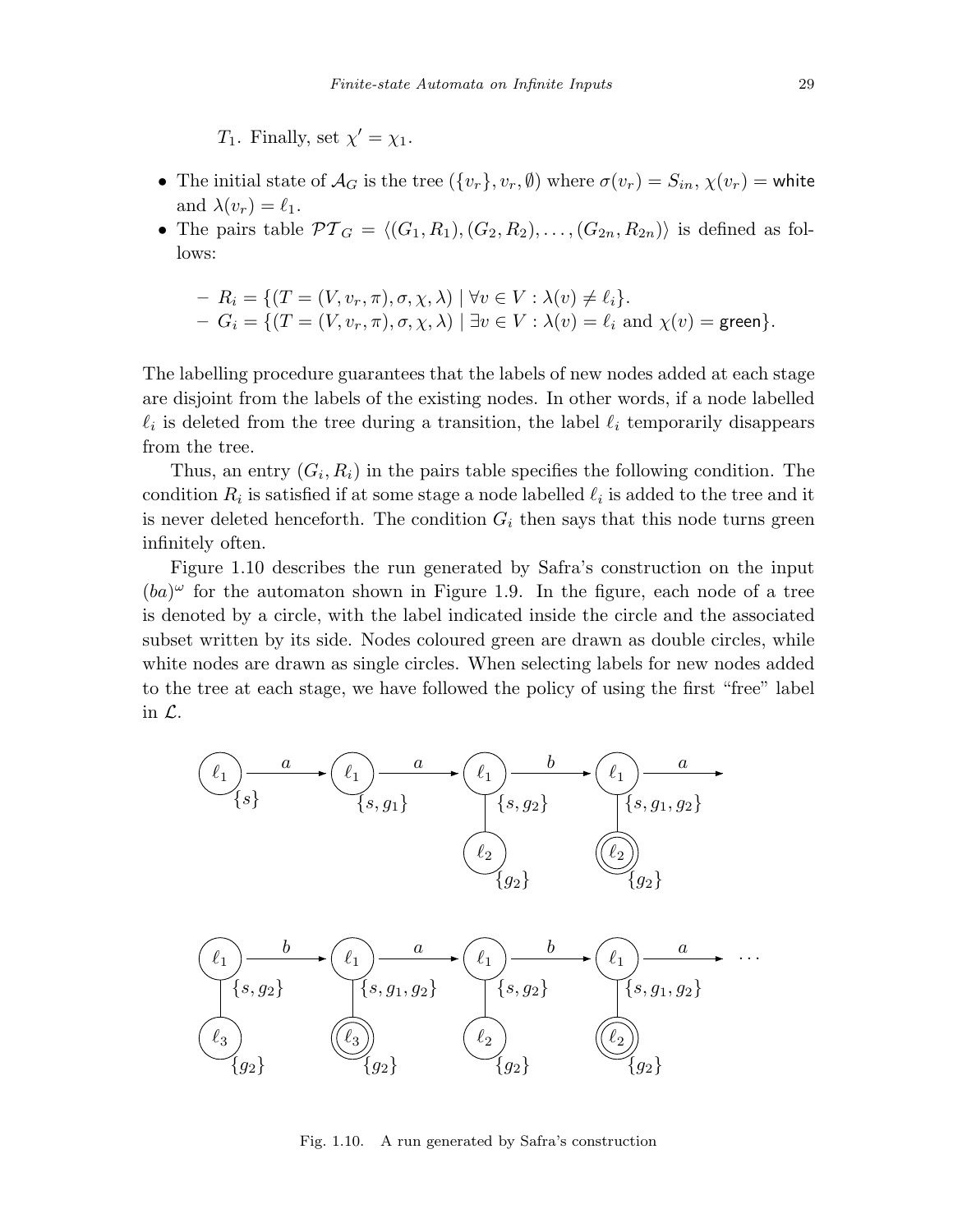T<sub>1</sub>. Finally, set  $\chi' = \chi_1$ .

- The initial state of  $\mathcal{A}_G$  is the tree  $(\{v_r\}, v_r, \emptyset)$  where  $\sigma(v_r) = S_{in}$ ,  $\chi(v_r) =$  white and  $\lambda(v_r) = \ell_1$ .
- The pairs table  $\mathcal{PT}_G = \langle (G_1, R_1), (G_2, R_2), \ldots, (G_{2n}, R_{2n}) \rangle$  is defined as follows:

$$
- R_i = \{ (T = (V, v_r, \pi), \sigma, \chi, \lambda) \mid \forall v \in V : \lambda(v) \neq \ell_i \}.
$$
  
- G<sub>i</sub> = \{ (T = (V, v\_r, \pi), \sigma, \chi, \lambda) \mid \exists v \in V : \lambda(v) = \ell\_i \text{ and } \chi(v) = \text{green} \}.

The labelling procedure guarantees that the labels of new nodes added at each stage are disjoint from the labels of the existing nodes. In other words, if a node labelled  $\ell_i$  is deleted from the tree during a transition, the label  $\ell_i$  temporarily disappears from the tree.

Thus, an entry  $(G_i, R_i)$  in the pairs table specifies the following condition. The condition  $R_i$  is satisfied if at some stage a node labelled  $\ell_i$  is added to the tree and it is never deleted henceforth. The condition  $G_i$  then says that this node turns green infinitely often.

Figure 1.10 describes the run generated by Safra's construction on the input  $(ba)^\omega$  for the automaton shown in Figure 1.9. In the figure, each node of a tree is denoted by a circle, with the label indicated inside the circle and the associated subset written by its side. Nodes coloured green are drawn as double circles, while white nodes are drawn as single circles. When selecting labels for new nodes added to the tree at each stage, we have followed the policy of using the first "free" label in L.



Fig. 1.10. A run generated by Safra's construction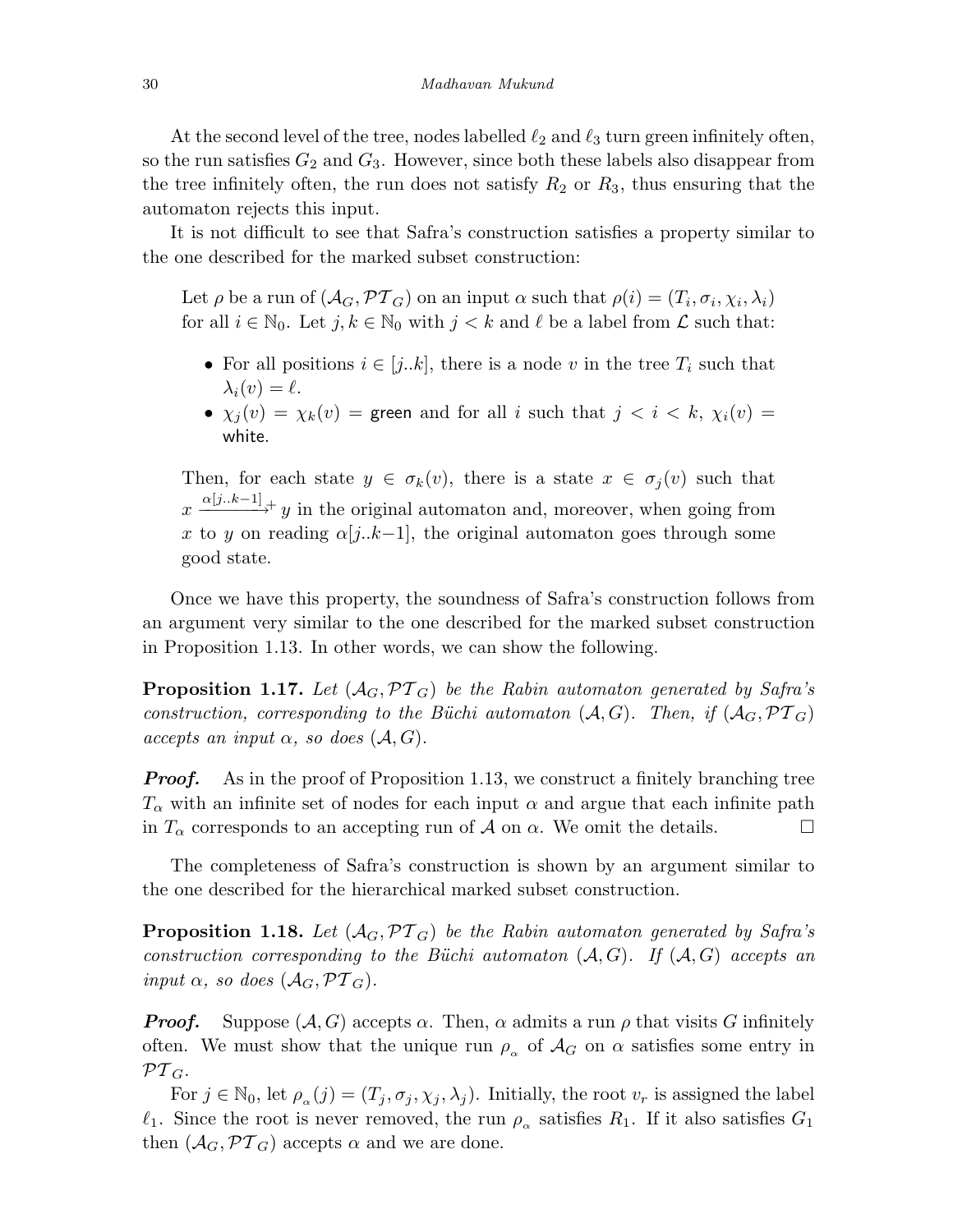At the second level of the tree, nodes labelled  $\ell_2$  and  $\ell_3$  turn green infinitely often, so the run satisfies  $G_2$  and  $G_3$ . However, since both these labels also disappear from the tree infinitely often, the run does not satisfy  $R_2$  or  $R_3$ , thus ensuring that the automaton rejects this input.

It is not difficult to see that Safra's construction satisfies a property similar to the one described for the marked subset construction:

Let  $\rho$  be a run of  $(\mathcal{A}_G, \mathcal{PT}_G)$  on an input  $\alpha$  such that  $\rho(i)=(T_i, \sigma_i, \chi_i, \lambda_i)$ for all  $i \in \mathbb{N}_0$ . Let  $j, k \in \mathbb{N}_0$  with  $j < k$  and  $\ell$  be a label from  $\mathcal L$  such that:

- For all positions  $i \in [j..k]$ , there is a node v in the tree  $T_i$  such that  $\lambda_i(v) = \ell.$
- $\chi_j(v) = \chi_k(v)$  = green and for all i such that  $j < i < k$ ,  $\chi_i(v)$  = white.

Then, for each state  $y \in \sigma_k(v)$ , there is a state  $x \in \sigma_j(v)$  such that  $x \xrightarrow{\alpha[j..k-1]} y$  in the original automaton and, moreover, when going from x to y on reading  $\alpha[i..k-1]$ , the original automaton goes through some good state.

Once we have this property, the soundness of Safra's construction follows from an argument very similar to the one described for the marked subset construction in Proposition 1.13. In other words, we can show the following.

**Proposition 1.17.** Let  $(A_G, \mathcal{PT}_G)$  be the Rabin automaton generated by Safra's construction, corresponding to the Büchi automaton  $(A, G)$ . Then, if  $(A_G, \mathcal{PT}_G)$ accepts an input  $\alpha$ , so does  $(\mathcal{A}, G)$ .

**Proof.** As in the proof of Proposition 1.13, we construct a finitely branching tree  $T_{\alpha}$  with an infinite set of nodes for each input  $\alpha$  and argue that each infinite path in  $T_{\alpha}$  corresponds to an accepting run of A on  $\alpha$ . We omit the details.  $\Box$ 

The completeness of Safra's construction is shown by an argument similar to the one described for the hierarchical marked subset construction.

**Proposition 1.18.** Let  $(A_G, PT_G)$  be the Rabin automaton generated by Safra's construction corresponding to the Büchi automaton  $(A, G)$ . If  $(A, G)$  accepts an input  $\alpha$ , so does  $(\mathcal{A}_G, \mathcal{PT}_G)$ .

**Proof.** Suppose  $(A, G)$  accepts  $\alpha$ . Then,  $\alpha$  admits a run  $\rho$  that visits G infinitely often. We must show that the unique run  $\rho_{\alpha}$  of  $\mathcal{A}_G$  on  $\alpha$  satisfies some entry in  $\mathcal{PT}_G.$ 

For  $j \in \mathbb{N}_0$ , let  $\rho_{\alpha}(j)=(T_j , \sigma_j , \chi_j , \lambda_j )$ . Initially, the root  $v_r$  is assigned the label  $\ell_1$ . Since the root is never removed, the run  $\rho_\alpha$  satisfies  $R_1$ . If it also satisfies  $G_1$ then  $(\mathcal{A}_G, \mathcal{PT}_G)$  accepts  $\alpha$  and we are done.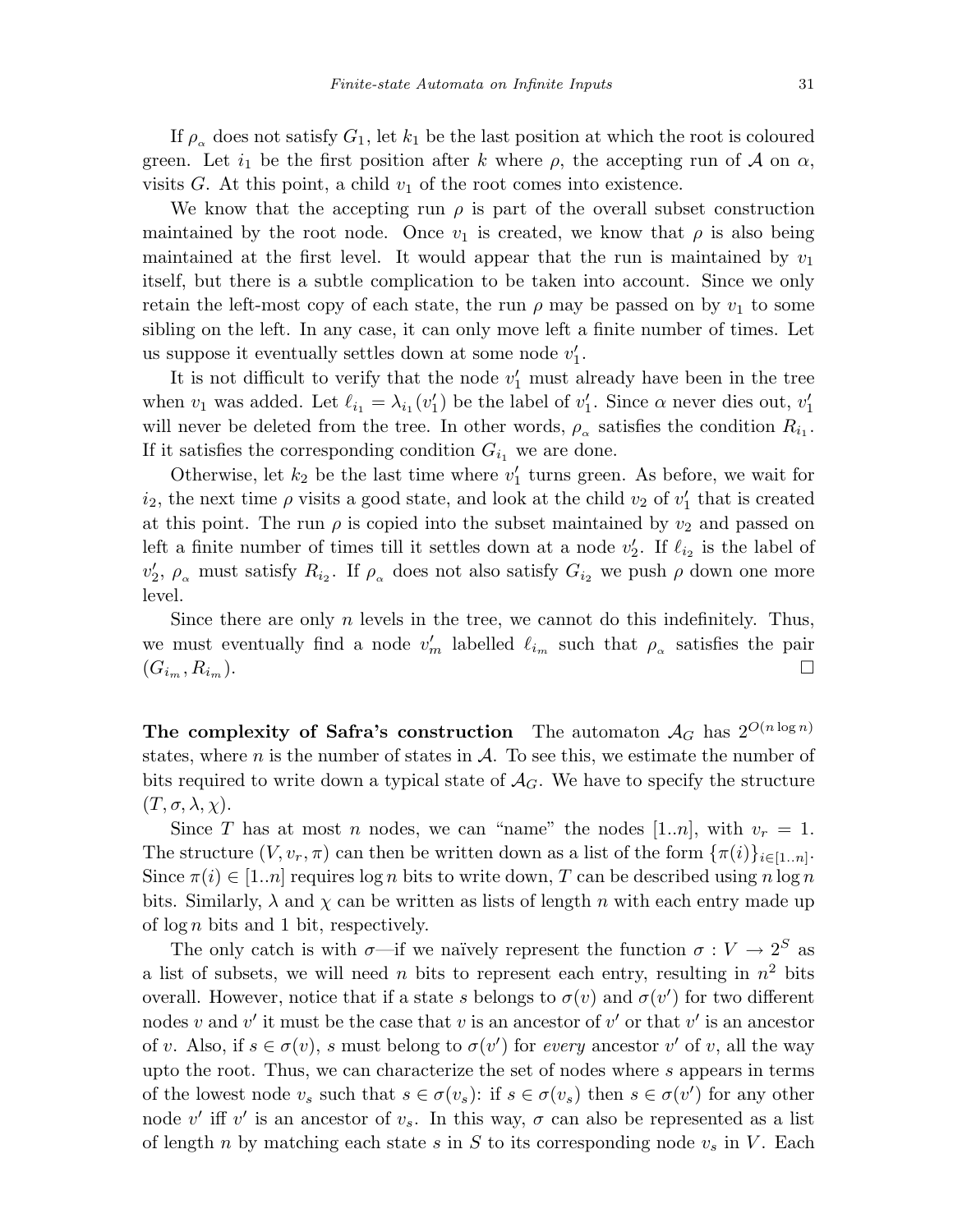If  $\rho_{\alpha}$  does not satisfy  $G_1$ , let  $k_1$  be the last position at which the root is coloured green. Let  $i_1$  be the first position after k where  $\rho$ , the accepting run of A on  $\alpha$ , visits  $G$ . At this point, a child  $v_1$  of the root comes into existence.

We know that the accepting run  $\rho$  is part of the overall subset construction maintained by the root node. Once  $v_1$  is created, we know that  $\rho$  is also being maintained at the first level. It would appear that the run is maintained by  $v_1$ itself, but there is a subtle complication to be taken into account. Since we only retain the left-most copy of each state, the run  $\rho$  may be passed on by  $v_1$  to some sibling on the left. In any case, it can only move left a finite number of times. Let us suppose it eventually settles down at some node  $v'_1$ .

It is not difficult to verify that the node  $v'_1$  must already have been in the tree when  $v_1$  was added. Let  $\ell_{i_1} = \lambda_{i_1} (v'_1)$  be the label of  $v'_1$ . Since  $\alpha$  never dies out,  $v'_1$ will never be deleted from the tree. In other words,  $\rho_{\alpha}$  satisfies the condition  $R_{i_1}$ . If it satisfies the corresponding condition  $G_{i_1}$  we are done.

Otherwise, let  $k_2$  be the last time where  $v'_1$  turns green. As before, we wait for  $i_2$ , the next time  $\rho$  visits a good state, and look at the child  $v_2$  of  $v'_1$  that is created at this point. The run  $\rho$  is copied into the subset maintained by  $v_2$  and passed on left a finite number of times till it settles down at a node  $v'_2$ . If  $\ell_{i_2}$  is the label of  $v'_2$ ,  $\rho_{\alpha}$  must satisfy  $R_{i_2}$ . If  $\rho_{\alpha}$  does not also satisfy  $G_{i_2}$  we push  $\rho$  down one more level.

Since there are only  $n$  levels in the tree, we cannot do this indefinitely. Thus, we must eventually find a node  $v'_m$  labelled  $\ell_{i_m}$  such that  $\rho_{\alpha}$  satisfies the pair  $(G_{i_m}, R_{i_m}).$ 

The complexity of Safra's construction The automaton  $A_G$  has  $2^{O(n \log n)}$ states, where n is the number of states in  $\mathcal A$ . To see this, we estimate the number of bits required to write down a typical state of  $A_G$ . We have to specify the structure  $(T, \sigma, \lambda, \chi).$ 

Since T has at most n nodes, we can "name" the nodes [1..n], with  $v_r = 1$ . The structure  $(V, v_r, \pi)$  can then be written down as a list of the form  $\{\pi(i)\}_{i\in[1..n]}$ . Since  $\pi(i) \in [1..n]$  requires  $\log n$  bits to write down, T can be described using  $n \log n$ bits. Similarly,  $\lambda$  and  $\chi$  can be written as lists of length n with each entry made up of  $\log n$  bits and 1 bit, respectively.

The only catch is with  $\sigma$ —if we naïvely represent the function  $\sigma: V \to 2^S$  as a list of subsets, we will need n bits to represent each entry, resulting in  $n^2$  bits overall. However, notice that if a state s belongs to  $\sigma(v)$  and  $\sigma(v')$  for two different nodes v and v' it must be the case that v is an ancestor of v' or that v' is an ancestor of v. Also, if  $s \in \sigma(v)$ , s must belong to  $\sigma(v')$  for every ancestor v' of v, all the way upto the root. Thus, we can characterize the set of nodes where s appears in terms of the lowest node  $v_s$  such that  $s \in \sigma(v_s)$ : if  $s \in \sigma(v_s)$  then  $s \in \sigma(v')$  for any other node v' iff v' is an ancestor of  $v_s$ . In this way,  $\sigma$  can also be represented as a list of length n by matching each state s in S to its corresponding node  $v_s$  in V. Each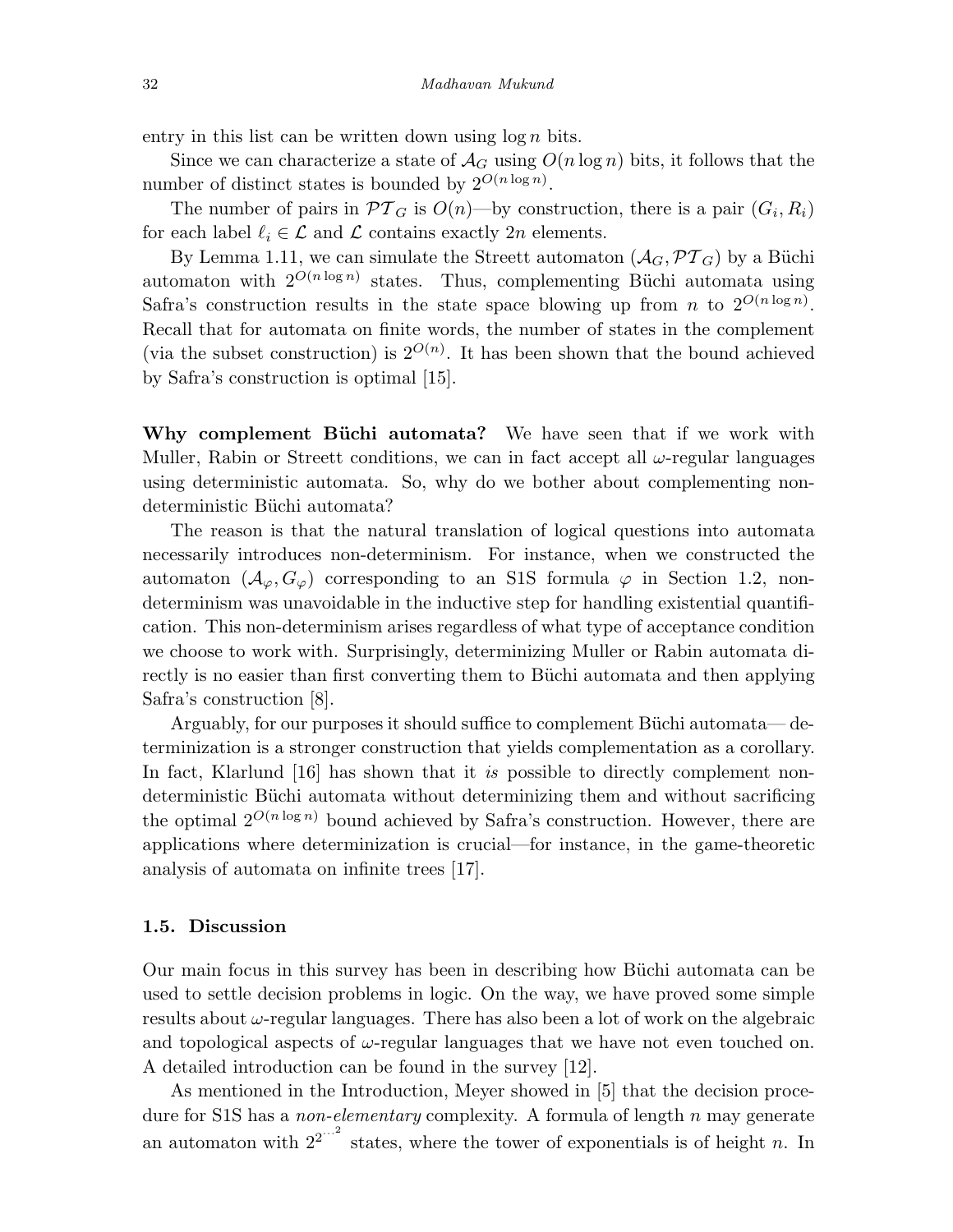entry in this list can be written down using  $\log n$  bits.

Since we can characterize a state of  $\mathcal{A}_G$  using  $O(n \log n)$  bits, it follows that the number of distinct states is bounded by  $2^{O(n \log n)}$ .

The number of pairs in  $\mathcal{PT}_G$  is  $O(n)$ —by construction, there is a pair  $(G_i, R_i)$ for each label  $\ell_i \in \mathcal{L}$  and  $\mathcal{L}$  contains exactly 2n elements.

By Lemma 1.11, we can simulate the Streett automaton  $(\mathcal{A}_G, \mathcal{PT}_G)$  by a Büchi automaton with  $2^{O(n \log n)}$  states. Thus, complementing Büchi automata using Safra's construction results in the state space blowing up from *n* to  $2^{O(n \log n)}$ . Recall that for automata on finite words, the number of states in the complement (via the subset construction) is  $2^{O(n)}$ . It has been shown that the bound achieved by Safra's construction is optimal [15].

Why complement Büchi automata? We have seen that if we work with Muller, Rabin or Streett conditions, we can in fact accept all  $\omega$ -regular languages using deterministic automata. So, why do we bother about complementing nondeterministic Büchi automata?

The reason is that the natural translation of logical questions into automata necessarily introduces non-determinism. For instance, when we constructed the automaton  $(\mathcal{A}_{\varphi}, G_{\varphi})$  corresponding to an S1S formula  $\varphi$  in Section 1.2, nondeterminism was unavoidable in the inductive step for handling existential quantification. This non-determinism arises regardless of what type of acceptance condition we choose to work with. Surprisingly, determinizing Muller or Rabin automata directly is no easier than first converting them to Büchi automata and then applying Safra's construction [8].

Arguably, for our purposes it should suffice to complement Büchi automata— determinization is a stronger construction that yields complementation as a corollary. In fact, Klarlund [16] has shown that it is possible to directly complement nondeterministic Büchi automata without determinizing them and without sacrificing the optimal  $2^{O(n \log n)}$  bound achieved by Safra's construction. However, there are applications where determinization is crucial—for instance, in the game-theoretic analysis of automata on infinite trees [17].

#### 1.5. Discussion

Our main focus in this survey has been in describing how Büchi automata can be used to settle decision problems in logic. On the way, we have proved some simple results about  $\omega$ -regular languages. There has also been a lot of work on the algebraic and topological aspects of  $\omega$ -regular languages that we have not even touched on. A detailed introduction can be found in the survey [12].

As mentioned in the Introduction, Meyer showed in [5] that the decision procedure for S1S has a *non-elementary* complexity. A formula of length  $n$  may generate an automaton with  $2^{2^{n^2}}$  states, where the tower of exponentials is of height n. In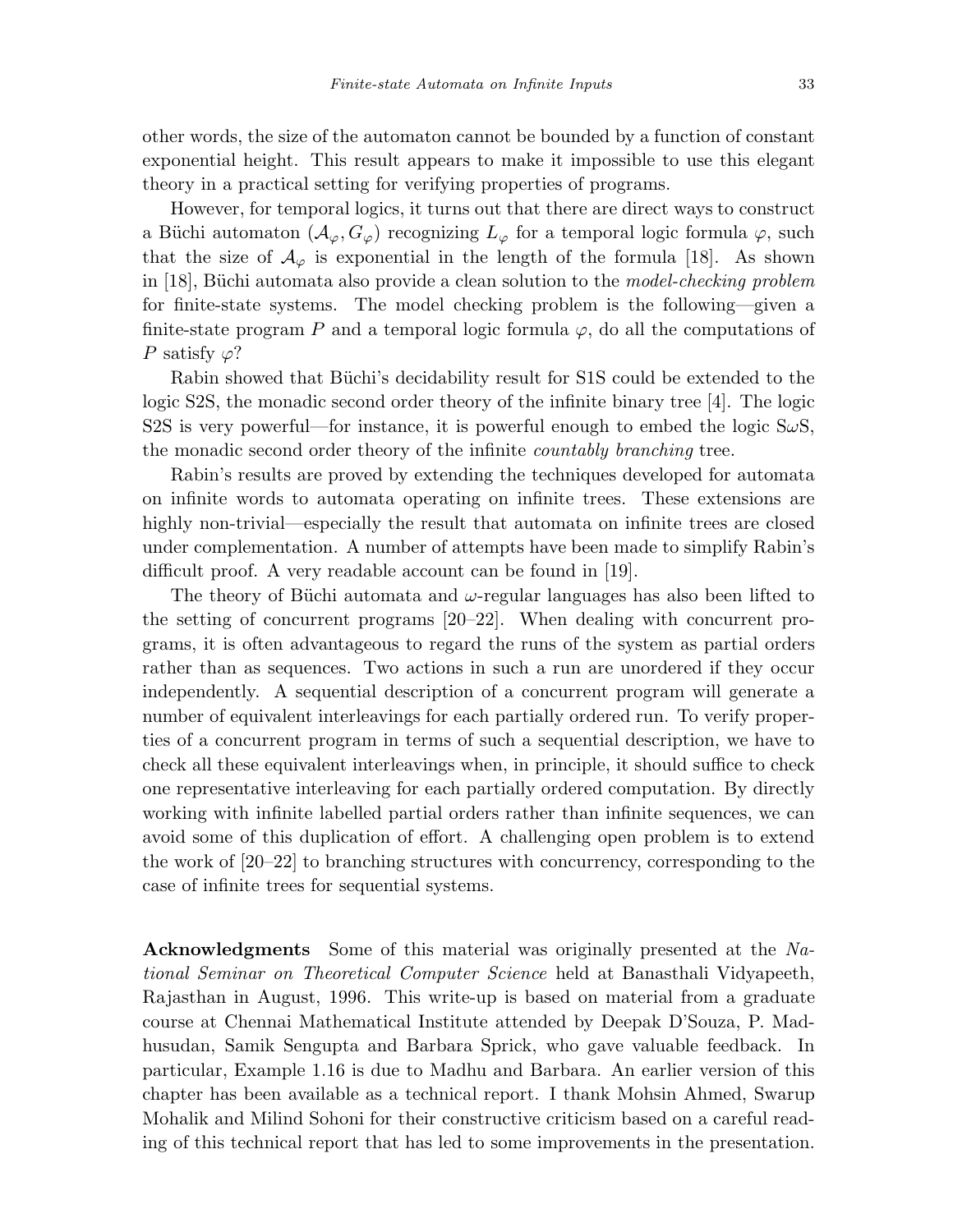other words, the size of the automaton cannot be bounded by a function of constant exponential height. This result appears to make it impossible to use this elegant theory in a practical setting for verifying properties of programs.

However, for temporal logics, it turns out that there are direct ways to construct a Büchi automaton  $(\mathcal{A}_{\varphi}, G_{\varphi})$  recognizing  $L_{\varphi}$  for a temporal logic formula  $\varphi$ , such that the size of  $\mathcal{A}_{\varphi}$  is exponential in the length of the formula [18]. As shown in [18], Büchi automata also provide a clean solution to the *model-checking problem* for finite-state systems. The model checking problem is the following—given a finite-state program P and a temporal logic formula  $\varphi$ , do all the computations of P satisfy  $\varphi$ ?

Rabin showed that Büchi's decidability result for S1S could be extended to the logic S2S, the monadic second order theory of the infinite binary tree [4]. The logic S2S is very powerful—for instance, it is powerful enough to embed the logic  $S\omega S$ , the monadic second order theory of the infinite countably branching tree.

Rabin's results are proved by extending the techniques developed for automata on infinite words to automata operating on infinite trees. These extensions are highly non-trivial—especially the result that automata on infinite trees are closed under complementation. A number of attempts have been made to simplify Rabin's difficult proof. A very readable account can be found in [19].

The theory of Büchi automata and  $\omega$ -regular languages has also been lifted to the setting of concurrent programs [20–22]. When dealing with concurrent programs, it is often advantageous to regard the runs of the system as partial orders rather than as sequences. Two actions in such a run are unordered if they occur independently. A sequential description of a concurrent program will generate a number of equivalent interleavings for each partially ordered run. To verify properties of a concurrent program in terms of such a sequential description, we have to check all these equivalent interleavings when, in principle, it should suffice to check one representative interleaving for each partially ordered computation. By directly working with infinite labelled partial orders rather than infinite sequences, we can avoid some of this duplication of effort. A challenging open problem is to extend the work of [20–22] to branching structures with concurrency, corresponding to the case of infinite trees for sequential systems.

Acknowledgments Some of this material was originally presented at the National Seminar on Theoretical Computer Science held at Banasthali Vidyapeeth, Rajasthan in August, 1996. This write-up is based on material from a graduate course at Chennai Mathematical Institute attended by Deepak D'Souza, P. Madhusudan, Samik Sengupta and Barbara Sprick, who gave valuable feedback. In particular, Example 1.16 is due to Madhu and Barbara. An earlier version of this chapter has been available as a technical report. I thank Mohsin Ahmed, Swarup Mohalik and Milind Sohoni for their constructive criticism based on a careful reading of this technical report that has led to some improvements in the presentation.